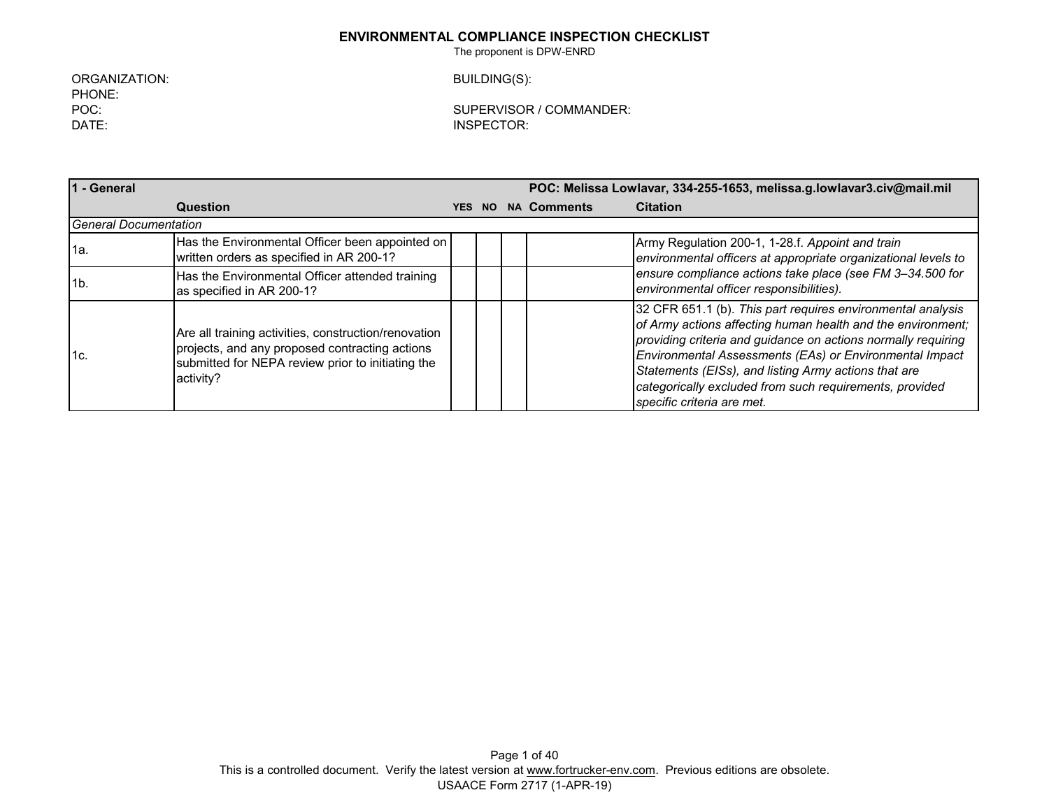The proponent is DPW-ENRD

ORGANIZATION: BUILDING(S): PHONE:<br>POC: DATE: INSPECTOR:

SUPERVISOR / COMMANDER:

| 1 - General                  |                                                                                                                                                                          | POC: Melissa Lowlavar, 334-255-1653, melissa.g.lowlavar3.civ@mail.mil |     |  |                    |                                                                                                                                                                                                                                                                                                                                                                                                         |
|------------------------------|--------------------------------------------------------------------------------------------------------------------------------------------------------------------------|-----------------------------------------------------------------------|-----|--|--------------------|---------------------------------------------------------------------------------------------------------------------------------------------------------------------------------------------------------------------------------------------------------------------------------------------------------------------------------------------------------------------------------------------------------|
|                              | <b>Question</b>                                                                                                                                                          | <b>YES</b>                                                            | NO. |  | <b>NA Comments</b> | <b>Citation</b>                                                                                                                                                                                                                                                                                                                                                                                         |
| <b>General Documentation</b> |                                                                                                                                                                          |                                                                       |     |  |                    |                                                                                                                                                                                                                                                                                                                                                                                                         |
| l1a.                         | Has the Environmental Officer been appointed on<br>written orders as specified in AR 200-1?                                                                              |                                                                       |     |  |                    | Army Regulation 200-1, 1-28.f. Appoint and train<br>environmental officers at appropriate organizational levels to                                                                                                                                                                                                                                                                                      |
| 1b.                          | Has the Environmental Officer attended training<br>as specified in AR 200-1?                                                                                             |                                                                       |     |  |                    | ensure compliance actions take place (see FM 3-34.500 for<br>environmental officer responsibilities).                                                                                                                                                                                                                                                                                                   |
| l1с.                         | Are all training activities, construction/renovation<br>projects, and any proposed contracting actions<br>submitted for NEPA review prior to initiating the<br>activity? |                                                                       |     |  |                    | 32 CFR 651.1 (b). This part requires environmental analysis<br>of Army actions affecting human health and the environment;<br>providing criteria and guidance on actions normally requiring<br>Environmental Assessments (EAs) or Environmental Impact<br>Statements (EISs), and listing Army actions that are<br>categorically excluded from such requirements, provided<br>specific criteria are met. |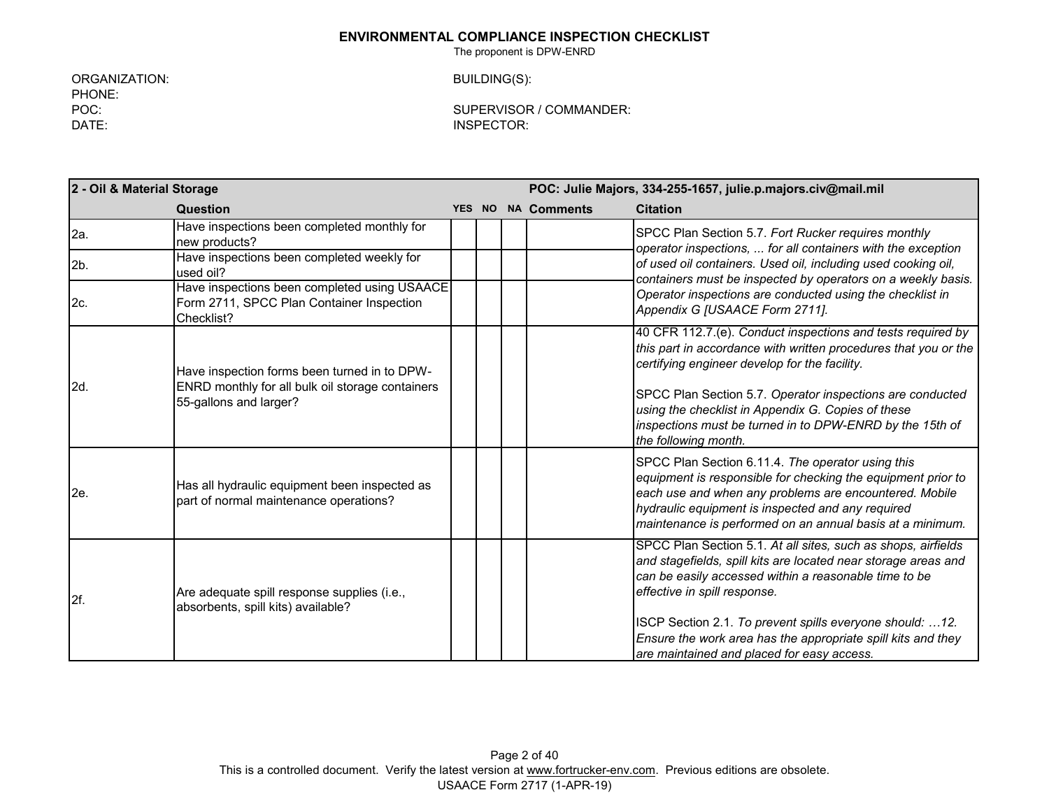The proponent is DPW-ENRD

ORGANIZATION: BUILDING(S): PHONE:<br>POC: DATE: INSPECTOR:

SUPERVISOR / COMMANDER:

|                | 2 - Oil & Material Storage                                                                              |  |  |  |                    | POC: Julie Majors, 334-255-1657, julie.p.majors.civ@mail.mil                                                                                                                                                                                                                                                                                         |  |  |  |
|----------------|---------------------------------------------------------------------------------------------------------|--|--|--|--------------------|------------------------------------------------------------------------------------------------------------------------------------------------------------------------------------------------------------------------------------------------------------------------------------------------------------------------------------------------------|--|--|--|
|                | Question                                                                                                |  |  |  | YES NO NA Comments | <b>Citation</b>                                                                                                                                                                                                                                                                                                                                      |  |  |  |
| 2a.            | Have inspections been completed monthly for<br>new products?                                            |  |  |  |                    | SPCC Plan Section 5.7. Fort Rucker requires monthly<br>operator inspections,  for all containers with the exception                                                                                                                                                                                                                                  |  |  |  |
| 2 <sub>b</sub> | Have inspections been completed weekly for<br>used oil?                                                 |  |  |  |                    | of used oil containers. Used oil, including used cooking oil,<br>containers must be inspected by operators on a weekly basis.                                                                                                                                                                                                                        |  |  |  |
| 2c.            | Have inspections been completed using USAACE<br>Form 2711, SPCC Plan Container Inspection<br>Checklist? |  |  |  |                    | Operator inspections are conducted using the checklist in<br>Appendix G [USAACE Form 2711].                                                                                                                                                                                                                                                          |  |  |  |
| 2d.            | Have inspection forms been turned in to DPW-                                                            |  |  |  |                    | 40 CFR 112.7.(e). Conduct inspections and tests required by<br>this part in accordance with written procedures that you or the<br>certifying engineer develop for the facility.                                                                                                                                                                      |  |  |  |
|                | ENRD monthly for all bulk oil storage containers<br>55-gallons and larger?                              |  |  |  |                    | SPCC Plan Section 5.7. Operator inspections are conducted<br>using the checklist in Appendix G. Copies of these<br>inspections must be turned in to DPW-ENRD by the 15th of<br>the following month.                                                                                                                                                  |  |  |  |
| 2e.            | Has all hydraulic equipment been inspected as<br>part of normal maintenance operations?                 |  |  |  |                    | SPCC Plan Section 6.11.4. The operator using this<br>equipment is responsible for checking the equipment prior to<br>each use and when any problems are encountered. Mobile<br>hydraulic equipment is inspected and any required<br>maintenance is performed on an annual basis at a minimum.                                                        |  |  |  |
| 2f.            | Are adequate spill response supplies (i.e.,<br>absorbents, spill kits) available?                       |  |  |  |                    | SPCC Plan Section 5.1. At all sites, such as shops, airfields<br>and stagefields, spill kits are located near storage areas and<br>can be easily accessed within a reasonable time to be<br>effective in spill response.<br>ISCP Section 2.1. To prevent spills everyone should: 12.<br>Ensure the work area has the appropriate spill kits and they |  |  |  |
|                |                                                                                                         |  |  |  |                    | are maintained and placed for easy access.                                                                                                                                                                                                                                                                                                           |  |  |  |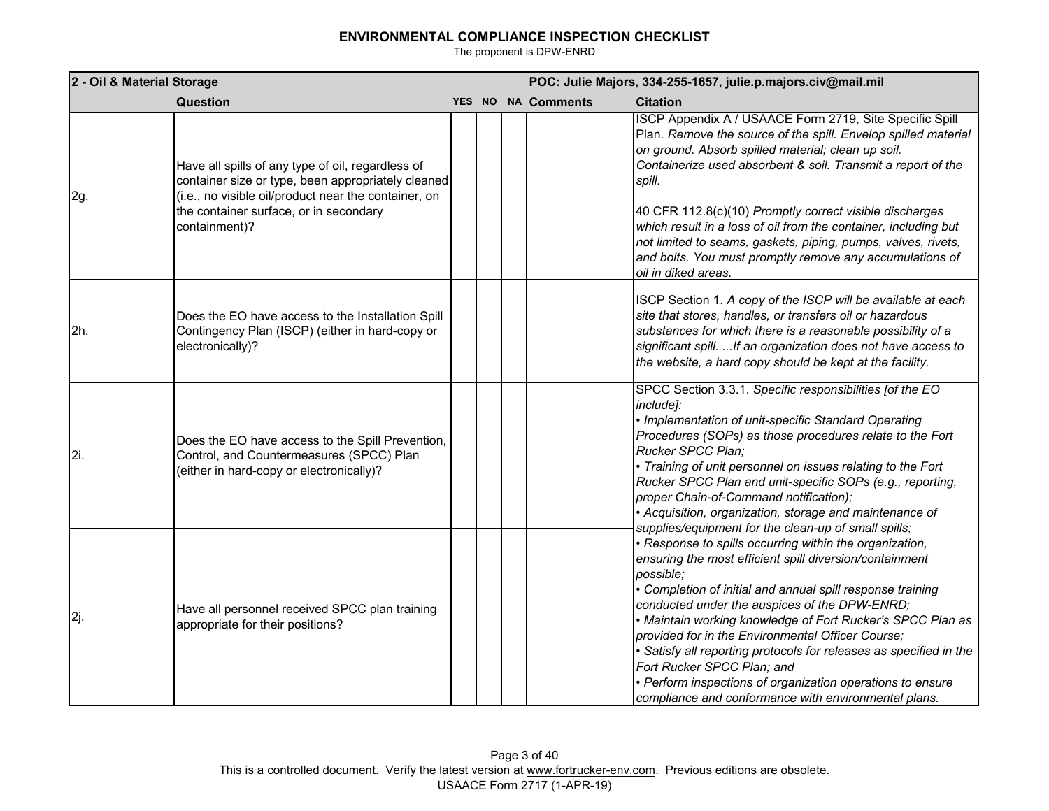| 2 - Oil & Material Storage |                                                                                                                                                                                                                            |  |  |  |                    | POC: Julie Majors, 334-255-1657, julie.p.majors.civ@mail.mil                                                                                                                                                                                                                                                                                                                                                                                                                                                                                                                            |
|----------------------------|----------------------------------------------------------------------------------------------------------------------------------------------------------------------------------------------------------------------------|--|--|--|--------------------|-----------------------------------------------------------------------------------------------------------------------------------------------------------------------------------------------------------------------------------------------------------------------------------------------------------------------------------------------------------------------------------------------------------------------------------------------------------------------------------------------------------------------------------------------------------------------------------------|
|                            | Question                                                                                                                                                                                                                   |  |  |  | YES NO NA Comments | <b>Citation</b>                                                                                                                                                                                                                                                                                                                                                                                                                                                                                                                                                                         |
| 2g.                        | Have all spills of any type of oil, regardless of<br>container size or type, been appropriately cleaned<br>(i.e., no visible oil/product near the container, on<br>the container surface, or in secondary<br>containment)? |  |  |  |                    | ISCP Appendix A / USAACE Form 2719, Site Specific Spill<br>Plan. Remove the source of the spill. Envelop spilled material<br>on ground. Absorb spilled material; clean up soil.<br>Containerize used absorbent & soil. Transmit a report of the<br>spill.<br>40 CFR 112.8(c)(10) Promptly correct visible discharges<br>which result in a loss of oil from the container, including but<br>not limited to seams, gaskets, piping, pumps, valves, rivets,<br>and bolts. You must promptly remove any accumulations of<br>oil in diked areas.                                             |
| 2h.                        | Does the EO have access to the Installation Spill<br>Contingency Plan (ISCP) (either in hard-copy or<br>electronically)?                                                                                                   |  |  |  |                    | ISCP Section 1. A copy of the ISCP will be available at each<br>site that stores, handles, or transfers oil or hazardous<br>substances for which there is a reasonable possibility of a<br>significant spill.  If an organization does not have access to<br>the website, a hard copy should be kept at the facility.                                                                                                                                                                                                                                                                   |
| 2i.                        | Does the EO have access to the Spill Prevention,<br>Control, and Countermeasures (SPCC) Plan<br>(either in hard-copy or electronically)?                                                                                   |  |  |  |                    | SPCC Section 3.3.1. Specific responsibilities [of the EO<br>include]:<br>· Implementation of unit-specific Standard Operating<br>Procedures (SOPs) as those procedures relate to the Fort<br>Rucker SPCC Plan;<br>· Training of unit personnel on issues relating to the Fort<br>Rucker SPCC Plan and unit-specific SOPs (e.g., reporting,<br>proper Chain-of-Command notification);<br>· Acquisition, organization, storage and maintenance of<br>supplies/equipment for the clean-up of small spills;                                                                                 |
| 2j.                        | Have all personnel received SPCC plan training<br>appropriate for their positions?                                                                                                                                         |  |  |  |                    | · Response to spills occurring within the organization,<br>ensuring the most efficient spill diversion/containment<br>possible;<br>Completion of initial and annual spill response training<br>conducted under the auspices of the DPW-ENRD;<br>• Maintain working knowledge of Fort Rucker's SPCC Plan as<br>provided for in the Environmental Officer Course;<br>Satisfy all reporting protocols for releases as specified in the<br>Fort Rucker SPCC Plan; and<br>· Perform inspections of organization operations to ensure<br>compliance and conformance with environmental plans. |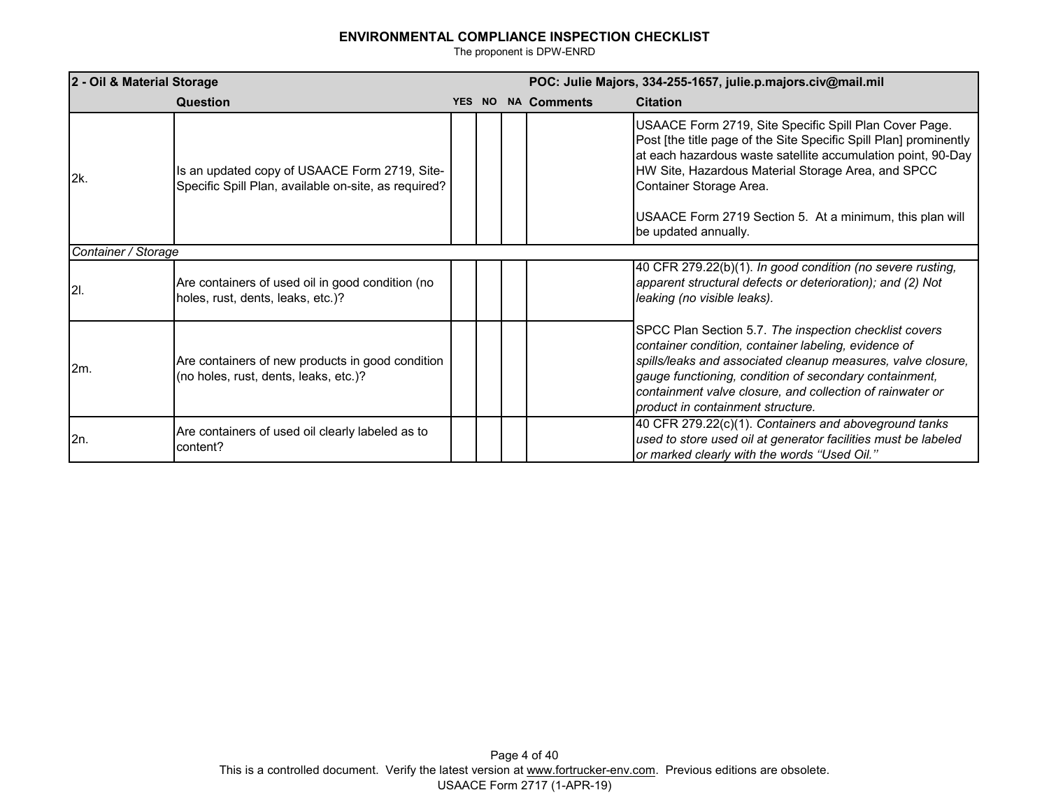| 2 - Oil & Material Storage |                                                                                                       | POC: Julie Majors, 334-255-1657, julie.p.majors.civ@mail.mil |  |  |                    |                                                                                                                                                                                                                                                                                                                                            |  |  |  |
|----------------------------|-------------------------------------------------------------------------------------------------------|--------------------------------------------------------------|--|--|--------------------|--------------------------------------------------------------------------------------------------------------------------------------------------------------------------------------------------------------------------------------------------------------------------------------------------------------------------------------------|--|--|--|
|                            | Question                                                                                              | YES NO                                                       |  |  | <b>NA Comments</b> | <b>Citation</b>                                                                                                                                                                                                                                                                                                                            |  |  |  |
| 2k.                        | Is an updated copy of USAACE Form 2719, Site-<br>Specific Spill Plan, available on-site, as required? |                                                              |  |  |                    | USAACE Form 2719, Site Specific Spill Plan Cover Page.<br>Post [the title page of the Site Specific Spill Plan] prominently<br>at each hazardous waste satellite accumulation point, 90-Day<br>HW Site, Hazardous Material Storage Area, and SPCC<br>Container Storage Area.                                                               |  |  |  |
|                            |                                                                                                       |                                                              |  |  |                    | USAACE Form 2719 Section 5. At a minimum, this plan will<br>be updated annually.                                                                                                                                                                                                                                                           |  |  |  |
|                            | Container / Storage                                                                                   |                                                              |  |  |                    |                                                                                                                                                                                                                                                                                                                                            |  |  |  |
| <b>2</b> I.                | Are containers of used oil in good condition (no<br>holes, rust, dents, leaks, etc.)?                 |                                                              |  |  |                    | 40 CFR 279.22(b)(1). In good condition (no severe rusting,<br>apparent structural defects or deterioration); and (2) Not<br>leaking (no visible leaks).                                                                                                                                                                                    |  |  |  |
| 2m.                        | Are containers of new products in good condition<br>(no holes, rust, dents, leaks, etc.)?             |                                                              |  |  |                    | SPCC Plan Section 5.7. The inspection checklist covers<br>container condition, container labeling, evidence of<br>spills/leaks and associated cleanup measures, valve closure,<br>gauge functioning, condition of secondary containment,<br>containment valve closure, and collection of rainwater or<br>product in containment structure. |  |  |  |
| 2n.                        | Are containers of used oil clearly labeled as to<br>content?                                          |                                                              |  |  |                    | 40 CFR 279.22(c)(1). Containers and aboveground tanks<br>used to store used oil at generator facilities must be labeled<br>or marked clearly with the words "Used Oil."                                                                                                                                                                    |  |  |  |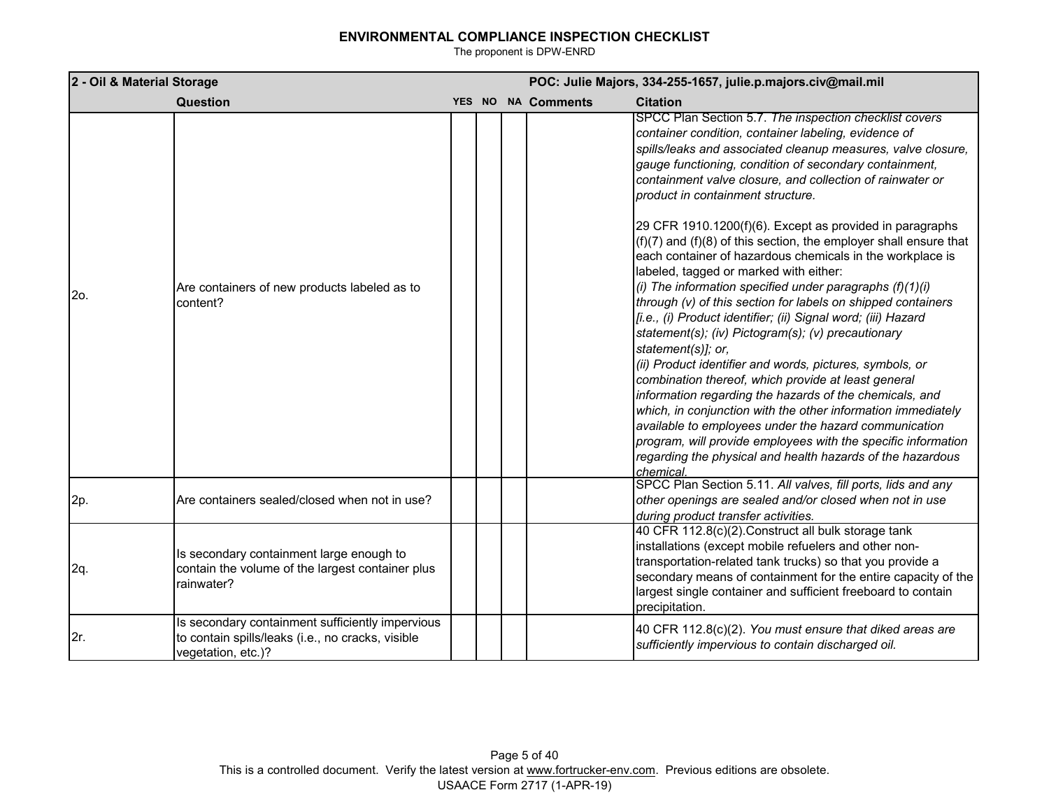| 2 - Oil & Material Storage |                                                                                                                             | POC: Julie Majors, 334-255-1657, julie.p.majors.civ@mail.mil |  |                    |                                                                                                                                                                                                                                                                                                                                                                                                                                                                                                                                                                                                                                                                                                                                                                                                                                                                                                                                                                                                                                                                                                                                                                                                                                                                                                       |
|----------------------------|-----------------------------------------------------------------------------------------------------------------------------|--------------------------------------------------------------|--|--------------------|-------------------------------------------------------------------------------------------------------------------------------------------------------------------------------------------------------------------------------------------------------------------------------------------------------------------------------------------------------------------------------------------------------------------------------------------------------------------------------------------------------------------------------------------------------------------------------------------------------------------------------------------------------------------------------------------------------------------------------------------------------------------------------------------------------------------------------------------------------------------------------------------------------------------------------------------------------------------------------------------------------------------------------------------------------------------------------------------------------------------------------------------------------------------------------------------------------------------------------------------------------------------------------------------------------|
|                            | Question                                                                                                                    |                                                              |  | YES NO NA Comments | <b>Citation</b>                                                                                                                                                                                                                                                                                                                                                                                                                                                                                                                                                                                                                                                                                                                                                                                                                                                                                                                                                                                                                                                                                                                                                                                                                                                                                       |
| 2o.                        | Are containers of new products labeled as to<br>content?                                                                    |                                                              |  |                    | SPCC Plan Section 5.7. The inspection checklist covers<br>container condition, container labeling, evidence of<br>spills/leaks and associated cleanup measures, valve closure,<br>gauge functioning, condition of secondary containment,<br>containment valve closure, and collection of rainwater or<br>product in containment structure.<br>29 CFR 1910.1200(f)(6). Except as provided in paragraphs<br>$(f)(7)$ and (f)(8) of this section, the employer shall ensure that<br>each container of hazardous chemicals in the workplace is<br>labeled, tagged or marked with either:<br>(i) The information specified under paragraphs $(f)(1)(i)$<br>through (v) of this section for labels on shipped containers<br>[i.e., (i) Product identifier; (ii) Signal word; (iii) Hazard<br>statement(s); (iv) Pictogram(s); (v) precautionary<br>statement(s)]; or,<br>(ii) Product identifier and words, pictures, symbols, or<br>combination thereof, which provide at least general<br>information regarding the hazards of the chemicals, and<br>which, in conjunction with the other information immediately<br>available to employees under the hazard communication<br>program, will provide employees with the specific information<br>regarding the physical and health hazards of the hazardous |
| 2p.                        | Are containers sealed/closed when not in use?                                                                               |                                                              |  |                    | chemical.<br>SPCC Plan Section 5.11. All valves, fill ports, lids and any<br>other openings are sealed and/or closed when not in use<br>during product transfer activities.                                                                                                                                                                                                                                                                                                                                                                                                                                                                                                                                                                                                                                                                                                                                                                                                                                                                                                                                                                                                                                                                                                                           |
| 2q.                        | Is secondary containment large enough to<br>contain the volume of the largest container plus<br>rainwater?                  |                                                              |  |                    | 40 CFR 112.8(c)(2). Construct all bulk storage tank<br>installations (except mobile refuelers and other non-<br>transportation-related tank trucks) so that you provide a<br>secondary means of containment for the entire capacity of the<br>largest single container and sufficient freeboard to contain<br>precipitation.                                                                                                                                                                                                                                                                                                                                                                                                                                                                                                                                                                                                                                                                                                                                                                                                                                                                                                                                                                          |
| 2r.                        | Is secondary containment sufficiently impervious<br>to contain spills/leaks (i.e., no cracks, visible<br>vegetation, etc.)? |                                                              |  |                    | 40 CFR 112.8(c)(2). You must ensure that diked areas are<br>sufficiently impervious to contain discharged oil.                                                                                                                                                                                                                                                                                                                                                                                                                                                                                                                                                                                                                                                                                                                                                                                                                                                                                                                                                                                                                                                                                                                                                                                        |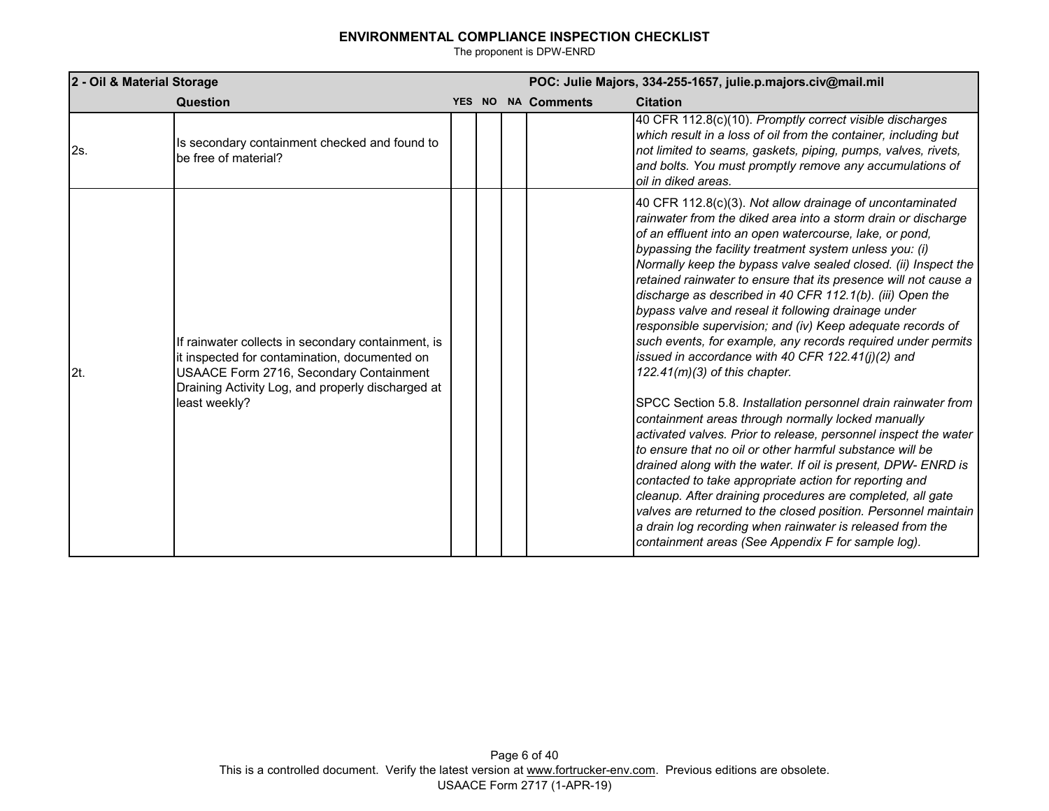| 2 - Oil & Material Storage |                                                                                                                                                                                                                      | POC: Julie Majors, 334-255-1657, julie.p.majors.civ@mail.mil |  |                    |                                                                                                                                                                                                                                                                                                                                                                                                                                                                                                                                                                                                                                                                                                                                                                                                                                                                                                                                                                                                                                                                                                                    |
|----------------------------|----------------------------------------------------------------------------------------------------------------------------------------------------------------------------------------------------------------------|--------------------------------------------------------------|--|--------------------|--------------------------------------------------------------------------------------------------------------------------------------------------------------------------------------------------------------------------------------------------------------------------------------------------------------------------------------------------------------------------------------------------------------------------------------------------------------------------------------------------------------------------------------------------------------------------------------------------------------------------------------------------------------------------------------------------------------------------------------------------------------------------------------------------------------------------------------------------------------------------------------------------------------------------------------------------------------------------------------------------------------------------------------------------------------------------------------------------------------------|
|                            | <b>Question</b>                                                                                                                                                                                                      |                                                              |  | YES NO NA Comments | <b>Citation</b>                                                                                                                                                                                                                                                                                                                                                                                                                                                                                                                                                                                                                                                                                                                                                                                                                                                                                                                                                                                                                                                                                                    |
| 2s.                        | Is secondary containment checked and found to<br>be free of material?                                                                                                                                                |                                                              |  |                    | 40 CFR 112.8(c)(10). Promptly correct visible discharges<br>which result in a loss of oil from the container, including but<br>not limited to seams, gaskets, piping, pumps, valves, rivets,<br>and bolts. You must promptly remove any accumulations of<br>oil in diked areas.                                                                                                                                                                                                                                                                                                                                                                                                                                                                                                                                                                                                                                                                                                                                                                                                                                    |
| 2t.                        | If rainwater collects in secondary containment, is<br>it inspected for contamination, documented on<br>USAACE Form 2716, Secondary Containment<br>Draining Activity Log, and properly discharged at<br>least weekly? |                                                              |  |                    | 40 CFR 112.8(c)(3). Not allow drainage of uncontaminated<br>rainwater from the diked area into a storm drain or discharge<br>of an effluent into an open watercourse, lake, or pond,<br>bypassing the facility treatment system unless you: (i)<br>Normally keep the bypass valve sealed closed. (ii) Inspect the<br>retained rainwater to ensure that its presence will not cause a<br>discharge as described in 40 CFR 112.1(b). (iii) Open the<br>bypass valve and reseal it following drainage under<br>responsible supervision; and (iv) Keep adequate records of<br>such events, for example, any records required under permits<br>issued in accordance with 40 CFR 122.41 $(i)(2)$ and<br>$122.41(m)(3)$ of this chapter.<br>SPCC Section 5.8. Installation personnel drain rainwater from<br>containment areas through normally locked manually<br>activated valves. Prior to release, personnel inspect the water<br>to ensure that no oil or other harmful substance will be<br>drained along with the water. If oil is present, DPW- ENRD is<br>contacted to take appropriate action for reporting and |
|                            |                                                                                                                                                                                                                      |                                                              |  |                    | cleanup. After draining procedures are completed, all gate<br>valves are returned to the closed position. Personnel maintain<br>a drain log recording when rainwater is released from the<br>containment areas (See Appendix F for sample log).                                                                                                                                                                                                                                                                                                                                                                                                                                                                                                                                                                                                                                                                                                                                                                                                                                                                    |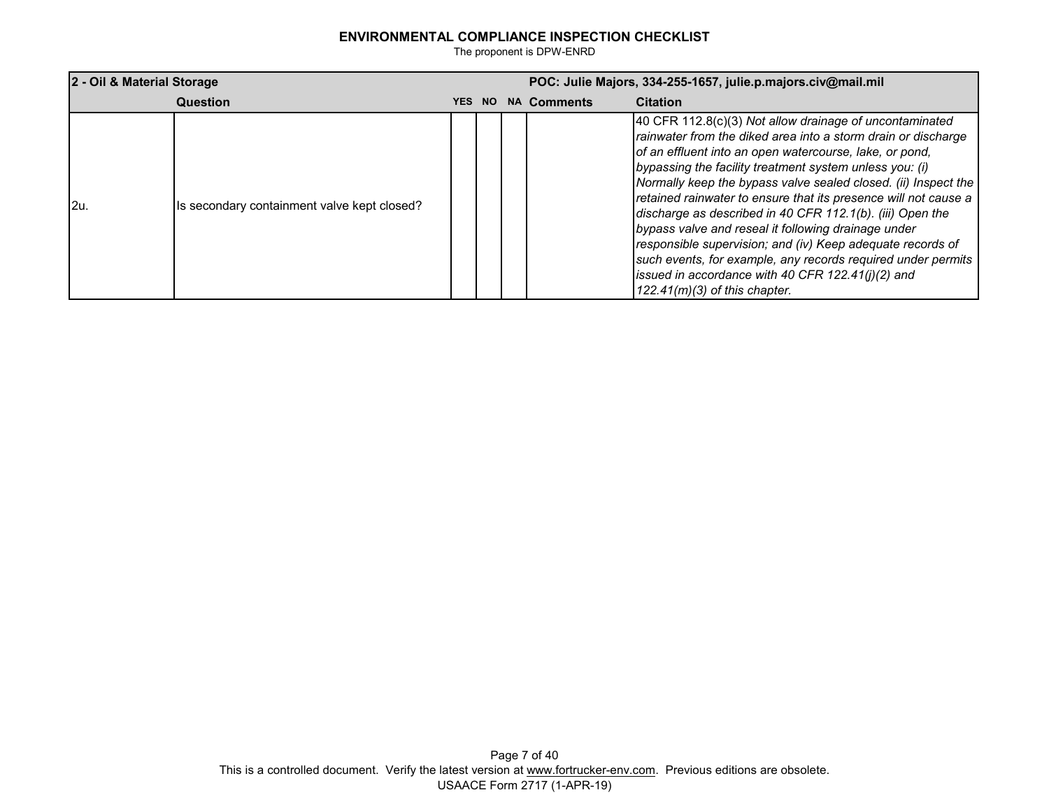| 2 - Oil & Material Storage |                                             | POC: Julie Majors, 334-255-1657, julie.p.majors.civ@mail.mil |     |  |                    |                                                                                                                                                                                                                                                                                                                                                                                                                                                                                                                                                                                                                                                                                                                                 |
|----------------------------|---------------------------------------------|--------------------------------------------------------------|-----|--|--------------------|---------------------------------------------------------------------------------------------------------------------------------------------------------------------------------------------------------------------------------------------------------------------------------------------------------------------------------------------------------------------------------------------------------------------------------------------------------------------------------------------------------------------------------------------------------------------------------------------------------------------------------------------------------------------------------------------------------------------------------|
|                            | Question                                    | YES.                                                         | NO. |  | <b>NA Comments</b> | <b>Citation</b>                                                                                                                                                                                                                                                                                                                                                                                                                                                                                                                                                                                                                                                                                                                 |
| l2u.                       | Is secondary containment valve kept closed? |                                                              |     |  |                    | 40 CFR 112.8(c)(3) Not allow drainage of uncontaminated<br>rainwater from the diked area into a storm drain or discharge<br>of an effluent into an open watercourse, lake, or pond,<br>bypassing the facility treatment system unless you: (i)<br>Normally keep the bypass valve sealed closed. (ii) Inspect the<br>retained rainwater to ensure that its presence will not cause a<br>discharge as described in 40 CFR 112.1(b). (iii) Open the<br>bypass valve and reseal it following drainage under<br>responsible supervision; and (iv) Keep adequate records of<br>such events, for example, any records required under permits<br>issued in accordance with 40 CFR $122.41(j)(2)$ and<br>$122.41(m)(3)$ of this chapter. |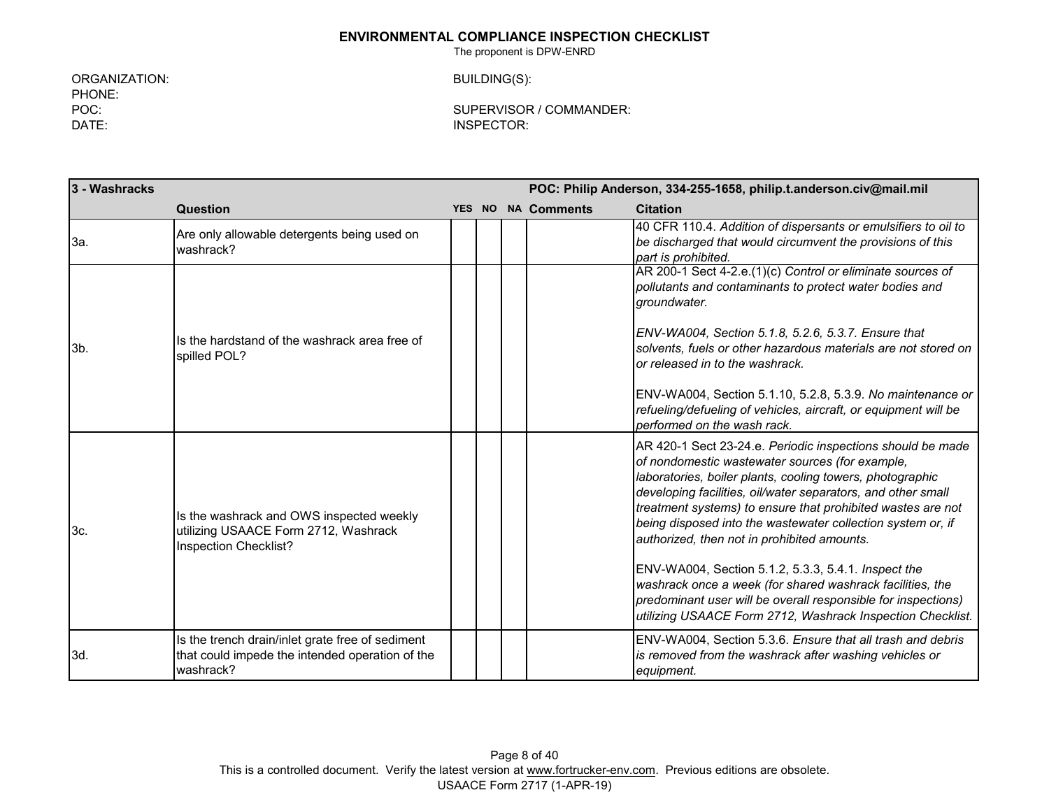The proponent is DPW-ENRD

ORGANIZATION: BUILDING(S): PHONE:<br>POC: DATE: INSPECTOR:

SUPERVISOR / COMMANDER:

| 3 - Washracks  |                                                                                                           |  |  |  |                    | POC: Philip Anderson, 334-255-1658, philip.t.anderson.civ@mail.mil                                                                                                                                                                                                                                                                                                                                                                                                                                                                                                                                                                                                         |
|----------------|-----------------------------------------------------------------------------------------------------------|--|--|--|--------------------|----------------------------------------------------------------------------------------------------------------------------------------------------------------------------------------------------------------------------------------------------------------------------------------------------------------------------------------------------------------------------------------------------------------------------------------------------------------------------------------------------------------------------------------------------------------------------------------------------------------------------------------------------------------------------|
|                | Question                                                                                                  |  |  |  | YES NO NA Comments | <b>Citation</b>                                                                                                                                                                                                                                                                                                                                                                                                                                                                                                                                                                                                                                                            |
| 3a.            | Are only allowable detergents being used on<br>washrack?                                                  |  |  |  |                    | 40 CFR 110.4. Addition of dispersants or emulsifiers to oil to<br>be discharged that would circumvent the provisions of this<br>part is prohibited.                                                                                                                                                                                                                                                                                                                                                                                                                                                                                                                        |
|                |                                                                                                           |  |  |  |                    | AR 200-1 Sect 4-2.e.(1)(c) Control or eliminate sources of<br>pollutants and contaminants to protect water bodies and<br>groundwater.                                                                                                                                                                                                                                                                                                                                                                                                                                                                                                                                      |
| 3 <sub>b</sub> | Is the hardstand of the washrack area free of<br>spilled POL?                                             |  |  |  |                    | ENV-WA004, Section 5.1.8, 5.2.6, 5.3.7. Ensure that<br>solvents, fuels or other hazardous materials are not stored on<br>or released in to the washrack.                                                                                                                                                                                                                                                                                                                                                                                                                                                                                                                   |
|                |                                                                                                           |  |  |  |                    | ENV-WA004, Section 5.1.10, 5.2.8, 5.3.9. No maintenance or<br>refueling/defueling of vehicles, aircraft, or equipment will be<br>performed on the wash rack.                                                                                                                                                                                                                                                                                                                                                                                                                                                                                                               |
| 3c.            | Is the washrack and OWS inspected weekly<br>utilizing USAACE Form 2712, Washrack<br>Inspection Checklist? |  |  |  |                    | AR 420-1 Sect 23-24.e. Periodic inspections should be made<br>of nondomestic wastewater sources (for example,<br>laboratories, boiler plants, cooling towers, photographic<br>developing facilities, oil/water separators, and other small<br>treatment systems) to ensure that prohibited wastes are not<br>being disposed into the wastewater collection system or, if<br>authorized, then not in prohibited amounts.<br>ENV-WA004, Section 5.1.2, 5.3.3, 5.4.1. Inspect the<br>washrack once a week (for shared washrack facilities, the<br>predominant user will be overall responsible for inspections)<br>utilizing USAACE Form 2712, Washrack Inspection Checklist. |
|                | Is the trench drain/inlet grate free of sediment                                                          |  |  |  |                    | ENV-WA004, Section 5.3.6. Ensure that all trash and debris                                                                                                                                                                                                                                                                                                                                                                                                                                                                                                                                                                                                                 |
| 3d.            | that could impede the intended operation of the<br>washrack?                                              |  |  |  |                    | is removed from the washrack after washing vehicles or<br>equipment.                                                                                                                                                                                                                                                                                                                                                                                                                                                                                                                                                                                                       |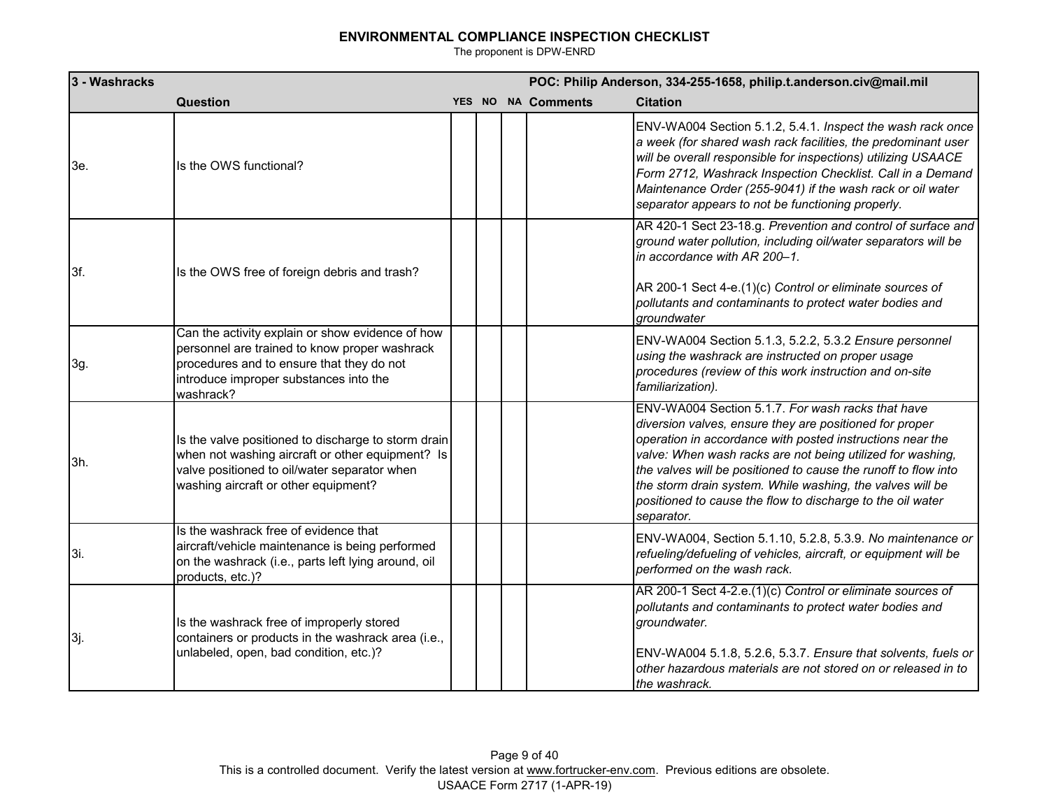| 3 - Washracks |                                                                                                                                                                                                       |  | POC: Philip Anderson, 334-255-1658, philip.t.anderson.civ@mail.mil |                                                                                                                                                                                                                                                                                                                                                                                                                                                    |  |  |  |
|---------------|-------------------------------------------------------------------------------------------------------------------------------------------------------------------------------------------------------|--|--------------------------------------------------------------------|----------------------------------------------------------------------------------------------------------------------------------------------------------------------------------------------------------------------------------------------------------------------------------------------------------------------------------------------------------------------------------------------------------------------------------------------------|--|--|--|
|               | <b>Question</b>                                                                                                                                                                                       |  | YES NO NA Comments                                                 | <b>Citation</b>                                                                                                                                                                                                                                                                                                                                                                                                                                    |  |  |  |
| 3e.           | Is the OWS functional?                                                                                                                                                                                |  |                                                                    | ENV-WA004 Section 5.1.2, 5.4.1. Inspect the wash rack once<br>a week (for shared wash rack facilities, the predominant user<br>will be overall responsible for inspections) utilizing USAACE<br>Form 2712, Washrack Inspection Checklist. Call in a Demand<br>Maintenance Order (255-9041) if the wash rack or oil water<br>separator appears to not be functioning properly.                                                                      |  |  |  |
| 3f.           | Is the OWS free of foreign debris and trash?                                                                                                                                                          |  |                                                                    | AR 420-1 Sect 23-18.g. Prevention and control of surface and<br>ground water pollution, including oil/water separators will be<br>in accordance with AR 200-1.<br>AR 200-1 Sect 4-e.(1)(c) Control or eliminate sources of<br>pollutants and contaminants to protect water bodies and<br>groundwater                                                                                                                                               |  |  |  |
| 3g.           | Can the activity explain or show evidence of how<br>personnel are trained to know proper washrack<br>procedures and to ensure that they do not<br>introduce improper substances into the<br>washrack? |  |                                                                    | ENV-WA004 Section 5.1.3, 5.2.2, 5.3.2 Ensure personnel<br>using the washrack are instructed on proper usage<br>procedures (review of this work instruction and on-site<br>familiarization).                                                                                                                                                                                                                                                        |  |  |  |
| 3h.           | Is the valve positioned to discharge to storm drain<br>when not washing aircraft or other equipment? Is<br>valve positioned to oil/water separator when<br>washing aircraft or other equipment?       |  |                                                                    | ENV-WA004 Section 5.1.7. For wash racks that have<br>diversion valves, ensure they are positioned for proper<br>operation in accordance with posted instructions near the<br>valve: When wash racks are not being utilized for washing,<br>the valves will be positioned to cause the runoff to flow into<br>the storm drain system. While washing, the valves will be<br>positioned to cause the flow to discharge to the oil water<br>separator. |  |  |  |
| 3i.           | Is the washrack free of evidence that<br>aircraft/vehicle maintenance is being performed<br>on the washrack (i.e., parts left lying around, oil<br>products, etc.)?                                   |  |                                                                    | ENV-WA004, Section 5.1.10, 5.2.8, 5.3.9. No maintenance or<br>refueling/defueling of vehicles, aircraft, or equipment will be<br>performed on the wash rack.                                                                                                                                                                                                                                                                                       |  |  |  |
| 3j.           | Is the washrack free of improperly stored<br>containers or products in the washrack area (i.e.,<br>unlabeled, open, bad condition, etc.)?                                                             |  |                                                                    | AR 200-1 Sect 4-2.e.(1)(c) Control or eliminate sources of<br>pollutants and contaminants to protect water bodies and<br>groundwater.<br>ENV-WA004 5.1.8, 5.2.6, 5.3.7. Ensure that solvents, fuels or<br>other hazardous materials are not stored on or released in to<br>the washrack.                                                                                                                                                           |  |  |  |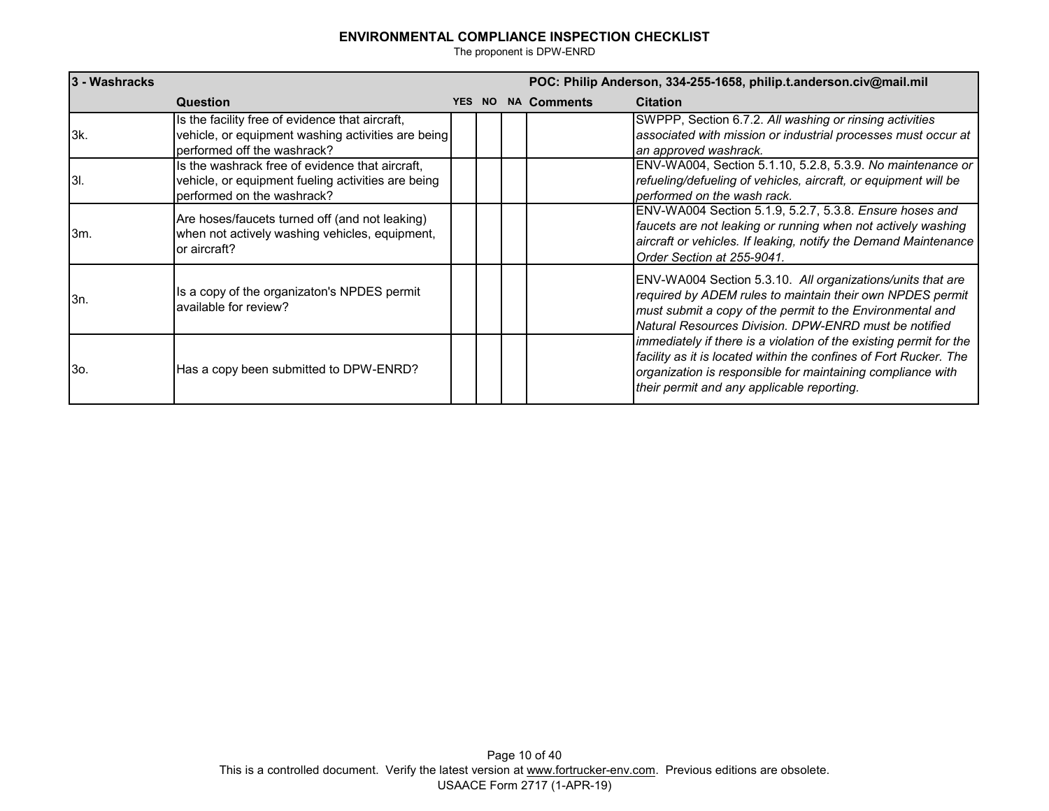| 3 - Washracks |                                                                                                                                      |        | POC: Philip Anderson, 334-255-1658, philip.t.anderson.civ@mail.mil |                                                                                                                                                                                                                                                      |  |  |
|---------------|--------------------------------------------------------------------------------------------------------------------------------------|--------|--------------------------------------------------------------------|------------------------------------------------------------------------------------------------------------------------------------------------------------------------------------------------------------------------------------------------------|--|--|
|               | <b>Question</b>                                                                                                                      | YES NO | <b>NA Comments</b>                                                 | <b>Citation</b>                                                                                                                                                                                                                                      |  |  |
| l3k.          | Is the facility free of evidence that aircraft,<br>vehicle, or equipment washing activities are being<br>performed off the washrack? |        |                                                                    | SWPPP, Section 6.7.2. All washing or rinsing activities<br>associated with mission or industrial processes must occur at<br>an approved washrack.                                                                                                    |  |  |
| I3I.          | Is the washrack free of evidence that aircraft,<br>vehicle, or equipment fueling activities are being<br>performed on the washrack?  |        |                                                                    | ENV-WA004, Section 5.1.10, 5.2.8, 5.3.9. No maintenance or<br>refueling/defueling of vehicles, aircraft, or equipment will be<br>performed on the wash rack.                                                                                         |  |  |
| l3m.          | Are hoses/faucets turned off (and not leaking)<br>when not actively washing vehicles, equipment,<br>or aircraft?                     |        |                                                                    | ENV-WA004 Section 5.1.9, 5.2.7, 5.3.8. Ensure hoses and<br>faucets are not leaking or running when not actively washing<br>aircraft or vehicles. If leaking, notify the Demand Maintenance<br>Order Section at 255-9041.                             |  |  |
| l3n.          | Is a copy of the organizaton's NPDES permit<br>available for review?                                                                 |        |                                                                    | ENV-WA004 Section 5.3.10. All organizations/units that are<br>required by ADEM rules to maintain their own NPDES permit<br>must submit a copy of the permit to the Environmental and<br>Natural Resources Division. DPW-ENRD must be notified        |  |  |
| l3o.          | Has a copy been submitted to DPW-ENRD?                                                                                               |        |                                                                    | immediately if there is a violation of the existing permit for the<br>facility as it is located within the confines of Fort Rucker. The<br>organization is responsible for maintaining compliance with<br>their permit and any applicable reporting. |  |  |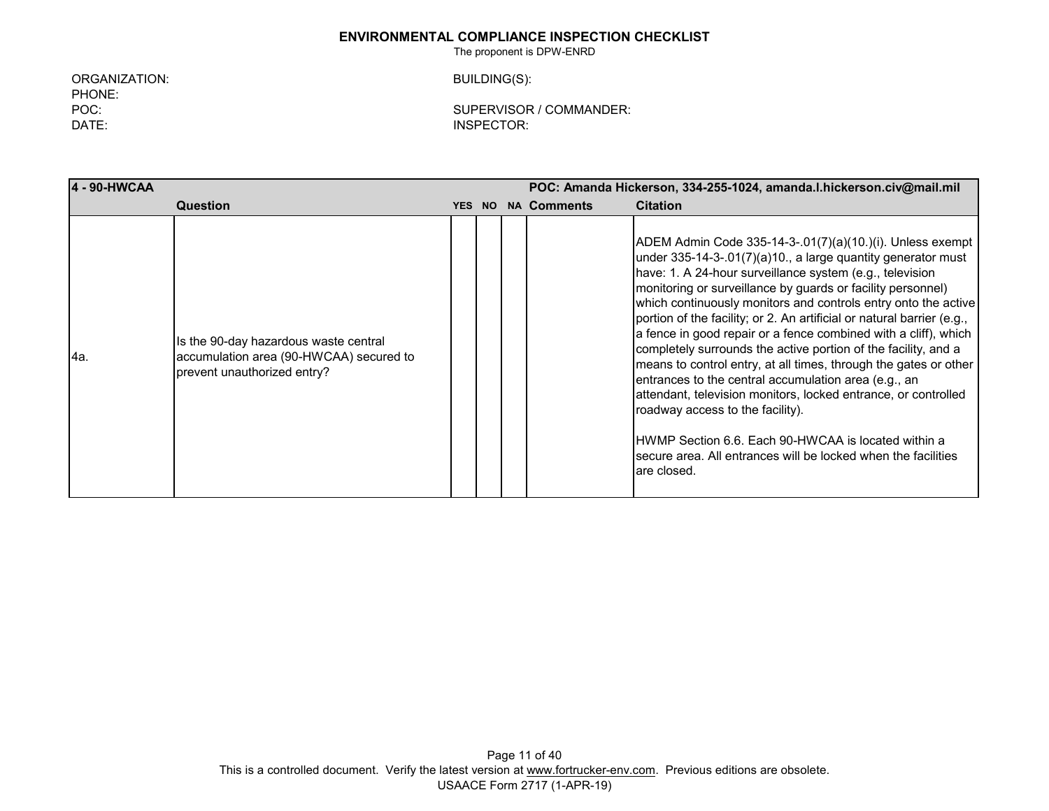The proponent is DPW-ENRD

ORGANIZATION: BUILDING(S): PHONE: DATE: INSPECTOR:

POC: SUPERVISOR / COMMANDER:

**4 - 90-HWCAA POC: Amanda Hickerson, 334-255-1024, amanda.l.hickerson.civ@mail.mil Question YES NO NA Comments Citation** 4a. Is the 90-day hazardous waste central accumulation area (90-HWCAA) secured to prevent unauthorized entry? ADEM Admin Code 335-14-3-.01(7)(a)(10.)(i). Unless exempt under 335-14-3-.01(7)(a)10., a large quantity generator must have: 1. A 24-hour surveillance system (e.g., television monitoring or surveillance by guards or facility personnel) which continuously monitors and controls entry onto the active portion of the facility; or 2. An artificial or natural barrier (e.g., a fence in good repair or a fence combined with a cliff), which completely surrounds the active portion of the facility, and a means to control entry, at all times, through the gates or other entrances to the central accumulation area (e.g., an attendant, television monitors, locked entrance, or controlled roadway access to the facility). HWMP Section 6.6. Each 90-HWCAA is located within a secure area. All entrances will be locked when the facilities are closed.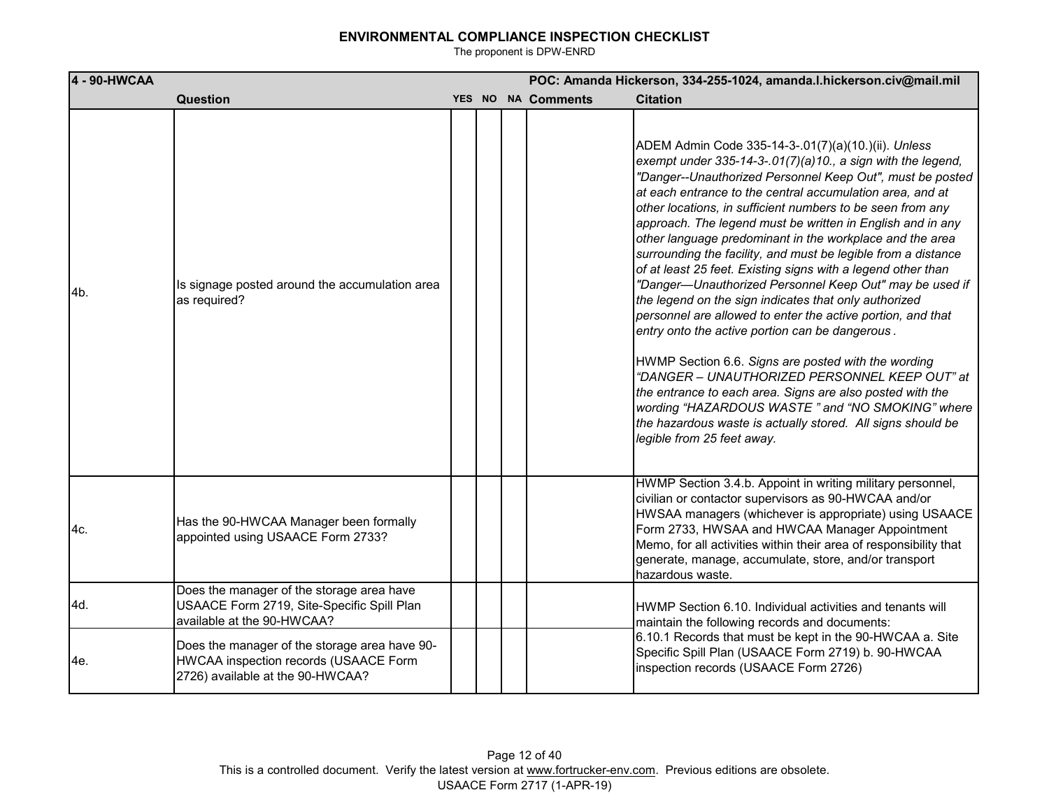| 4 - 90-HWCAA |                                                                                                                            | POC: Amanda Hickerson, 334-255-1024, amanda.l.hickerson.civ@mail.mil |  |  |                    |                                                                                                                                                                                                                                                                                                                                                                                                                                                                                                                                                                                                                                                                                                                                                                                                                                                                                                                                                                                                                                                                                                                                   |  |  |  |  |
|--------------|----------------------------------------------------------------------------------------------------------------------------|----------------------------------------------------------------------|--|--|--------------------|-----------------------------------------------------------------------------------------------------------------------------------------------------------------------------------------------------------------------------------------------------------------------------------------------------------------------------------------------------------------------------------------------------------------------------------------------------------------------------------------------------------------------------------------------------------------------------------------------------------------------------------------------------------------------------------------------------------------------------------------------------------------------------------------------------------------------------------------------------------------------------------------------------------------------------------------------------------------------------------------------------------------------------------------------------------------------------------------------------------------------------------|--|--|--|--|
|              | <b>Question</b>                                                                                                            |                                                                      |  |  | YES NO NA Comments | <b>Citation</b>                                                                                                                                                                                                                                                                                                                                                                                                                                                                                                                                                                                                                                                                                                                                                                                                                                                                                                                                                                                                                                                                                                                   |  |  |  |  |
| 4b.          | Is signage posted around the accumulation area<br>as required?                                                             |                                                                      |  |  |                    | ADEM Admin Code 335-14-3-.01(7)(a)(10.)(ii). Unless<br>exempt under 335-14-3-.01(7)(a)10., a sign with the legend,<br>"Danger--Unauthorized Personnel Keep Out", must be posted<br>at each entrance to the central accumulation area, and at<br>other locations, in sufficient numbers to be seen from any<br>approach. The legend must be written in English and in any<br>other language predominant in the workplace and the area<br>surrounding the facility, and must be legible from a distance<br>of at least 25 feet. Existing signs with a legend other than<br>"Danger-Unauthorized Personnel Keep Out" may be used if<br>the legend on the sign indicates that only authorized<br>personnel are allowed to enter the active portion, and that<br>entry onto the active portion can be dangerous.<br>HWMP Section 6.6. Signs are posted with the wording<br>"DANGER - UNAUTHORIZED PERSONNEL KEEP OUT" at<br>the entrance to each area. Signs are also posted with the<br>wording "HAZARDOUS WASTE" and "NO SMOKING" where<br>the hazardous waste is actually stored. All signs should be<br>legible from 25 feet away. |  |  |  |  |
| 4c.          | Has the 90-HWCAA Manager been formally<br>appointed using USAACE Form 2733?                                                |                                                                      |  |  |                    | HWMP Section 3.4.b. Appoint in writing military personnel,<br>civilian or contactor supervisors as 90-HWCAA and/or<br>HWSAA managers (whichever is appropriate) using USAACE<br>Form 2733, HWSAA and HWCAA Manager Appointment<br>Memo, for all activities within their area of responsibility that<br>generate, manage, accumulate, store, and/or transport<br>hazardous waste.                                                                                                                                                                                                                                                                                                                                                                                                                                                                                                                                                                                                                                                                                                                                                  |  |  |  |  |
| 4d.          | Does the manager of the storage area have<br>USAACE Form 2719, Site-Specific Spill Plan<br>available at the 90-HWCAA?      |                                                                      |  |  |                    | HWMP Section 6.10. Individual activities and tenants will<br>maintain the following records and documents:                                                                                                                                                                                                                                                                                                                                                                                                                                                                                                                                                                                                                                                                                                                                                                                                                                                                                                                                                                                                                        |  |  |  |  |
| 4e.          | Does the manager of the storage area have 90-<br>HWCAA inspection records (USAACE Form<br>2726) available at the 90-HWCAA? |                                                                      |  |  |                    | 6.10.1 Records that must be kept in the 90-HWCAA a. Site<br>Specific Spill Plan (USAACE Form 2719) b. 90-HWCAA<br>inspection records (USAACE Form 2726)                                                                                                                                                                                                                                                                                                                                                                                                                                                                                                                                                                                                                                                                                                                                                                                                                                                                                                                                                                           |  |  |  |  |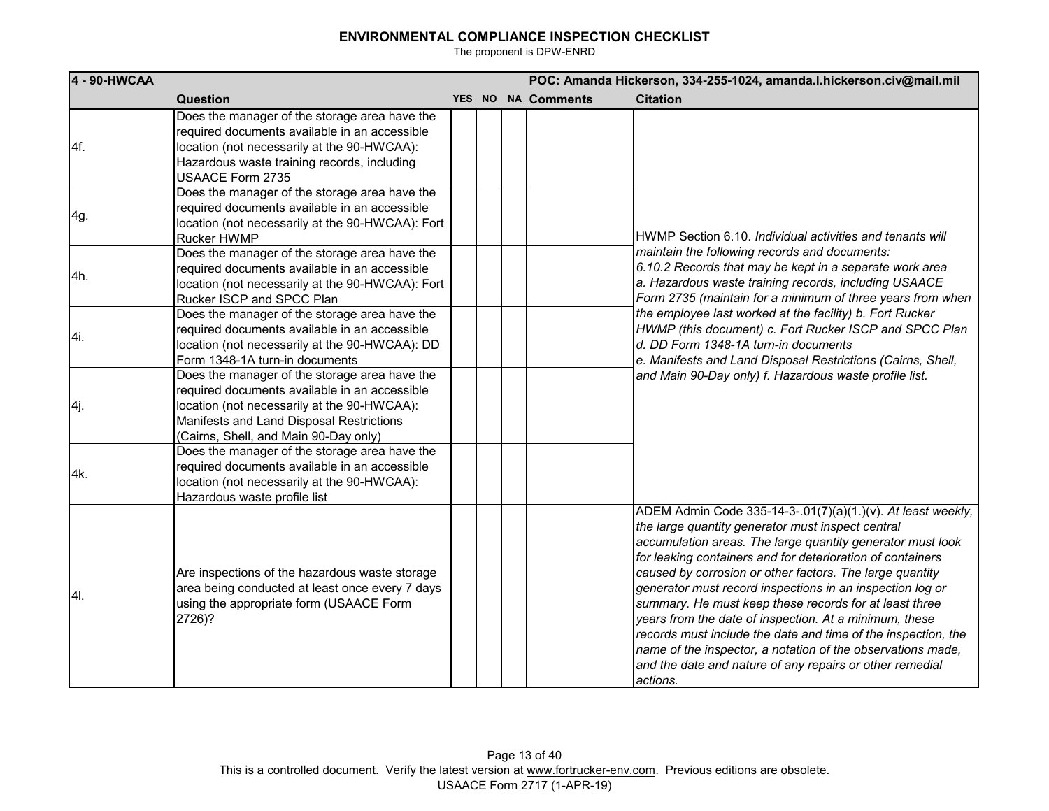| 4 - 90-HWCAA |                                                                                                                                                                                                                                    |  | POC: Amanda Hickerson, 334-255-1024, amanda.l.hickerson.civ@mail.mil |                    |                                                                                                                                                                                                                                                                                                                                                                                                                                                                                                                                                                                                                                                                                                   |  |  |
|--------------|------------------------------------------------------------------------------------------------------------------------------------------------------------------------------------------------------------------------------------|--|----------------------------------------------------------------------|--------------------|---------------------------------------------------------------------------------------------------------------------------------------------------------------------------------------------------------------------------------------------------------------------------------------------------------------------------------------------------------------------------------------------------------------------------------------------------------------------------------------------------------------------------------------------------------------------------------------------------------------------------------------------------------------------------------------------------|--|--|
|              | Question                                                                                                                                                                                                                           |  |                                                                      | YES NO NA Comments | <b>Citation</b>                                                                                                                                                                                                                                                                                                                                                                                                                                                                                                                                                                                                                                                                                   |  |  |
| 4f.          | Does the manager of the storage area have the<br>required documents available in an accessible<br>location (not necessarily at the 90-HWCAA):<br>Hazardous waste training records, including<br>USAACE Form 2735                   |  |                                                                      |                    |                                                                                                                                                                                                                                                                                                                                                                                                                                                                                                                                                                                                                                                                                                   |  |  |
| 4g.          | Does the manager of the storage area have the<br>required documents available in an accessible<br>location (not necessarily at the 90-HWCAA): Fort<br>Rucker HWMP                                                                  |  |                                                                      |                    | HWMP Section 6.10. Individual activities and tenants will                                                                                                                                                                                                                                                                                                                                                                                                                                                                                                                                                                                                                                         |  |  |
| 4h.          | Does the manager of the storage area have the<br>required documents available in an accessible<br>location (not necessarily at the 90-HWCAA): Fort<br>Rucker ISCP and SPCC Plan                                                    |  |                                                                      |                    | maintain the following records and documents:<br>6.10.2 Records that may be kept in a separate work area<br>a. Hazardous waste training records, including USAACE<br>Form 2735 (maintain for a minimum of three years from when                                                                                                                                                                                                                                                                                                                                                                                                                                                                   |  |  |
| 4i.          | Does the manager of the storage area have the<br>required documents available in an accessible<br>location (not necessarily at the 90-HWCAA): DD<br>Form 1348-1A turn-in documents                                                 |  |                                                                      |                    | the employee last worked at the facility) b. Fort Rucker<br>HWMP (this document) c. Fort Rucker ISCP and SPCC Plan<br>d. DD Form 1348-1A turn-in documents<br>e. Manifests and Land Disposal Restrictions (Cairns, Shell,<br>and Main 90-Day only) f. Hazardous waste profile list.                                                                                                                                                                                                                                                                                                                                                                                                               |  |  |
| 4j.          | Does the manager of the storage area have the<br>required documents available in an accessible<br>location (not necessarily at the 90-HWCAA):<br>Manifests and Land Disposal Restrictions<br>(Cairns, Shell, and Main 90-Day only) |  |                                                                      |                    |                                                                                                                                                                                                                                                                                                                                                                                                                                                                                                                                                                                                                                                                                                   |  |  |
| 4k.          | Does the manager of the storage area have the<br>required documents available in an accessible<br>location (not necessarily at the 90-HWCAA):<br>Hazardous waste profile list                                                      |  |                                                                      |                    |                                                                                                                                                                                                                                                                                                                                                                                                                                                                                                                                                                                                                                                                                                   |  |  |
| I4I.         | Are inspections of the hazardous waste storage<br>area being conducted at least once every 7 days<br>using the appropriate form (USAACE Form<br>2726)?                                                                             |  |                                                                      |                    | ADEM Admin Code 335-14-3-.01(7)(a)(1.)(v). At least weekly,<br>the large quantity generator must inspect central<br>accumulation areas. The large quantity generator must look<br>for leaking containers and for deterioration of containers<br>caused by corrosion or other factors. The large quantity<br>generator must record inspections in an inspection log or<br>summary. He must keep these records for at least three<br>years from the date of inspection. At a minimum, these<br>records must include the date and time of the inspection, the<br>name of the inspector, a notation of the observations made,<br>and the date and nature of any repairs or other remedial<br>actions. |  |  |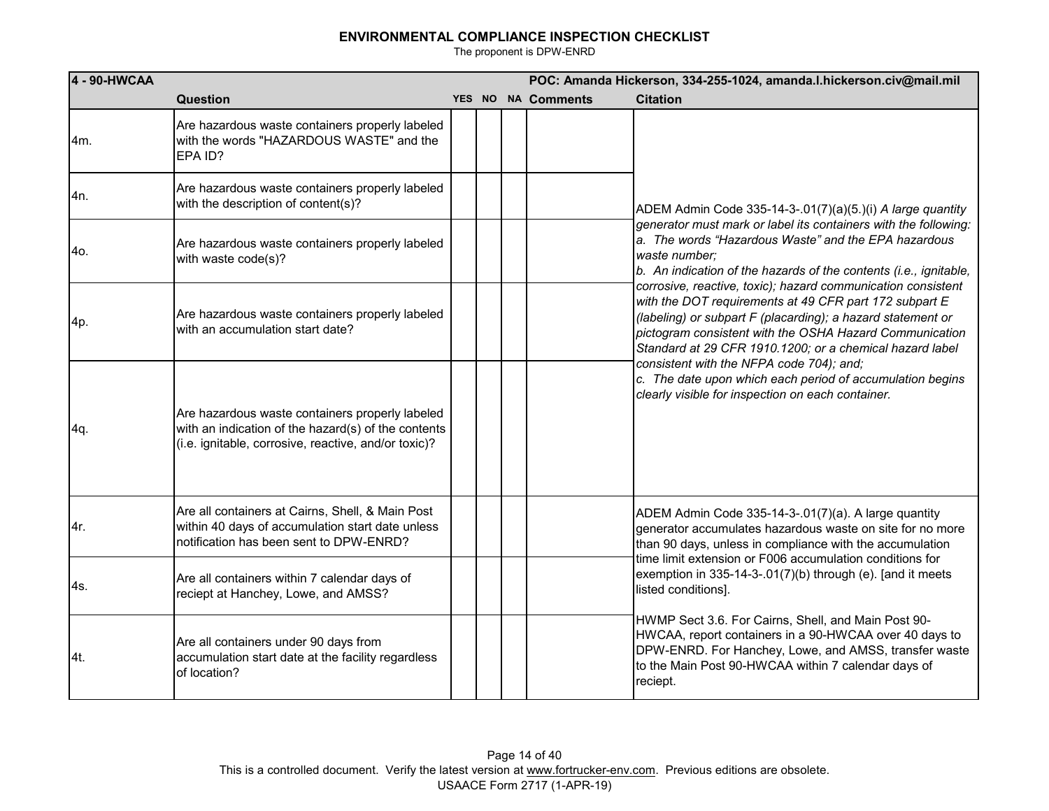| 4 - 90-HWCAA |                                                                                                                                                                |  | POC: Amanda Hickerson, 334-255-1024, amanda.I.hickerson.civ@mail.mil |                                                                                                                                                                                                                                                                                                              |  |  |
|--------------|----------------------------------------------------------------------------------------------------------------------------------------------------------------|--|----------------------------------------------------------------------|--------------------------------------------------------------------------------------------------------------------------------------------------------------------------------------------------------------------------------------------------------------------------------------------------------------|--|--|
|              | Question                                                                                                                                                       |  | YES NO NA Comments                                                   | <b>Citation</b>                                                                                                                                                                                                                                                                                              |  |  |
| 4m.          | Are hazardous waste containers properly labeled<br>with the words "HAZARDOUS WASTE" and the<br>EPA ID?                                                         |  |                                                                      |                                                                                                                                                                                                                                                                                                              |  |  |
| 4n.          | Are hazardous waste containers properly labeled<br>with the description of content(s)?                                                                         |  |                                                                      | ADEM Admin Code 335-14-3-.01(7)(a)(5.)(i) A large quantity                                                                                                                                                                                                                                                   |  |  |
| 4o.          | Are hazardous waste containers properly labeled<br>with waste code(s)?                                                                                         |  |                                                                      | generator must mark or label its containers with the following:<br>a. The words "Hazardous Waste" and the EPA hazardous<br>waste number;<br>b. An indication of the hazards of the contents (i.e., ignitable,                                                                                                |  |  |
| 4p.          | Are hazardous waste containers properly labeled<br>with an accumulation start date?                                                                            |  |                                                                      | corrosive, reactive, toxic); hazard communication consistent<br>with the DOT requirements at 49 CFR part 172 subpart E<br>(labeling) or subpart F (placarding); a hazard statement or<br>pictogram consistent with the OSHA Hazard Communication<br>Standard at 29 CFR 1910.1200; or a chemical hazard label |  |  |
| 4q.          | Are hazardous waste containers properly labeled<br>with an indication of the hazard(s) of the contents<br>(i.e. ignitable, corrosive, reactive, and/or toxic)? |  |                                                                      | consistent with the NFPA code 704); and;<br>c. The date upon which each period of accumulation begins<br>clearly visible for inspection on each container.                                                                                                                                                   |  |  |
| 4r.          | Are all containers at Cairns, Shell, & Main Post<br>within 40 days of accumulation start date unless<br>notification has been sent to DPW-ENRD?                |  |                                                                      | ADEM Admin Code 335-14-3-.01(7)(a). A large quantity<br>generator accumulates hazardous waste on site for no more<br>than 90 days, unless in compliance with the accumulation<br>time limit extension or F006 accumulation conditions for                                                                    |  |  |
| 4s.          | Are all containers within 7 calendar days of<br>reciept at Hanchey, Lowe, and AMSS?                                                                            |  |                                                                      | exemption in 335-14-3-.01(7)(b) through (e). [and it meets<br>listed conditions].                                                                                                                                                                                                                            |  |  |
| 4t.          | Are all containers under 90 days from<br>accumulation start date at the facility regardless<br>of location?                                                    |  |                                                                      | HWMP Sect 3.6. For Cairns, Shell, and Main Post 90-<br>HWCAA, report containers in a 90-HWCAA over 40 days to<br>DPW-ENRD. For Hanchey, Lowe, and AMSS, transfer waste<br>to the Main Post 90-HWCAA within 7 calendar days of<br>reciept.                                                                    |  |  |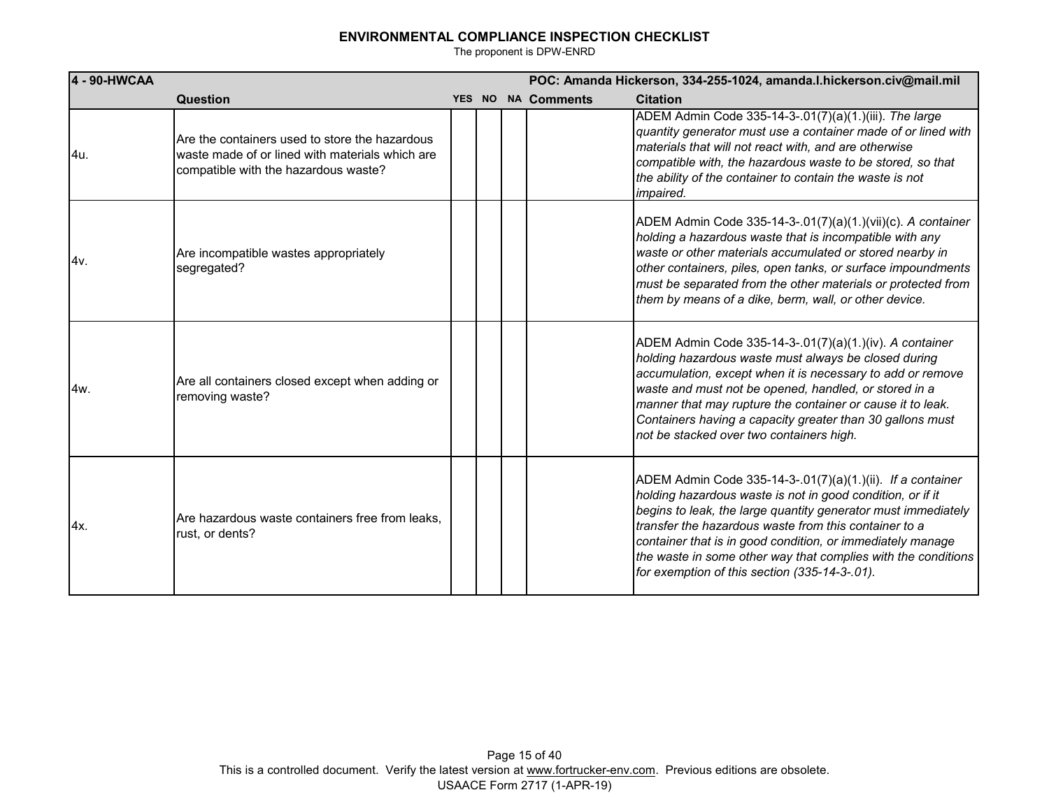| 4 - 90-HWCAA |                                                                                                                                           |  | POC: Amanda Hickerson, 334-255-1024, amanda.l.hickerson.civ@mail.mil |                    |                                                                                                                                                                                                                                                                                                                                                                                                                                    |  |  |
|--------------|-------------------------------------------------------------------------------------------------------------------------------------------|--|----------------------------------------------------------------------|--------------------|------------------------------------------------------------------------------------------------------------------------------------------------------------------------------------------------------------------------------------------------------------------------------------------------------------------------------------------------------------------------------------------------------------------------------------|--|--|
|              | <b>Question</b>                                                                                                                           |  |                                                                      | YES NO NA Comments | <b>Citation</b>                                                                                                                                                                                                                                                                                                                                                                                                                    |  |  |
| 4u.          | Are the containers used to store the hazardous<br>waste made of or lined with materials which are<br>compatible with the hazardous waste? |  |                                                                      |                    | ADEM Admin Code 335-14-3-.01(7)(a)(1.)(iii). The large<br>quantity generator must use a container made of or lined with<br>materials that will not react with, and are otherwise<br>compatible with, the hazardous waste to be stored, so that<br>the ability of the container to contain the waste is not<br><i>impaired.</i>                                                                                                     |  |  |
| 4v.          | Are incompatible wastes appropriately<br>segregated?                                                                                      |  |                                                                      |                    | ADEM Admin Code 335-14-3-.01(7)(a)(1.)(vii)(c). A container<br>holding a hazardous waste that is incompatible with any<br>waste or other materials accumulated or stored nearby in<br>other containers, piles, open tanks, or surface impoundments<br>must be separated from the other materials or protected from<br>them by means of a dike, berm, wall, or other device.                                                        |  |  |
| 4w.          | Are all containers closed except when adding or<br>removing waste?                                                                        |  |                                                                      |                    | ADEM Admin Code 335-14-3-.01(7)(a)(1.)(iv). A container<br>holding hazardous waste must always be closed during<br>accumulation, except when it is necessary to add or remove<br>waste and must not be opened, handled, or stored in a<br>manner that may rupture the container or cause it to leak.<br>Containers having a capacity greater than 30 gallons must<br>not be stacked over two containers high.                      |  |  |
| 4x.          | Are hazardous waste containers free from leaks.<br>rust, or dents?                                                                        |  |                                                                      |                    | ADEM Admin Code 335-14-3-.01(7)(a)(1.)(ii). If a container<br>holding hazardous waste is not in good condition, or if it<br>begins to leak, the large quantity generator must immediately<br>transfer the hazardous waste from this container to a<br>container that is in good condition, or immediately manage<br>the waste in some other way that complies with the conditions<br>for exemption of this section (335-14-3-.01). |  |  |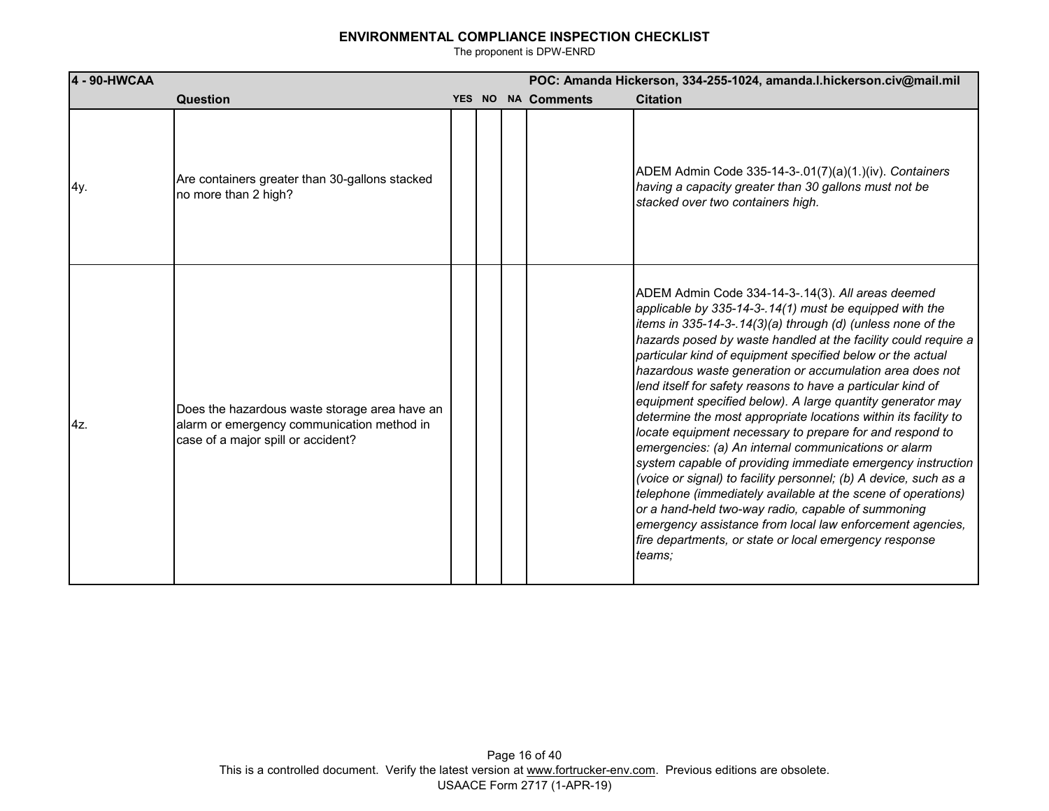| 4 - 90-HWCAA |                                                                                                                                   | POC: Amanda Hickerson, 334-255-1024, amanda.l.hickerson.civ@mail.mil |  |                    |                                                                                                                                                                                                                                                                                                                                                                                                                                                                                                                                                                                                                                                                                                                                                                                                                                                                                                                                                                                                                                                                                       |
|--------------|-----------------------------------------------------------------------------------------------------------------------------------|----------------------------------------------------------------------|--|--------------------|---------------------------------------------------------------------------------------------------------------------------------------------------------------------------------------------------------------------------------------------------------------------------------------------------------------------------------------------------------------------------------------------------------------------------------------------------------------------------------------------------------------------------------------------------------------------------------------------------------------------------------------------------------------------------------------------------------------------------------------------------------------------------------------------------------------------------------------------------------------------------------------------------------------------------------------------------------------------------------------------------------------------------------------------------------------------------------------|
|              | Question                                                                                                                          |                                                                      |  | YES NO NA Comments | <b>Citation</b>                                                                                                                                                                                                                                                                                                                                                                                                                                                                                                                                                                                                                                                                                                                                                                                                                                                                                                                                                                                                                                                                       |
| 4y.          | Are containers greater than 30-gallons stacked<br>no more than 2 high?                                                            |                                                                      |  |                    | ADEM Admin Code 335-14-3-.01(7)(a)(1.)(iv). Containers<br>having a capacity greater than 30 gallons must not be<br>stacked over two containers high.                                                                                                                                                                                                                                                                                                                                                                                                                                                                                                                                                                                                                                                                                                                                                                                                                                                                                                                                  |
| 4z.          | Does the hazardous waste storage area have an<br>alarm or emergency communication method in<br>case of a major spill or accident? |                                                                      |  |                    | ADEM Admin Code 334-14-3-.14(3). All areas deemed<br>applicable by 335-14-3-.14(1) must be equipped with the<br>items in 335-14-3-.14(3)(a) through (d) (unless none of the<br>hazards posed by waste handled at the facility could require a<br>particular kind of equipment specified below or the actual<br>hazardous waste generation or accumulation area does not<br>lend itself for safety reasons to have a particular kind of<br>equipment specified below). A large quantity generator may<br>determine the most appropriate locations within its facility to<br>locate equipment necessary to prepare for and respond to<br>emergencies: (a) An internal communications or alarm<br>system capable of providing immediate emergency instruction<br>(voice or signal) to facility personnel; (b) A device, such as a<br>telephone (immediately available at the scene of operations)<br>or a hand-held two-way radio, capable of summoning<br>emergency assistance from local law enforcement agencies,<br>fire departments, or state or local emergency response<br>teams; |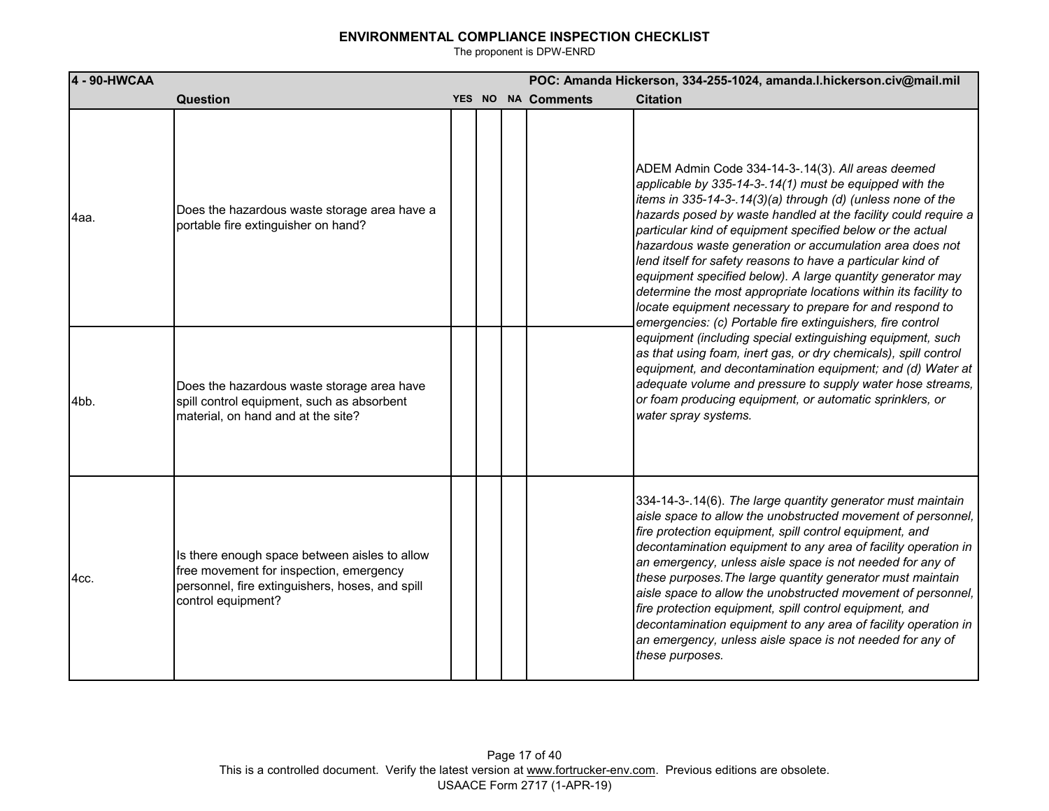| 4 - 90-HWCAA |                                                                                                                                                                   |  | POC: Amanda Hickerson, 334-255-1024, amanda.I.hickerson.civ@mail.mil |                    |                                                                                                                                                                                                                                                                                                                                                                                                                                                                                                                                                                                                                                                                                                   |
|--------------|-------------------------------------------------------------------------------------------------------------------------------------------------------------------|--|----------------------------------------------------------------------|--------------------|---------------------------------------------------------------------------------------------------------------------------------------------------------------------------------------------------------------------------------------------------------------------------------------------------------------------------------------------------------------------------------------------------------------------------------------------------------------------------------------------------------------------------------------------------------------------------------------------------------------------------------------------------------------------------------------------------|
|              | Question                                                                                                                                                          |  |                                                                      | YES NO NA Comments | <b>Citation</b>                                                                                                                                                                                                                                                                                                                                                                                                                                                                                                                                                                                                                                                                                   |
| l4aa.        | Does the hazardous waste storage area have a<br>portable fire extinguisher on hand?                                                                               |  |                                                                      |                    | ADEM Admin Code 334-14-3-.14(3). All areas deemed<br>applicable by 335-14-3-.14(1) must be equipped with the<br>items in 335-14-3-.14(3)(a) through (d) (unless none of the<br>hazards posed by waste handled at the facility could require a<br>particular kind of equipment specified below or the actual<br>hazardous waste generation or accumulation area does not<br>lend itself for safety reasons to have a particular kind of<br>equipment specified below). A large quantity generator may<br>determine the most appropriate locations within its facility to<br>locate equipment necessary to prepare for and respond to<br>emergencies: (c) Portable fire extinguishers, fire control |
| 4bb.         | Does the hazardous waste storage area have<br>spill control equipment, such as absorbent<br>material, on hand and at the site?                                    |  |                                                                      |                    | equipment (including special extinguishing equipment, such<br>as that using foam, inert gas, or dry chemicals), spill control<br>equipment, and decontamination equipment; and (d) Water at<br>adequate volume and pressure to supply water hose streams,<br>or foam producing equipment, or automatic sprinklers, or<br>water spray systems.                                                                                                                                                                                                                                                                                                                                                     |
| l4cc.        | Is there enough space between aisles to allow<br>free movement for inspection, emergency<br>personnel, fire extinguishers, hoses, and spill<br>control equipment? |  |                                                                      |                    | 334-14-3-.14(6). The large quantity generator must maintain<br>aisle space to allow the unobstructed movement of personnel,<br>fire protection equipment, spill control equipment, and<br>decontamination equipment to any area of facility operation in<br>an emergency, unless aisle space is not needed for any of<br>these purposes. The large quantity generator must maintain<br>aisle space to allow the unobstructed movement of personnel,<br>fire protection equipment, spill control equipment, and<br>decontamination equipment to any area of facility operation in<br>an emergency, unless aisle space is not needed for any of<br>these purposes.                                  |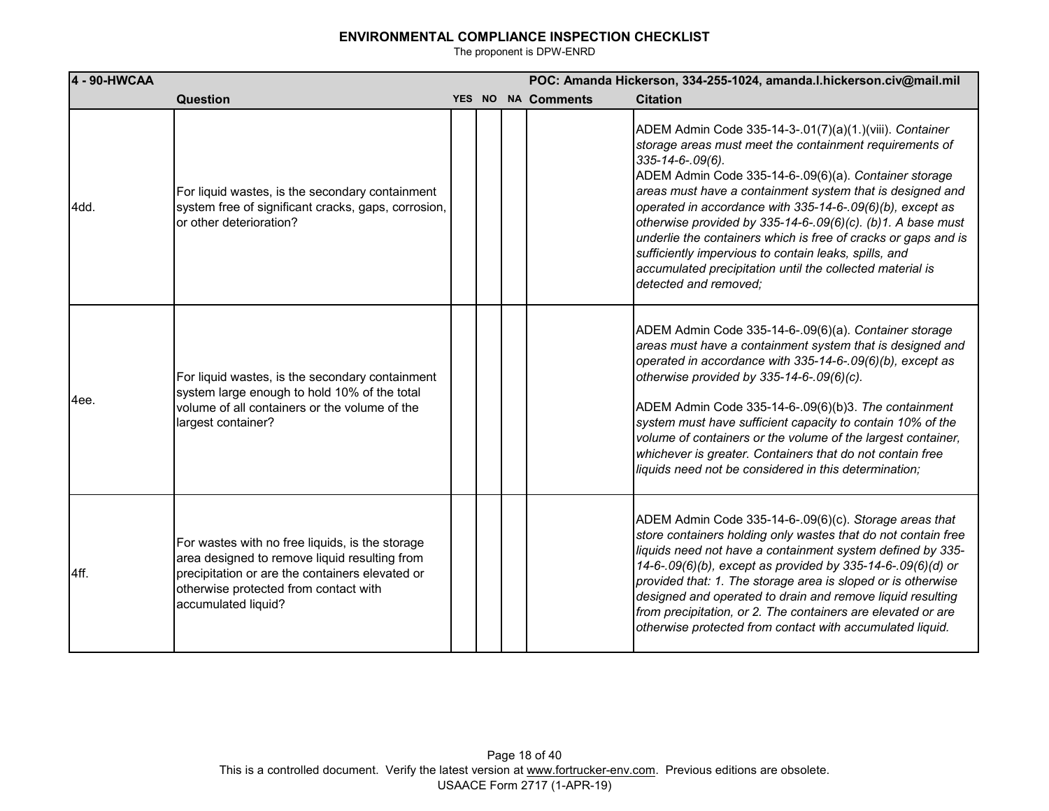| 4 - 90-HWCAA |                                                                                                                                                                                                                     |  | POC: Amanda Hickerson, 334-255-1024, amanda.I.hickerson.civ@mail.mil |                    |                                                                                                                                                                                                                                                                                                                                                                                                                                                                                                                                                                                                           |
|--------------|---------------------------------------------------------------------------------------------------------------------------------------------------------------------------------------------------------------------|--|----------------------------------------------------------------------|--------------------|-----------------------------------------------------------------------------------------------------------------------------------------------------------------------------------------------------------------------------------------------------------------------------------------------------------------------------------------------------------------------------------------------------------------------------------------------------------------------------------------------------------------------------------------------------------------------------------------------------------|
|              | Question                                                                                                                                                                                                            |  |                                                                      | YES NO NA Comments | <b>Citation</b>                                                                                                                                                                                                                                                                                                                                                                                                                                                                                                                                                                                           |
| 4dd.         | For liquid wastes, is the secondary containment<br>system free of significant cracks, gaps, corrosion,<br>or other deterioration?                                                                                   |  |                                                                      |                    | ADEM Admin Code 335-14-3-.01(7)(a)(1.)(viii). Container<br>storage areas must meet the containment requirements of<br>335-14-6-.09(6).<br>ADEM Admin Code 335-14-6-.09(6)(a). Container storage<br>areas must have a containment system that is designed and<br>operated in accordance with 335-14-6-.09(6)(b), except as<br>otherwise provided by 335-14-6-.09(6)(c). (b)1. A base must<br>underlie the containers which is free of cracks or gaps and is<br>sufficiently impervious to contain leaks, spills, and<br>accumulated precipitation until the collected material is<br>detected and removed: |
| 4ee.         | For liquid wastes, is the secondary containment<br>system large enough to hold 10% of the total<br>volume of all containers or the volume of the<br>largest container?                                              |  |                                                                      |                    | ADEM Admin Code 335-14-6-.09(6)(a). Container storage<br>areas must have a containment system that is designed and<br>operated in accordance with 335-14-6-.09(6)(b), except as<br>otherwise provided by 335-14-6-.09(6)(c).<br>ADEM Admin Code 335-14-6-.09(6)(b)3. The containment<br>system must have sufficient capacity to contain 10% of the<br>volume of containers or the volume of the largest container,<br>whichever is greater. Containers that do not contain free<br>liquids need not be considered in this determination;                                                                  |
| 4ff.         | For wastes with no free liquids, is the storage<br>area designed to remove liquid resulting from<br>precipitation or are the containers elevated or<br>otherwise protected from contact with<br>accumulated liquid? |  |                                                                      |                    | ADEM Admin Code 335-14-6-.09(6)(c). Storage areas that<br>store containers holding only wastes that do not contain free<br>liquids need not have a containment system defined by 335-<br>14-6-.09(6)(b), except as provided by 335-14-6-.09(6)(d) or<br>provided that: 1. The storage area is sloped or is otherwise<br>designed and operated to drain and remove liquid resulting<br>from precipitation, or 2. The containers are elevated or are<br>otherwise protected from contact with accumulated liquid.                                                                                           |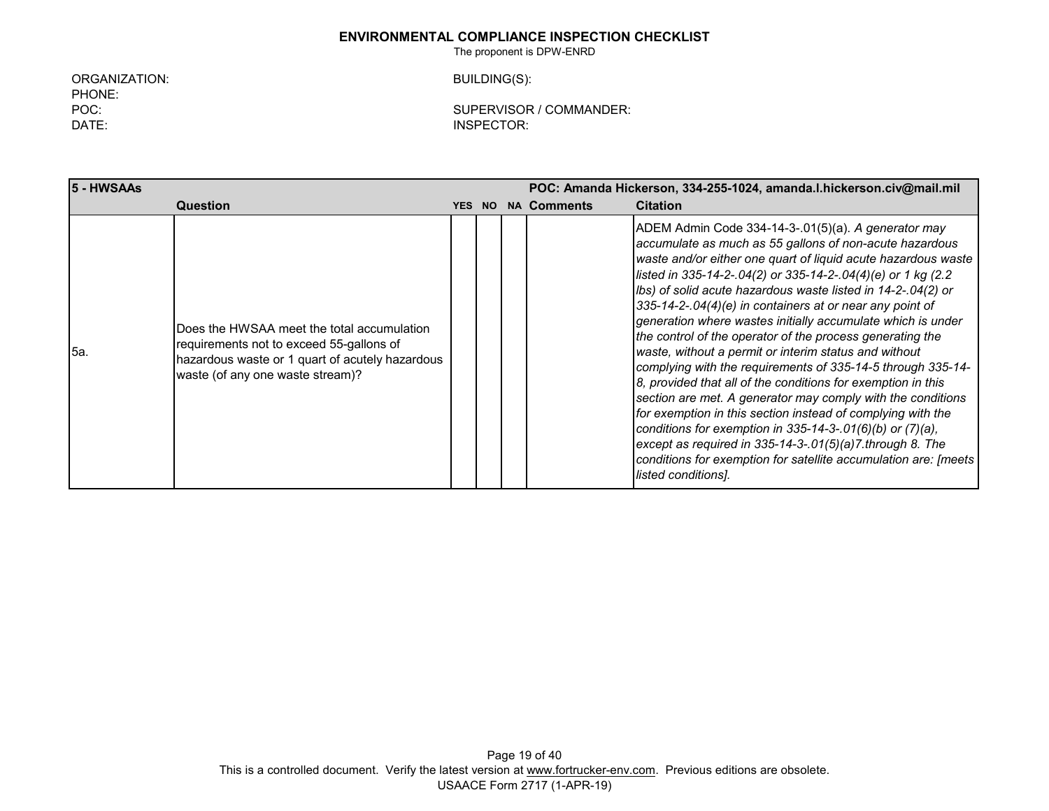The proponent is DPW-ENRD

ORGANIZATION: BUILDING(S): PHONE: DATE: INSPECTOR:

POC: SUPERVISOR / COMMANDER:

**5 - HWSAAs POC: Amanda Hickerson, 334-255-1024, amanda.l.hickerson.civ@mail.mil Question YES NO NA Comments Citation** 5a. Does the HWSAA meet the total accumulation requirements not to exceed 55-gallons of hazardous waste or 1 quart of acutely hazardous waste (of any one waste stream)? ADEM Admin Code 334-14-3-.01(5)(a). *A generator may accumulate as much as 55 gallons of non-acute hazardous waste and/or either one quart of liquid acute hazardous waste listed in 335-14-2-.04(2) or 335-14-2-.04(4)(e) or 1 kg (2.2 lbs) of solid acute hazardous waste listed in 14-2-.04(2) or 335-14-2-.04(4)(e) in containers at or near any point of generation where wastes initially accumulate which is under the control of the operator of the process generating the waste, without a permit or interim status and without complying with the requirements of 335-14-5 through 335-14- 8, provided that all of the conditions for exemption in this section are met. A generator may comply with the conditions for exemption in this section instead of complying with the conditions for exemption in 335-14-3-.01(6)(b) or (7)(a), except as required in 335-14-3-.01(5)(a)7.through 8. The conditions for exemption for satellite accumulation are: [meets listed conditions].*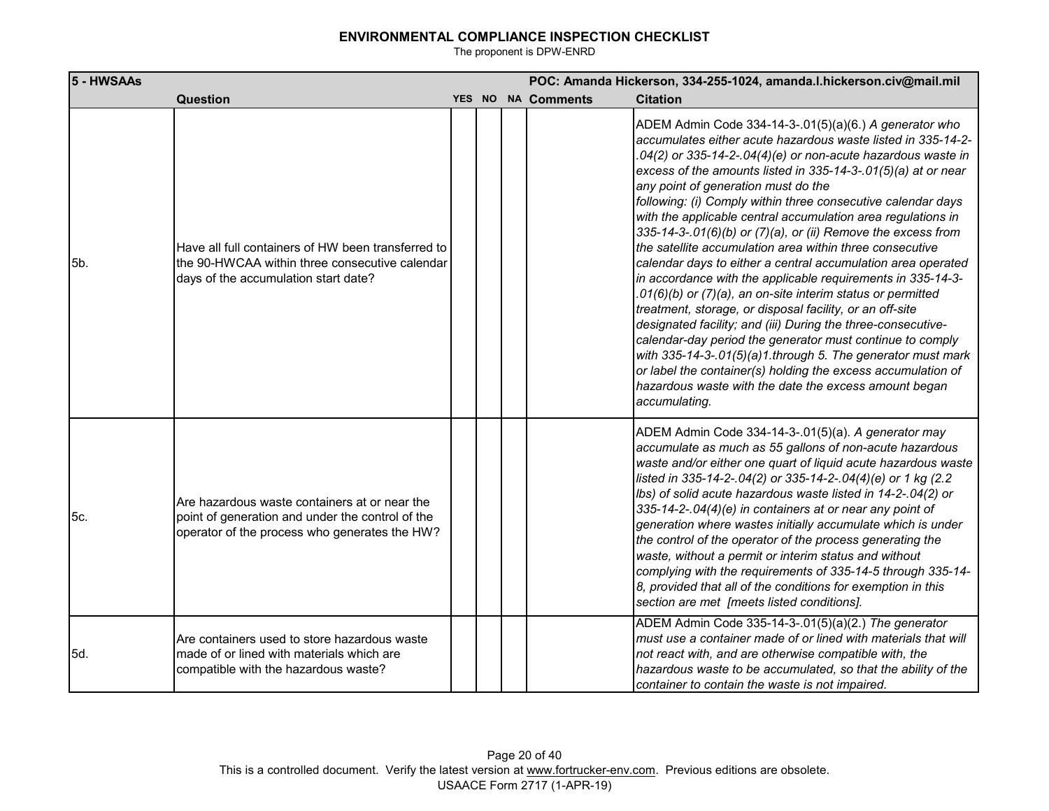| 5 - HWSAAs |                                                                                                                                                    |  |                    | POC: Amanda Hickerson, 334-255-1024, amanda.l.hickerson.civ@mail.mil                                                                                                                                                                                                                                                                                                                                                                                                                                                                                                                                                                                                                                                                                                                                                                                                                                                                                                                                                                                                                                                                                       |
|------------|----------------------------------------------------------------------------------------------------------------------------------------------------|--|--------------------|------------------------------------------------------------------------------------------------------------------------------------------------------------------------------------------------------------------------------------------------------------------------------------------------------------------------------------------------------------------------------------------------------------------------------------------------------------------------------------------------------------------------------------------------------------------------------------------------------------------------------------------------------------------------------------------------------------------------------------------------------------------------------------------------------------------------------------------------------------------------------------------------------------------------------------------------------------------------------------------------------------------------------------------------------------------------------------------------------------------------------------------------------------|
|            | Question                                                                                                                                           |  | YES NO NA Comments | <b>Citation</b>                                                                                                                                                                                                                                                                                                                                                                                                                                                                                                                                                                                                                                                                                                                                                                                                                                                                                                                                                                                                                                                                                                                                            |
| 5b.        | Have all full containers of HW been transferred to<br>the 90-HWCAA within three consecutive calendar<br>days of the accumulation start date?       |  |                    | ADEM Admin Code 334-14-3-.01(5)(a)(6.) A generator who<br>accumulates either acute hazardous waste listed in 335-14-2-<br>.04(2) or 335-14-2-.04(4)(e) or non-acute hazardous waste in<br>excess of the amounts listed in 335-14-3-.01(5)(a) at or near<br>any point of generation must do the<br>following: (i) Comply within three consecutive calendar days<br>with the applicable central accumulation area regulations in<br>335-14-3-.01(6)(b) or (7)(a), or (ii) Remove the excess from<br>the satellite accumulation area within three consecutive<br>calendar days to either a central accumulation area operated<br>in accordance with the applicable requirements in 335-14-3-<br>.01(6)(b) or (7)(a), an on-site interim status or permitted<br>treatment, storage, or disposal facility, or an off-site<br>designated facility; and (iii) During the three-consecutive-<br>calendar-day period the generator must continue to comply<br>with 335-14-3-.01(5)(a)1.through 5. The generator must mark<br>or label the container(s) holding the excess accumulation of<br>hazardous waste with the date the excess amount began<br>accumulating. |
| 5c.        | Are hazardous waste containers at or near the<br>point of generation and under the control of the<br>operator of the process who generates the HW? |  |                    | ADEM Admin Code 334-14-3-.01(5)(a). A generator may<br>accumulate as much as 55 gallons of non-acute hazardous<br>waste and/or either one quart of liquid acute hazardous waste<br>listed in 335-14-2-.04(2) or 335-14-2-.04(4)(e) or 1 kg (2.2<br>Ibs) of solid acute hazardous waste listed in 14-2-.04(2) or<br>335-14-2-.04(4)(e) in containers at or near any point of<br>generation where wastes initially accumulate which is under<br>the control of the operator of the process generating the<br>waste, without a permit or interim status and without<br>complying with the requirements of 335-14-5 through 335-14-<br>8, provided that all of the conditions for exemption in this<br>section are met [meets listed conditions].                                                                                                                                                                                                                                                                                                                                                                                                              |
| 5d.        | Are containers used to store hazardous waste<br>made of or lined with materials which are<br>compatible with the hazardous waste?                  |  |                    | ADEM Admin Code 335-14-3-.01(5)(a)(2.) The generator<br>must use a container made of or lined with materials that will<br>not react with, and are otherwise compatible with, the<br>hazardous waste to be accumulated, so that the ability of the<br>container to contain the waste is not impaired.                                                                                                                                                                                                                                                                                                                                                                                                                                                                                                                                                                                                                                                                                                                                                                                                                                                       |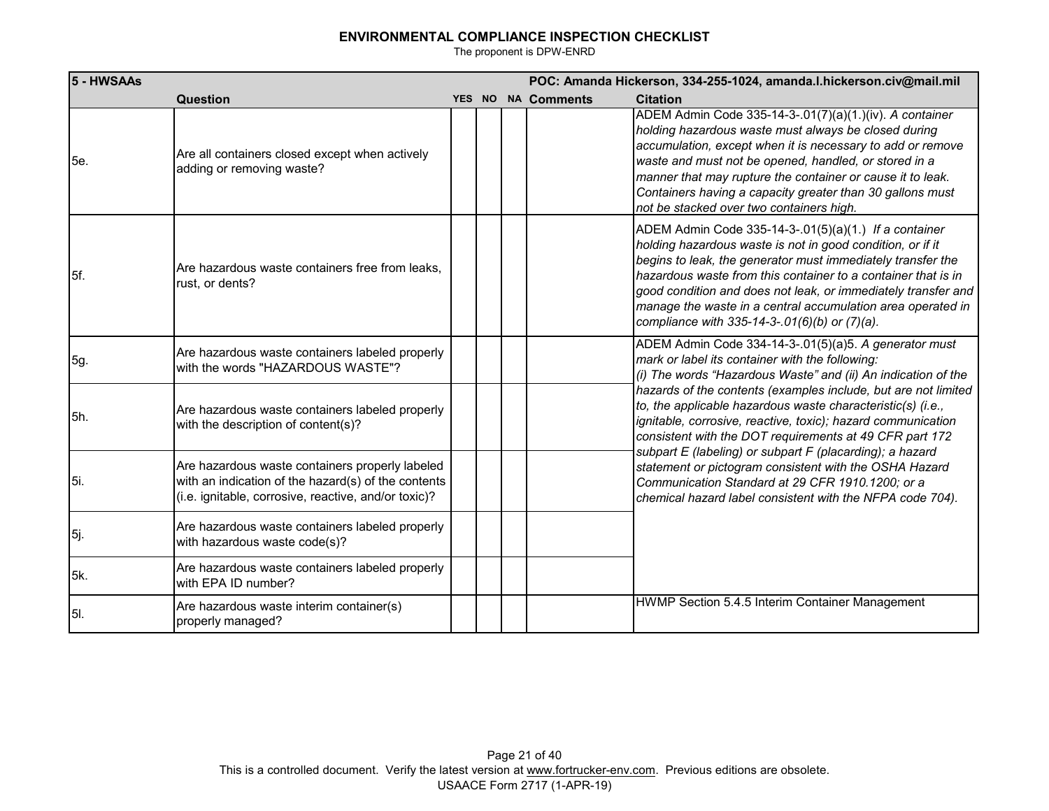| 5 - HWSAAs  |                                                                                                                                                                |  | POC: Amanda Hickerson, 334-255-1024, amanda.I.hickerson.civ@mail.mil |                                                                                                                                                                                                                                                                                                                                                                                                                                      |  |  |
|-------------|----------------------------------------------------------------------------------------------------------------------------------------------------------------|--|----------------------------------------------------------------------|--------------------------------------------------------------------------------------------------------------------------------------------------------------------------------------------------------------------------------------------------------------------------------------------------------------------------------------------------------------------------------------------------------------------------------------|--|--|
|             | <b>Question</b>                                                                                                                                                |  | YES NO NA Comments                                                   | <b>Citation</b>                                                                                                                                                                                                                                                                                                                                                                                                                      |  |  |
| 5e.         | Are all containers closed except when actively<br>adding or removing waste?                                                                                    |  |                                                                      | ADEM Admin Code 335-14-3-.01(7)(a)(1.)(iv). A container<br>holding hazardous waste must always be closed during<br>accumulation, except when it is necessary to add or remove<br>waste and must not be opened, handled, or stored in a<br>manner that may rupture the container or cause it to leak.<br>Containers having a capacity greater than 30 gallons must<br>not be stacked over two containers high.                        |  |  |
| 5f.         | Are hazardous waste containers free from leaks.<br>rust, or dents?                                                                                             |  |                                                                      | ADEM Admin Code 335-14-3-.01(5)(a)(1.) If a container<br>holding hazardous waste is not in good condition, or if it<br>begins to leak, the generator must immediately transfer the<br>hazardous waste from this container to a container that is in<br>good condition and does not leak, or immediately transfer and<br>manage the waste in a central accumulation area operated in<br>compliance with 335-14-3-.01(6)(b) or (7)(a). |  |  |
| 5g.         | Are hazardous waste containers labeled properly<br>with the words "HAZARDOUS WASTE"?                                                                           |  |                                                                      | ADEM Admin Code 334-14-3-.01(5)(a)5. A generator must<br>mark or label its container with the following:<br>(i) The words "Hazardous Waste" and (ii) An indication of the                                                                                                                                                                                                                                                            |  |  |
| <b>5h.</b>  | Are hazardous waste containers labeled properly<br>with the description of content(s)?                                                                         |  |                                                                      | hazards of the contents (examples include, but are not limited<br>to, the applicable hazardous waste characteristic(s) (i.e.,<br>ignitable, corrosive, reactive, toxic); hazard communication<br>consistent with the DOT requirements at 49 CFR part 172                                                                                                                                                                             |  |  |
| l5i.        | Are hazardous waste containers properly labeled<br>with an indication of the hazard(s) of the contents<br>(i.e. ignitable, corrosive, reactive, and/or toxic)? |  |                                                                      | subpart E (labeling) or subpart F (placarding); a hazard<br>statement or pictogram consistent with the OSHA Hazard<br>Communication Standard at 29 CFR 1910.1200; or a<br>chemical hazard label consistent with the NFPA code 704).                                                                                                                                                                                                  |  |  |
| 5j.         | Are hazardous waste containers labeled properly<br>with hazardous waste code(s)?                                                                               |  |                                                                      |                                                                                                                                                                                                                                                                                                                                                                                                                                      |  |  |
| 5k.         | Are hazardous waste containers labeled properly<br>with EPA ID number?                                                                                         |  |                                                                      |                                                                                                                                                                                                                                                                                                                                                                                                                                      |  |  |
| <b>5</b> I. | Are hazardous waste interim container(s)<br>properly managed?                                                                                                  |  |                                                                      | HWMP Section 5.4.5 Interim Container Management                                                                                                                                                                                                                                                                                                                                                                                      |  |  |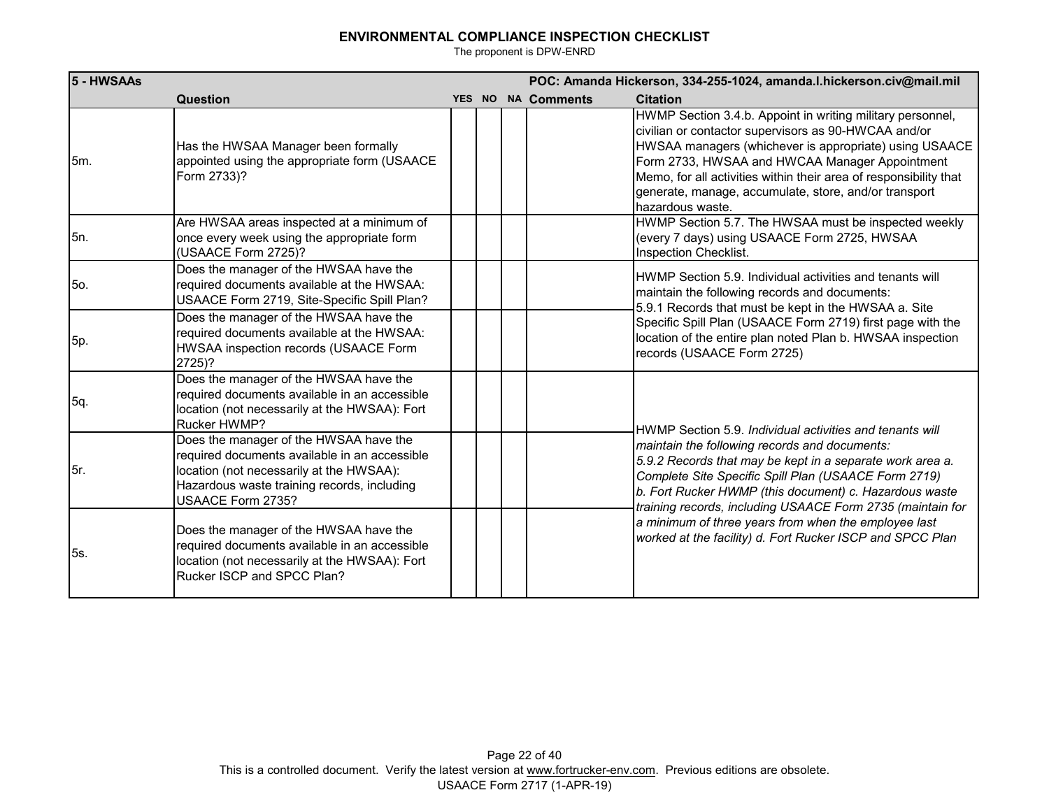| 5 - HWSAAs |                                                                                                                                                                                                         |  |                    | POC: Amanda Hickerson, 334-255-1024, amanda.l.hickerson.civ@mail.mil                                                                                                                                                                                                                                                                                                             |
|------------|---------------------------------------------------------------------------------------------------------------------------------------------------------------------------------------------------------|--|--------------------|----------------------------------------------------------------------------------------------------------------------------------------------------------------------------------------------------------------------------------------------------------------------------------------------------------------------------------------------------------------------------------|
|            | Question                                                                                                                                                                                                |  | YES NO NA Comments | <b>Citation</b>                                                                                                                                                                                                                                                                                                                                                                  |
| 5m.        | Has the HWSAA Manager been formally<br>appointed using the appropriate form (USAACE<br>Form 2733)?                                                                                                      |  |                    | HWMP Section 3.4.b. Appoint in writing military personnel,<br>civilian or contactor supervisors as 90-HWCAA and/or<br>HWSAA managers (whichever is appropriate) using USAACE<br>Form 2733, HWSAA and HWCAA Manager Appointment<br>Memo, for all activities within their area of responsibility that<br>generate, manage, accumulate, store, and/or transport<br>hazardous waste. |
| 5n.        | Are HWSAA areas inspected at a minimum of<br>once every week using the appropriate form<br>(USAACE Form 2725)?                                                                                          |  |                    | HWMP Section 5.7. The HWSAA must be inspected weekly<br>(every 7 days) using USAACE Form 2725, HWSAA<br>Inspection Checklist.                                                                                                                                                                                                                                                    |
| 5o.        | Does the manager of the HWSAA have the<br>required documents available at the HWSAA:<br>USAACE Form 2719, Site-Specific Spill Plan?                                                                     |  |                    | HWMP Section 5.9. Individual activities and tenants will<br>maintain the following records and documents:                                                                                                                                                                                                                                                                        |
| 5p.        | Does the manager of the HWSAA have the<br>required documents available at the HWSAA:<br>HWSAA inspection records (USAACE Form<br>2725)?                                                                 |  |                    | 5.9.1 Records that must be kept in the HWSAA a. Site<br>Specific Spill Plan (USAACE Form 2719) first page with the<br>location of the entire plan noted Plan b. HWSAA inspection<br>records (USAACE Form 2725)                                                                                                                                                                   |
| 5q.        | Does the manager of the HWSAA have the<br>required documents available in an accessible<br>location (not necessarily at the HWSAA): Fort<br>Rucker HWMP?                                                |  |                    | HWMP Section 5.9. Individual activities and tenants will                                                                                                                                                                                                                                                                                                                         |
| 5r.        | Does the manager of the HWSAA have the<br>required documents available in an accessible<br>location (not necessarily at the HWSAA):<br>Hazardous waste training records, including<br>USAACE Form 2735? |  |                    | maintain the following records and documents:<br>5.9.2 Records that may be kept in a separate work area a.<br>Complete Site Specific Spill Plan (USAACE Form 2719)<br>b. Fort Rucker HWMP (this document) c. Hazardous waste<br>training records, including USAACE Form 2735 (maintain for                                                                                       |
| 5s.        | Does the manager of the HWSAA have the<br>required documents available in an accessible<br>location (not necessarily at the HWSAA): Fort<br>Rucker ISCP and SPCC Plan?                                  |  |                    | a minimum of three years from when the employee last<br>worked at the facility) d. Fort Rucker ISCP and SPCC Plan                                                                                                                                                                                                                                                                |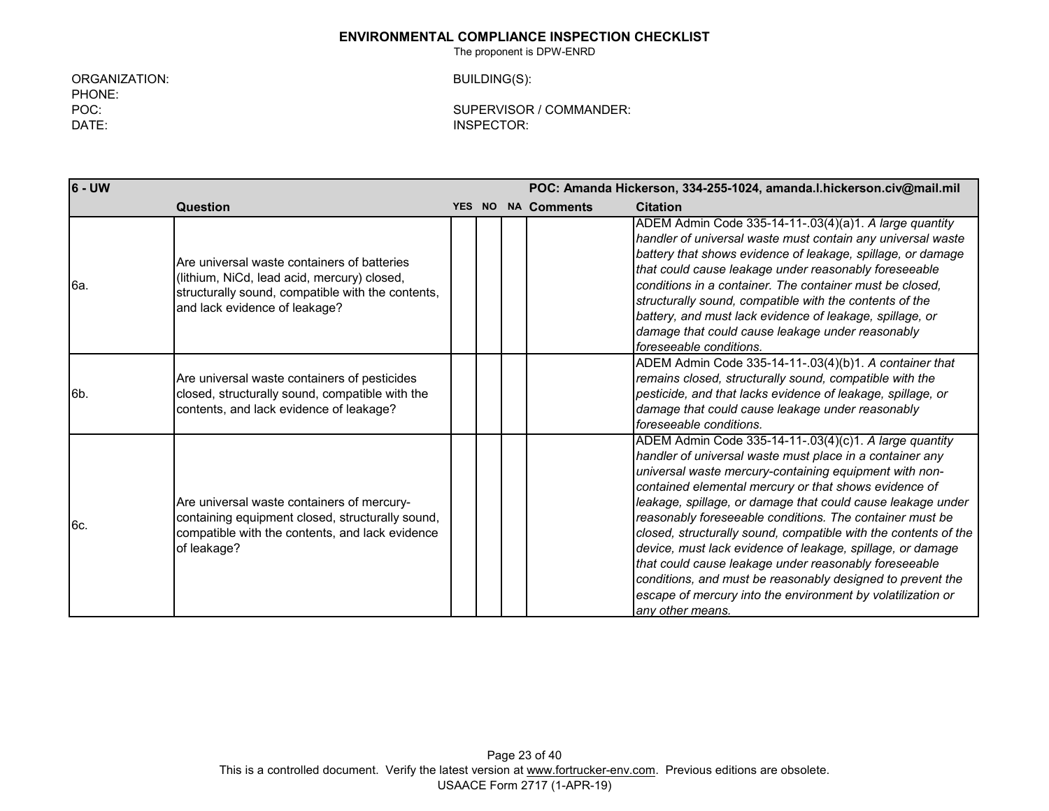The proponent is DPW-ENRD

ORGANIZATION: BUILDING(S): PHONE:<br>POC:

POC: SUPERVISOR / COMMANDER: INSPECTOR:

| 6 - UW |                                                                                                                                                                                  |  | POC: Amanda Hickerson, 334-255-1024, amanda.l.hickerson.civ@mail.mil |                    |                                                                                                                                                                                                                                                                                                                                                                                                                                                                                                                                                                                                                                                                                                             |  |
|--------|----------------------------------------------------------------------------------------------------------------------------------------------------------------------------------|--|----------------------------------------------------------------------|--------------------|-------------------------------------------------------------------------------------------------------------------------------------------------------------------------------------------------------------------------------------------------------------------------------------------------------------------------------------------------------------------------------------------------------------------------------------------------------------------------------------------------------------------------------------------------------------------------------------------------------------------------------------------------------------------------------------------------------------|--|
|        | Question                                                                                                                                                                         |  |                                                                      | YES NO NA Comments | <b>Citation</b>                                                                                                                                                                                                                                                                                                                                                                                                                                                                                                                                                                                                                                                                                             |  |
| l6a.   | Are universal waste containers of batteries<br>(lithium, NiCd, lead acid, mercury) closed,<br>structurally sound, compatible with the contents,<br>and lack evidence of leakage? |  |                                                                      |                    | ADEM Admin Code 335-14-11-.03(4)(a)1. A large quantity<br>handler of universal waste must contain any universal waste<br>battery that shows evidence of leakage, spillage, or damage<br>that could cause leakage under reasonably foreseeable<br>conditions in a container. The container must be closed.<br>structurally sound, compatible with the contents of the<br>battery, and must lack evidence of leakage, spillage, or<br>damage that could cause leakage under reasonably<br>foreseeable conditions.                                                                                                                                                                                             |  |
| l6b.   | Are universal waste containers of pesticides<br>closed, structurally sound, compatible with the<br>contents, and lack evidence of leakage?                                       |  |                                                                      |                    | ADEM Admin Code 335-14-11-.03(4)(b)1. A container that<br>remains closed, structurally sound, compatible with the<br>pesticide, and that lacks evidence of leakage, spillage, or<br>damage that could cause leakage under reasonably<br>foreseeable conditions.                                                                                                                                                                                                                                                                                                                                                                                                                                             |  |
| I6c.   | Are universal waste containers of mercury-<br>containing equipment closed, structurally sound,<br>compatible with the contents, and lack evidence<br>of leakage?                 |  |                                                                      |                    | ADEM Admin Code 335-14-11-.03(4)(c)1. A large quantity<br>handler of universal waste must place in a container any<br>universal waste mercury-containing equipment with non-<br>contained elemental mercury or that shows evidence of<br>leakage, spillage, or damage that could cause leakage under<br>reasonably foreseeable conditions. The container must be<br>closed, structurally sound, compatible with the contents of the<br>device, must lack evidence of leakage, spillage, or damage<br>that could cause leakage under reasonably foreseeable<br>conditions, and must be reasonably designed to prevent the<br>escape of mercury into the environment by volatilization or<br>any other means. |  |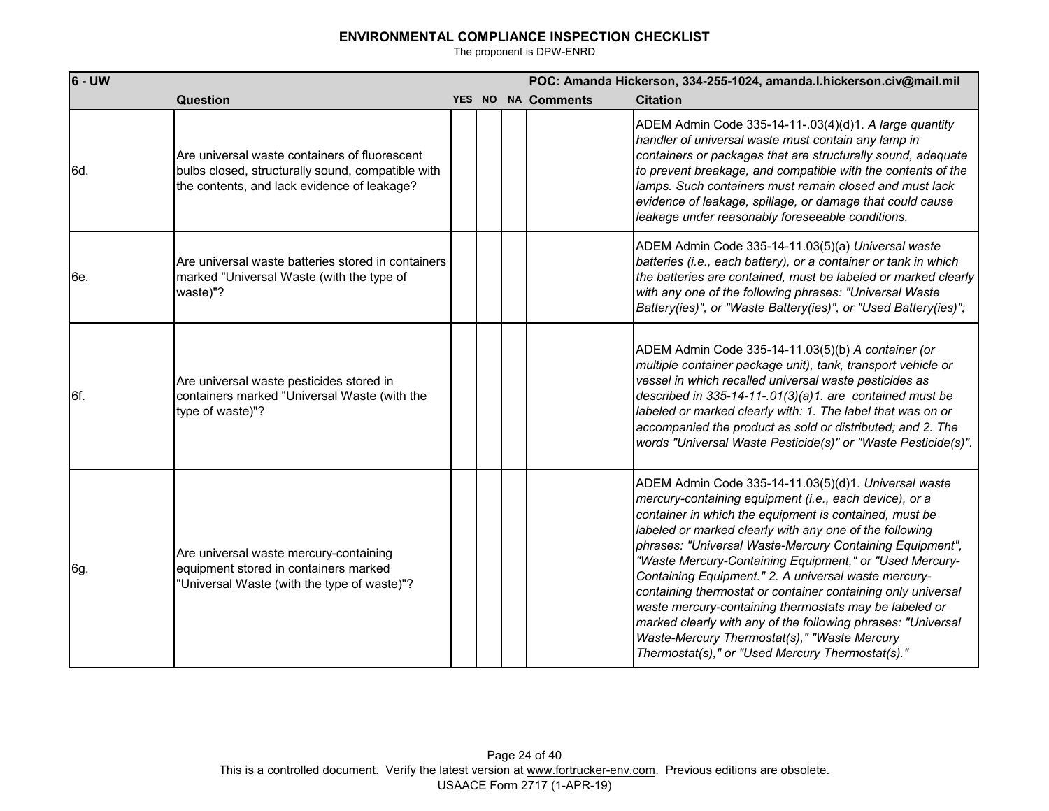| $6 - UW$ |                                                                                                                                                   |  | POC: Amanda Hickerson, 334-255-1024, amanda.l.hickerson.civ@mail.mil |                                                                                                                                                                                                                                                                                                                                                                                                                                                                                                                                                                                                                                                                                                                  |  |  |  |
|----------|---------------------------------------------------------------------------------------------------------------------------------------------------|--|----------------------------------------------------------------------|------------------------------------------------------------------------------------------------------------------------------------------------------------------------------------------------------------------------------------------------------------------------------------------------------------------------------------------------------------------------------------------------------------------------------------------------------------------------------------------------------------------------------------------------------------------------------------------------------------------------------------------------------------------------------------------------------------------|--|--|--|
|          | <b>Question</b>                                                                                                                                   |  | YES NO NA Comments                                                   | <b>Citation</b>                                                                                                                                                                                                                                                                                                                                                                                                                                                                                                                                                                                                                                                                                                  |  |  |  |
| 6d.      | Are universal waste containers of fluorescent<br>bulbs closed, structurally sound, compatible with<br>the contents, and lack evidence of leakage? |  |                                                                      | ADEM Admin Code 335-14-11-.03(4)(d)1. A large quantity<br>handler of universal waste must contain any lamp in<br>containers or packages that are structurally sound, adequate<br>to prevent breakage, and compatible with the contents of the<br>lamps. Such containers must remain closed and must lack<br>evidence of leakage, spillage, or damage that could cause<br>leakage under reasonably foreseeable conditions.                                                                                                                                                                                                                                                                                        |  |  |  |
| 6e.      | Are universal waste batteries stored in containers<br>marked "Universal Waste (with the type of<br>waste)"?                                       |  |                                                                      | ADEM Admin Code 335-14-11.03(5)(a) Universal waste<br>batteries (i.e., each battery), or a container or tank in which<br>the batteries are contained, must be labeled or marked clearly<br>with any one of the following phrases: "Universal Waste<br>Battery(ies)", or "Waste Battery(ies)", or "Used Battery(ies)";                                                                                                                                                                                                                                                                                                                                                                                            |  |  |  |
| 6f.      | Are universal waste pesticides stored in<br>containers marked "Universal Waste (with the<br>type of waste)"?                                      |  |                                                                      | ADEM Admin Code 335-14-11.03(5)(b) A container (or<br>multiple container package unit), tank, transport vehicle or<br>vessel in which recalled universal waste pesticides as<br>described in 335-14-11-.01(3)(a)1. are contained must be<br>labeled or marked clearly with: 1. The label that was on or<br>accompanied the product as sold or distributed; and 2. The<br>words "Universal Waste Pesticide(s)" or "Waste Pesticide(s)".                                                                                                                                                                                                                                                                           |  |  |  |
| 6g.      | Are universal waste mercury-containing<br>equipment stored in containers marked<br>"Universal Waste (with the type of waste)"?                    |  |                                                                      | ADEM Admin Code 335-14-11.03(5)(d)1. Universal waste<br>mercury-containing equipment (i.e., each device), or a<br>container in which the equipment is contained, must be<br>labeled or marked clearly with any one of the following<br>phrases: "Universal Waste-Mercury Containing Equipment",<br>"Waste Mercury-Containing Equipment," or "Used Mercury-<br>Containing Equipment." 2. A universal waste mercury-<br>containing thermostat or container containing only universal<br>waste mercury-containing thermostats may be labeled or<br>marked clearly with any of the following phrases: "Universal<br>Waste-Mercury Thermostat(s)," "Waste Mercury<br>Thermostat(s)," or "Used Mercury Thermostat(s)." |  |  |  |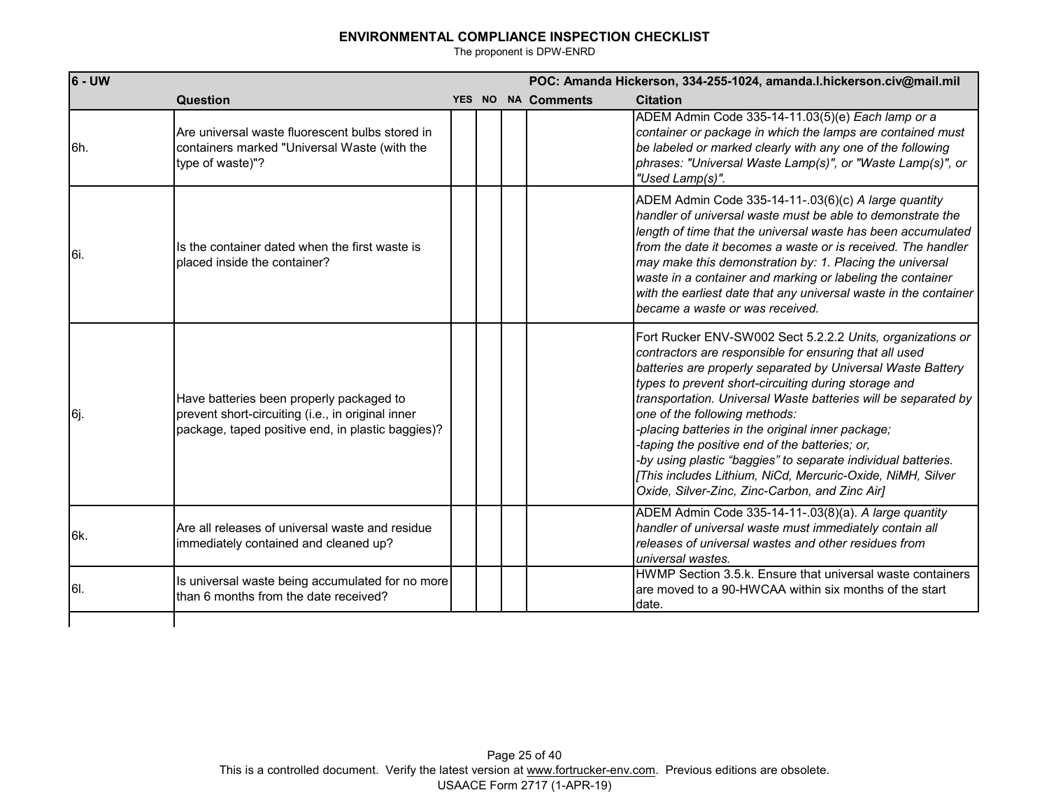| $6 - UW$ |                                                                                                                                                    |  | POC: Amanda Hickerson, 334-255-1024, amanda.l.hickerson.civ@mail.mil |                    |                                                                                                                                                                                                                                                                                                                                                                                                                                                                                                                                                                                                                                       |  |
|----------|----------------------------------------------------------------------------------------------------------------------------------------------------|--|----------------------------------------------------------------------|--------------------|---------------------------------------------------------------------------------------------------------------------------------------------------------------------------------------------------------------------------------------------------------------------------------------------------------------------------------------------------------------------------------------------------------------------------------------------------------------------------------------------------------------------------------------------------------------------------------------------------------------------------------------|--|
|          | Question                                                                                                                                           |  |                                                                      | YES NO NA Comments | <b>Citation</b>                                                                                                                                                                                                                                                                                                                                                                                                                                                                                                                                                                                                                       |  |
| l6h.     | Are universal waste fluorescent bulbs stored in<br>containers marked "Universal Waste (with the<br>type of waste)"?                                |  |                                                                      |                    | ADEM Admin Code 335-14-11.03(5)(e) Each lamp or a<br>container or package in which the lamps are contained must<br>be labeled or marked clearly with any one of the following<br>phrases: "Universal Waste Lamp(s)", or "Waste Lamp(s)", or<br>"Used Lamp(s)".                                                                                                                                                                                                                                                                                                                                                                        |  |
| l6i.     | Its the container dated when the first waste is<br>Iplaced inside the container?                                                                   |  |                                                                      |                    | ADEM Admin Code 335-14-11-.03(6)(c) A large quantity<br>handler of universal waste must be able to demonstrate the<br>length of time that the universal waste has been accumulated<br>from the date it becomes a waste or is received. The handler<br>may make this demonstration by: 1. Placing the universal<br>waste in a container and marking or labeling the container<br>with the earliest date that any universal waste in the container<br>became a waste or was received.                                                                                                                                                   |  |
| Į6j.     | Have batteries been properly packaged to<br>prevent short-circuiting (i.e., in original inner<br>package, taped positive end, in plastic baggies)? |  |                                                                      |                    | Fort Rucker ENV-SW002 Sect 5.2.2.2 Units, organizations or<br>contractors are responsible for ensuring that all used<br>batteries are properly separated by Universal Waste Battery<br>types to prevent short-circuiting during storage and<br>transportation. Universal Waste batteries will be separated by<br>one of the following methods:<br>-placing batteries in the original inner package;<br>taping the positive end of the batteries; or,<br>-by using plastic "baggies" to separate individual batteries.<br>[This includes Lithium, NiCd, Mercuric-Oxide, NiMH, Silver<br>Oxide, Silver-Zinc, Zinc-Carbon, and Zinc Air] |  |
| l6k.     | Are all releases of universal waste and residue<br>immediately contained and cleaned up?                                                           |  |                                                                      |                    | ADEM Admin Code 335-14-11-.03(8)(a). A large quantity<br>handler of universal waste must immediately contain all<br>releases of universal wastes and other residues from<br>universal wastes.                                                                                                                                                                                                                                                                                                                                                                                                                                         |  |
| I6I.     | Is universal waste being accumulated for no more<br>than 6 months from the date received?                                                          |  |                                                                      |                    | HWMP Section 3.5.k. Ensure that universal waste containers<br>are moved to a 90-HWCAA within six months of the start<br>date.                                                                                                                                                                                                                                                                                                                                                                                                                                                                                                         |  |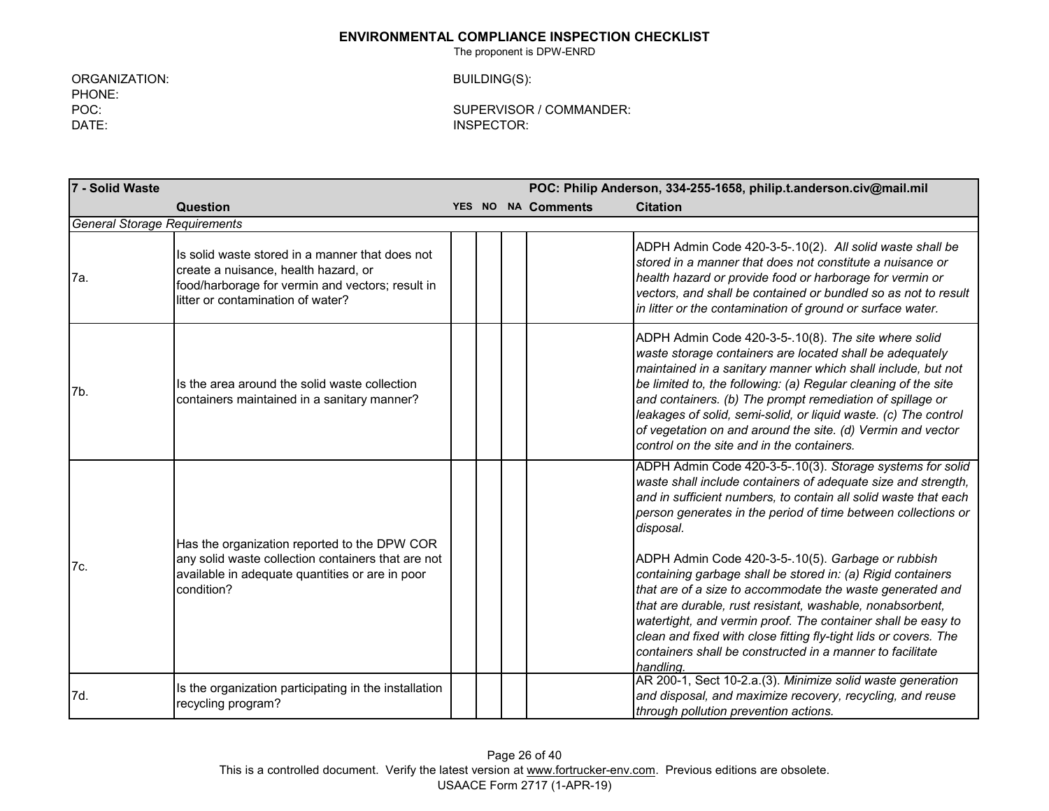The proponent is DPW-ENRD

ORGANIZATION: BUILDING(S): PHONE: DATE: INSPECTOR:

POC: SUPERVISOR / COMMANDER:

**7 - Solid Waste POC: Philip Anderson, 334-255-1658, philip.t.anderson.civ@mail.mil Question YES NO NA Comments Citation** 7a. Is solid waste stored in a manner that does not create a nuisance, health hazard, or food/harborage for vermin and vectors; result in litter or contamination of water? ADPH Admin Code 420-3-5-.10(2). *All solid waste shall be stored in a manner that does not constitute a nuisance or health hazard or provide food or harborage for vermin or vectors, and shall be contained or bundled so as not to result in litter or the contamination of ground or surface water.*  7b. Is the area around the solid waste collection containers maintained in a sanitary manner? ADPH Admin Code 420-3-5-.10(8). *The site where solid waste storage containers are located shall be adequately maintained in a sanitary manner which shall include, but not be limited to, the following: (a) Regular cleaning of the site and containers. (b) The prompt remediation of spillage or leakages of solid, semi-solid, or liquid waste. (c) The control of vegetation on and around the site. (d) Vermin and vector control on the site and in the containers.* 7c. Has the organization reported to the DPW COR any solid waste collection containers that are not available in adequate quantities or are in poor condition? ADPH Admin Code 420-3-5-.10(3). *Storage systems for solid waste shall include containers of adequate size and strength, and in sufficient numbers, to contain all solid waste that each person generates in the period of time between collections or disposal.*  ADPH Admin Code 420-3-5-.10(5). *Garbage or rubbish containing garbage shall be stored in: (a) Rigid containers that are of a size to accommodate the waste generated and that are durable, rust resistant, washable, nonabsorbent, watertight, and vermin proof. The container shall be easy to clean and fixed with close fitting fly-tight lids or covers. The containers shall be constructed in a manner to facilitate handling.* 7d. **In the organization participating in the installation** recycling program? AR 200-1, Sect 10-2.a.(3). *Minimize solid waste generation and disposal, and maximize recovery, recycling, and reuse through pollution prevention actions. General Storage Requirements*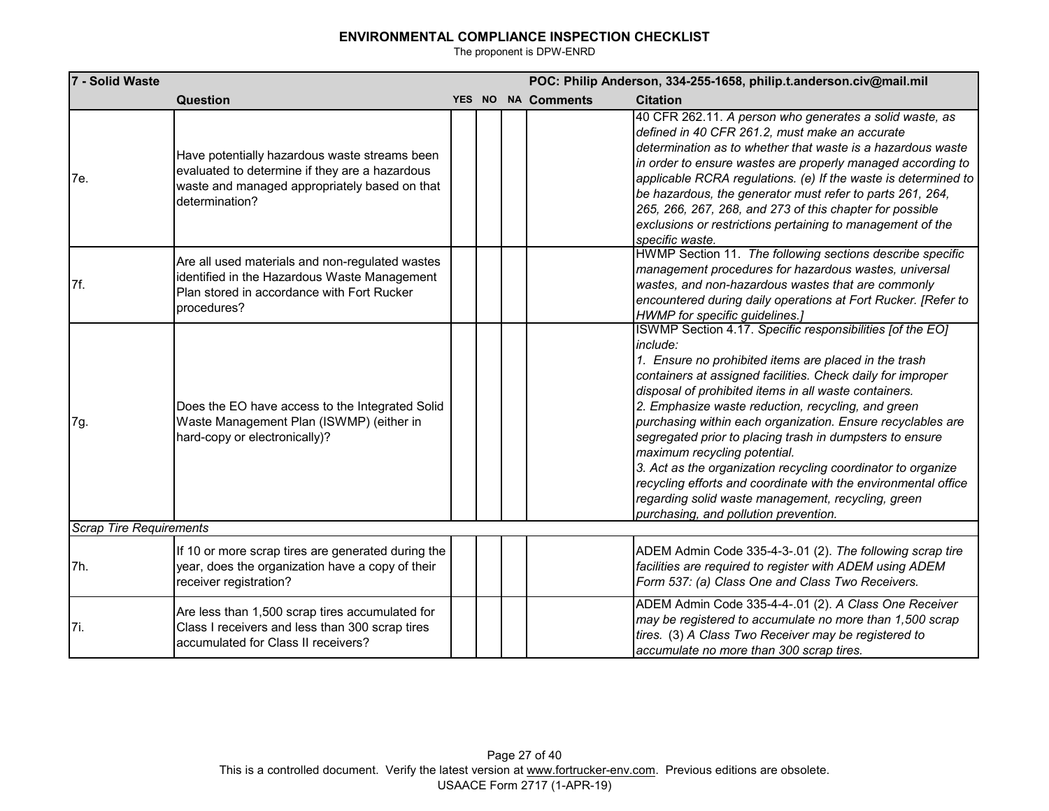| 7 - Solid Waste                |                                                                                                                                                                    |  |                    | POC: Philip Anderson, 334-255-1658, philip.t.anderson.civ@mail.mil                                                                                                                                                                                                                                                                                                                                                                                                                                                                                                                                                                                                                                       |
|--------------------------------|--------------------------------------------------------------------------------------------------------------------------------------------------------------------|--|--------------------|----------------------------------------------------------------------------------------------------------------------------------------------------------------------------------------------------------------------------------------------------------------------------------------------------------------------------------------------------------------------------------------------------------------------------------------------------------------------------------------------------------------------------------------------------------------------------------------------------------------------------------------------------------------------------------------------------------|
|                                | Question                                                                                                                                                           |  | YES NO NA Comments | <b>Citation</b>                                                                                                                                                                                                                                                                                                                                                                                                                                                                                                                                                                                                                                                                                          |
| 7e.                            | Have potentially hazardous waste streams been<br>evaluated to determine if they are a hazardous<br>waste and managed appropriately based on that<br>determination? |  |                    | 40 CFR 262.11. A person who generates a solid waste, as<br>defined in 40 CFR 261.2, must make an accurate<br>determination as to whether that waste is a hazardous waste<br>in order to ensure wastes are properly managed according to<br>applicable RCRA regulations. (e) If the waste is determined to<br>be hazardous, the generator must refer to parts 261, 264,<br>265, 266, 267, 268, and 273 of this chapter for possible<br>exclusions or restrictions pertaining to management of the<br>specific waste.                                                                                                                                                                                      |
| 7f.                            | Are all used materials and non-regulated wastes<br>identified in the Hazardous Waste Management<br>Plan stored in accordance with Fort Rucker<br>procedures?       |  |                    | HWMP Section 11. The following sections describe specific<br>management procedures for hazardous wastes, universal<br>wastes, and non-hazardous wastes that are commonly<br>encountered during daily operations at Fort Rucker. [Refer to<br>HWMP for specific guidelines.]                                                                                                                                                                                                                                                                                                                                                                                                                              |
| 7g.                            | Does the EO have access to the Integrated Solid<br>Waste Management Plan (ISWMP) (either in<br>hard-copy or electronically)?                                       |  |                    | ISWMP Section 4.17. Specific responsibilities [of the EO]<br>include:<br>1. Ensure no prohibited items are placed in the trash<br>containers at assigned facilities. Check daily for improper<br>disposal of prohibited items in all waste containers.<br>2. Emphasize waste reduction, recycling, and green<br>purchasing within each organization. Ensure recyclables are<br>segregated prior to placing trash in dumpsters to ensure<br>maximum recycling potential.<br>3. Act as the organization recycling coordinator to organize<br>recycling efforts and coordinate with the environmental office<br>regarding solid waste management, recycling, green<br>purchasing, and pollution prevention. |
| <b>Scrap Tire Requirements</b> |                                                                                                                                                                    |  |                    |                                                                                                                                                                                                                                                                                                                                                                                                                                                                                                                                                                                                                                                                                                          |
| 7h.                            | If 10 or more scrap tires are generated during the<br>year, does the organization have a copy of their<br>receiver registration?                                   |  |                    | ADEM Admin Code 335-4-3-.01 (2). The following scrap tire<br>facilities are required to register with ADEM using ADEM<br>Form 537: (a) Class One and Class Two Receivers.                                                                                                                                                                                                                                                                                                                                                                                                                                                                                                                                |
| 7i.                            | Are less than 1,500 scrap tires accumulated for<br>Class I receivers and less than 300 scrap tires<br>accumulated for Class II receivers?                          |  |                    | ADEM Admin Code 335-4-4-.01 (2). A Class One Receiver<br>may be registered to accumulate no more than 1,500 scrap<br>tires. (3) A Class Two Receiver may be registered to<br>accumulate no more than 300 scrap tires.                                                                                                                                                                                                                                                                                                                                                                                                                                                                                    |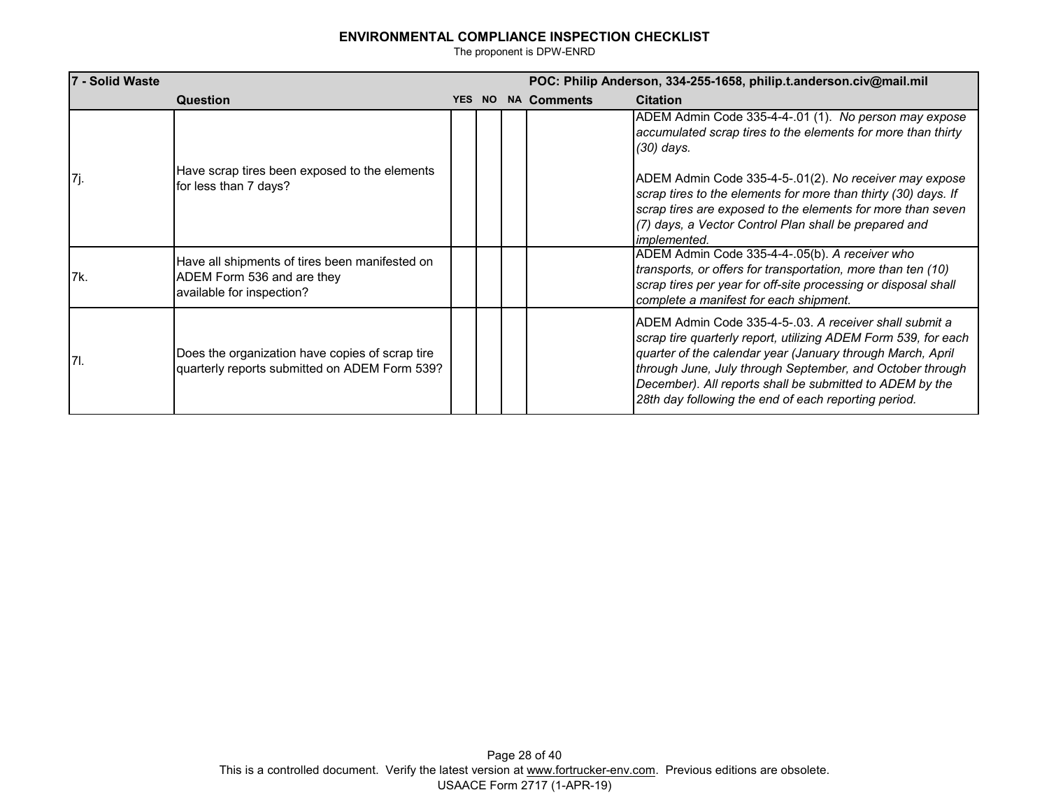| 7 - Solid Waste |                                                                                                           |        |  |  | POC: Philip Anderson, 334-255-1658, philip.t.anderson.civ@mail.mil |                                                                                                                                                                                                                                                                                                                                                                         |  |  |  |
|-----------------|-----------------------------------------------------------------------------------------------------------|--------|--|--|--------------------------------------------------------------------|-------------------------------------------------------------------------------------------------------------------------------------------------------------------------------------------------------------------------------------------------------------------------------------------------------------------------------------------------------------------------|--|--|--|
|                 | Question                                                                                                  | YES NO |  |  | <b>NA Comments</b>                                                 | <b>Citation</b>                                                                                                                                                                                                                                                                                                                                                         |  |  |  |
|                 |                                                                                                           |        |  |  |                                                                    | ADEM Admin Code 335-4-4-.01 (1). No person may expose<br>accumulated scrap tires to the elements for more than thirty<br>(30) days.                                                                                                                                                                                                                                     |  |  |  |
| [7j.            | Have scrap tires been exposed to the elements<br>for less than 7 days?                                    |        |  |  |                                                                    | ADEM Admin Code 335-4-5-.01(2). No receiver may expose<br>scrap tires to the elements for more than thirty (30) days. If<br>scrap tires are exposed to the elements for more than seven<br>(7) days, a Vector Control Plan shall be prepared and<br><i>implemented.</i>                                                                                                 |  |  |  |
| l7k.            | Have all shipments of tires been manifested on<br>ADEM Form 536 and are they<br>available for inspection? |        |  |  |                                                                    | ADEM Admin Code 335-4-4-.05(b). A receiver who<br>transports, or offers for transportation, more than ten (10)<br>scrap tires per year for off-site processing or disposal shall<br>complete a manifest for each shipment.                                                                                                                                              |  |  |  |
| 17I.            | Does the organization have copies of scrap tire<br>quarterly reports submitted on ADEM Form 539?          |        |  |  |                                                                    | ADEM Admin Code 335-4-5-.03. A receiver shall submit a<br>scrap tire quarterly report, utilizing ADEM Form 539, for each<br>quarter of the calendar year (January through March, April<br>through June, July through September, and October through<br>December). All reports shall be submitted to ADEM by the<br>28th day following the end of each reporting period. |  |  |  |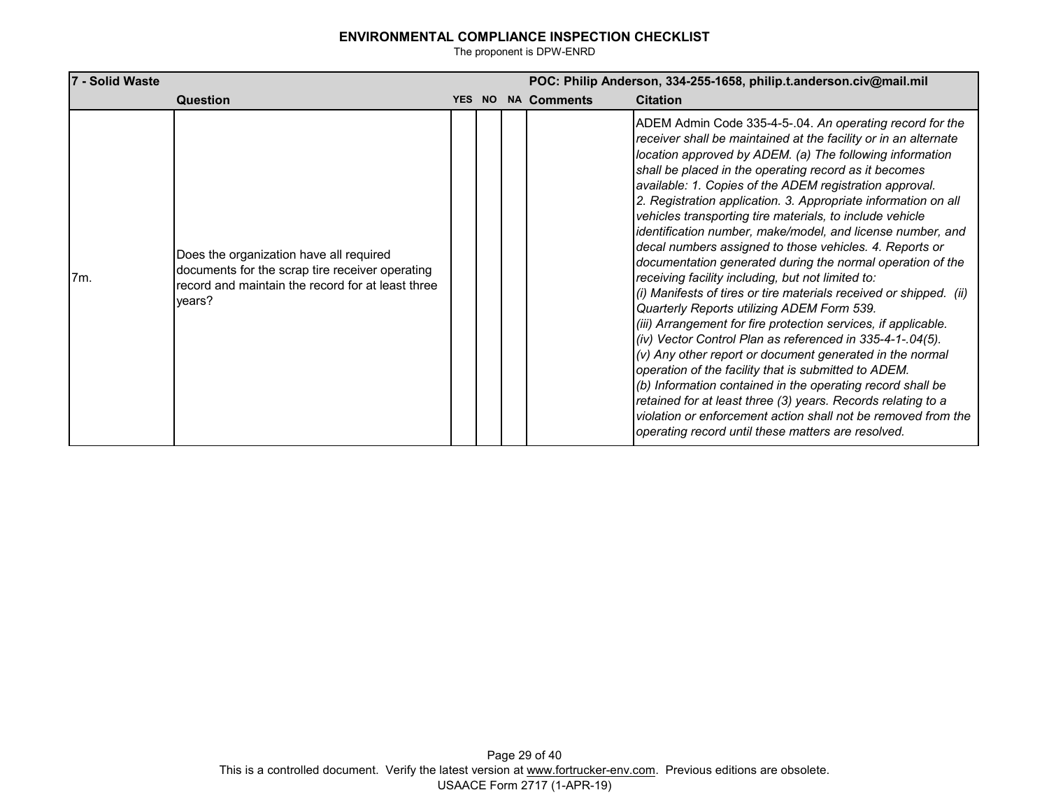| 7 - Solid Waste |                                                                                                                                                           | POC: Philip Anderson, 334-255-1658, philip.t.anderson.civ@mail.mil |  |                    |                                                                                                                                                                                                                                                                                                                                                                                                                                                                                                                                                                                                                                                                                                                                                                                                                                                                                                                                                                                                                                                                                                                                                                                                                                                                                                                     |  |
|-----------------|-----------------------------------------------------------------------------------------------------------------------------------------------------------|--------------------------------------------------------------------|--|--------------------|---------------------------------------------------------------------------------------------------------------------------------------------------------------------------------------------------------------------------------------------------------------------------------------------------------------------------------------------------------------------------------------------------------------------------------------------------------------------------------------------------------------------------------------------------------------------------------------------------------------------------------------------------------------------------------------------------------------------------------------------------------------------------------------------------------------------------------------------------------------------------------------------------------------------------------------------------------------------------------------------------------------------------------------------------------------------------------------------------------------------------------------------------------------------------------------------------------------------------------------------------------------------------------------------------------------------|--|
|                 | Question                                                                                                                                                  | YES NO                                                             |  | <b>NA Comments</b> | <b>Citation</b>                                                                                                                                                                                                                                                                                                                                                                                                                                                                                                                                                                                                                                                                                                                                                                                                                                                                                                                                                                                                                                                                                                                                                                                                                                                                                                     |  |
| 7m.             | Does the organization have all required<br>documents for the scrap tire receiver operating<br>record and maintain the record for at least three<br>years? |                                                                    |  |                    | ADEM Admin Code 335-4-5-.04. An operating record for the<br>receiver shall be maintained at the facility or in an alternate<br>location approved by ADEM. (a) The following information<br>shall be placed in the operating record as it becomes<br>available: 1. Copies of the ADEM registration approval.<br>2. Registration application. 3. Appropriate information on all<br>vehicles transporting tire materials, to include vehicle<br>identification number, make/model, and license number, and<br>decal numbers assigned to those vehicles. 4. Reports or<br>documentation generated during the normal operation of the<br>receiving facility including, but not limited to:<br>(i) Manifests of tires or tire materials received or shipped. (ii)<br>Quarterly Reports utilizing ADEM Form 539.<br>(iii) Arrangement for fire protection services, if applicable.<br>(iv) Vector Control Plan as referenced in 335-4-1-.04(5).<br>$(v)$ Any other report or document generated in the normal<br>operation of the facility that is submitted to ADEM.<br>(b) Information contained in the operating record shall be<br>retained for at least three (3) years. Records relating to a<br>violation or enforcement action shall not be removed from the<br>operating record until these matters are resolved. |  |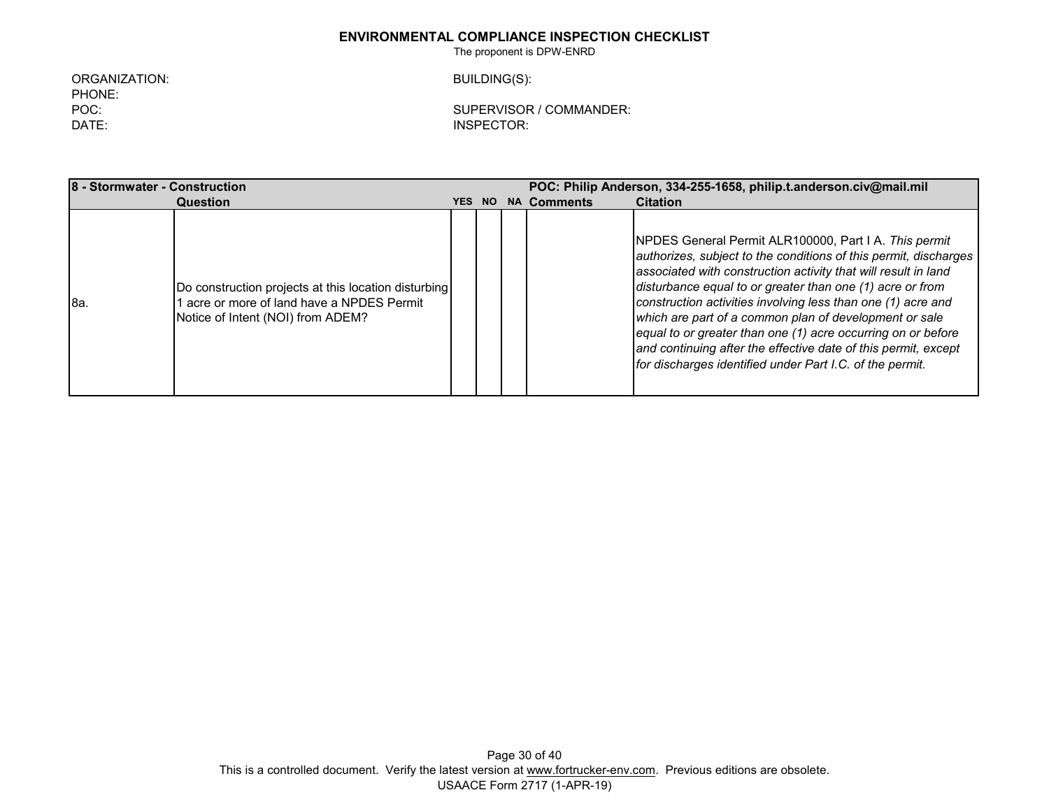The proponent is DPW-ENRD

ORGANIZATION: BUILDING(S): PHONE: DATE: INSPECTOR:

POC: SUPERVISOR / COMMANDER:

**8 - Stormwater - Construction POC: Philip Anderson, 334-255-1658, philip.t.anderson.civ@mail.mil Question YES NO NA Comments Citation** 8a. Do construction projects at this location disturbing 1 acre or more of land have a NPDES Permit Notice of Intent (NOI) from ADEM? NPDES General Permit ALR100000, Part I A. *This permit authorizes, subject to the conditions of this permit, discharges associated with construction activity that will result in land disturbance equal to or greater than one (1) acre or from construction activities involving less than one (1) acre and which are part of a common plan of development or sale equal to or greater than one (1) acre occurring on or before and continuing after the effective date of this permit, except for discharges identified under Part I.C. of the permit.*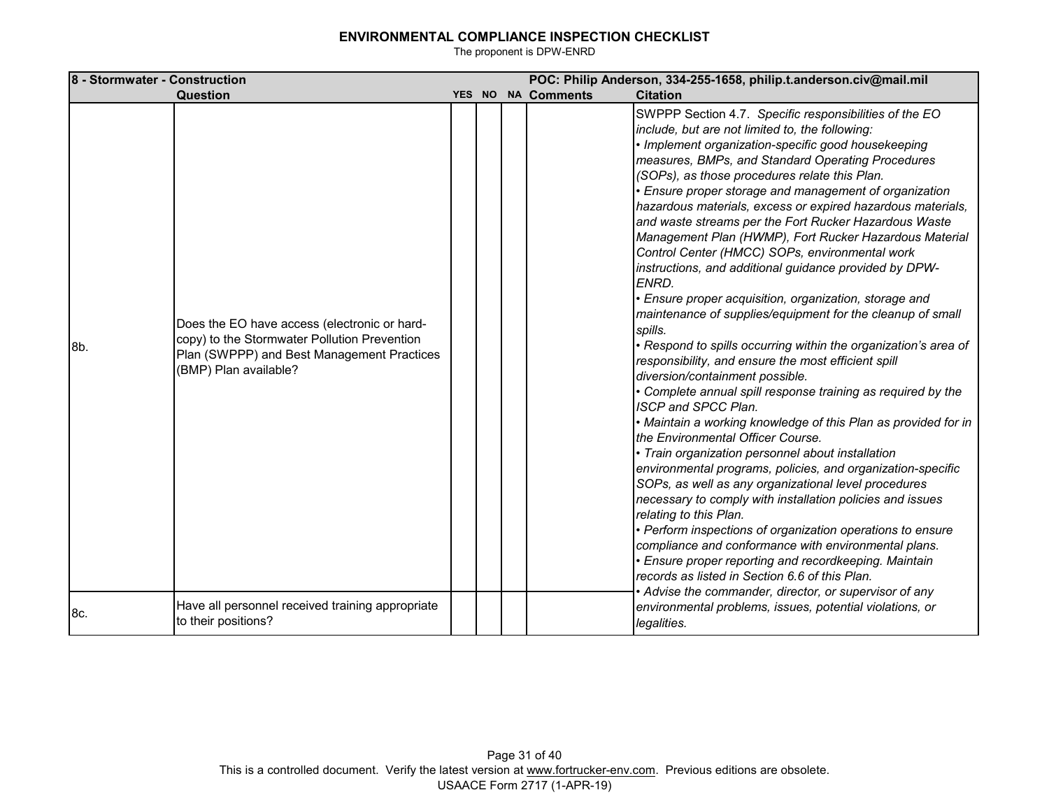| 8 - Stormwater - Construction |                                                                                                                                                                     |  |                    | POC: Philip Anderson, 334-255-1658, philip.t.anderson.civ@mail.mil                                                                                                                                                                                                                                                                                                                                                                                                                                                                                                                                                                                                                                                                                                                                                                                                                                                                                                                                                                                                                                                                                                                                                                                                                                                                                                                                                                                                                                                                                                                                                                                                                                |
|-------------------------------|---------------------------------------------------------------------------------------------------------------------------------------------------------------------|--|--------------------|---------------------------------------------------------------------------------------------------------------------------------------------------------------------------------------------------------------------------------------------------------------------------------------------------------------------------------------------------------------------------------------------------------------------------------------------------------------------------------------------------------------------------------------------------------------------------------------------------------------------------------------------------------------------------------------------------------------------------------------------------------------------------------------------------------------------------------------------------------------------------------------------------------------------------------------------------------------------------------------------------------------------------------------------------------------------------------------------------------------------------------------------------------------------------------------------------------------------------------------------------------------------------------------------------------------------------------------------------------------------------------------------------------------------------------------------------------------------------------------------------------------------------------------------------------------------------------------------------------------------------------------------------------------------------------------------------|
|                               | Question                                                                                                                                                            |  | YES NO NA Comments | <b>Citation</b>                                                                                                                                                                                                                                                                                                                                                                                                                                                                                                                                                                                                                                                                                                                                                                                                                                                                                                                                                                                                                                                                                                                                                                                                                                                                                                                                                                                                                                                                                                                                                                                                                                                                                   |
| 8b.                           | Does the EO have access (electronic or hard-<br>copy) to the Stormwater Pollution Prevention<br>Plan (SWPPP) and Best Management Practices<br>(BMP) Plan available? |  |                    | SWPPP Section 4.7. Specific responsibilities of the EO<br>include, but are not limited to, the following:<br>· Implement organization-specific good housekeeping<br>measures, BMPs, and Standard Operating Procedures<br>(SOPs), as those procedures relate this Plan.<br>· Ensure proper storage and management of organization<br>hazardous materials, excess or expired hazardous materials,<br>and waste streams per the Fort Rucker Hazardous Waste<br>Management Plan (HWMP), Fort Rucker Hazardous Material<br>Control Center (HMCC) SOPs, environmental work<br>instructions, and additional guidance provided by DPW-<br>ENRD.<br>· Ensure proper acquisition, organization, storage and<br>maintenance of supplies/equipment for the cleanup of small<br>spills.<br>· Respond to spills occurring within the organization's area of<br>responsibility, and ensure the most efficient spill<br>diversion/containment possible.<br>· Complete annual spill response training as required by the<br>ISCP and SPCC Plan.<br>· Maintain a working knowledge of this Plan as provided for in<br>the Environmental Officer Course.<br>• Train organization personnel about installation<br>environmental programs, policies, and organization-specific<br>SOPs, as well as any organizational level procedures<br>necessary to comply with installation policies and issues<br>relating to this Plan.<br>· Perform inspections of organization operations to ensure<br>compliance and conformance with environmental plans.<br>· Ensure proper reporting and recordkeeping. Maintain<br>records as listed in Section 6.6 of this Plan.<br>Advise the commander, director, or supervisor of any |
| 8c.                           | Have all personnel received training appropriate<br>to their positions?                                                                                             |  |                    | environmental problems, issues, potential violations, or<br>legalities.                                                                                                                                                                                                                                                                                                                                                                                                                                                                                                                                                                                                                                                                                                                                                                                                                                                                                                                                                                                                                                                                                                                                                                                                                                                                                                                                                                                                                                                                                                                                                                                                                           |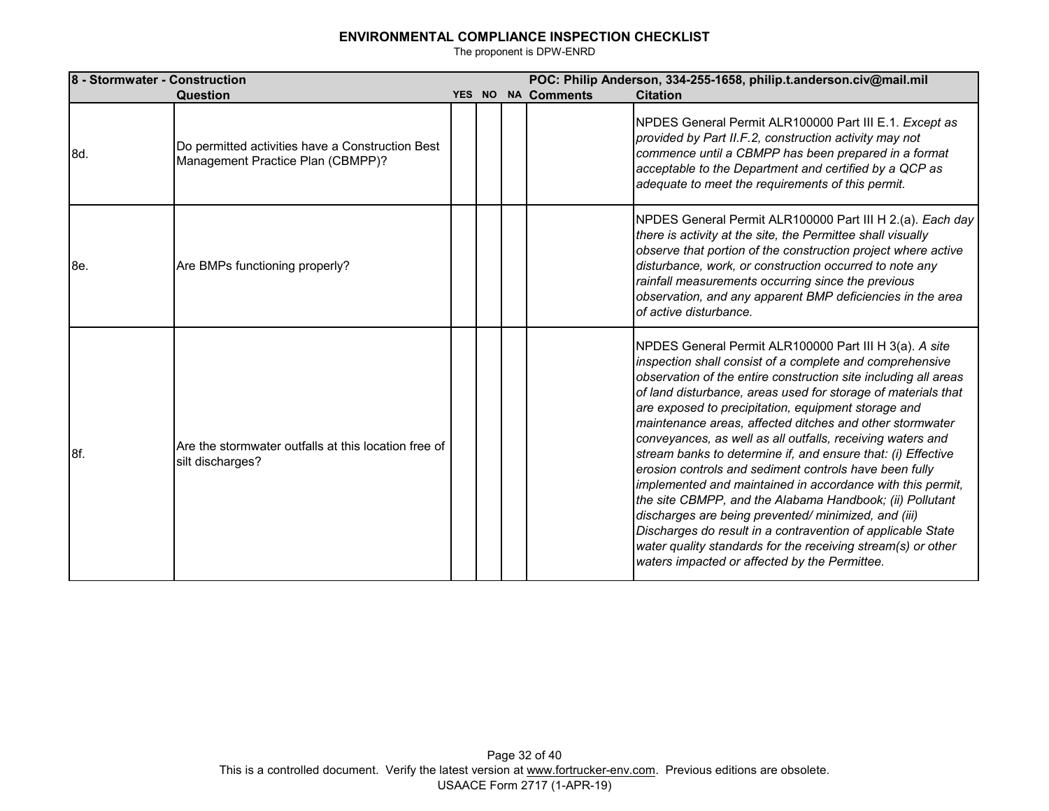| 8 - Stormwater - Construction |                                                                                       |  |                    | POC: Philip Anderson, 334-255-1658, philip.t.anderson.civ@mail.mil                                                                                                                                                                                                                                                                                                                                                                                                                                                                                                                                                                                                                                                                                                                                                                                                                                                                 |
|-------------------------------|---------------------------------------------------------------------------------------|--|--------------------|------------------------------------------------------------------------------------------------------------------------------------------------------------------------------------------------------------------------------------------------------------------------------------------------------------------------------------------------------------------------------------------------------------------------------------------------------------------------------------------------------------------------------------------------------------------------------------------------------------------------------------------------------------------------------------------------------------------------------------------------------------------------------------------------------------------------------------------------------------------------------------------------------------------------------------|
|                               | Question                                                                              |  | YES NO NA Comments | <b>Citation</b>                                                                                                                                                                                                                                                                                                                                                                                                                                                                                                                                                                                                                                                                                                                                                                                                                                                                                                                    |
| 8d.                           | Do permitted activities have a Construction Best<br>Management Practice Plan (CBMPP)? |  |                    | NPDES General Permit ALR100000 Part III E.1. Except as<br>provided by Part II.F.2, construction activity may not<br>commence until a CBMPP has been prepared in a format<br>acceptable to the Department and certified by a QCP as<br>adequate to meet the requirements of this permit.                                                                                                                                                                                                                                                                                                                                                                                                                                                                                                                                                                                                                                            |
| 8e.                           | Are BMPs functioning properly?                                                        |  |                    | NPDES General Permit ALR100000 Part III H 2.(a). Each day<br>there is activity at the site, the Permittee shall visually<br>observe that portion of the construction project where active<br>disturbance, work, or construction occurred to note any<br>rainfall measurements occurring since the previous<br>observation, and any apparent BMP deficiencies in the area<br>of active disturbance.                                                                                                                                                                                                                                                                                                                                                                                                                                                                                                                                 |
| 8f.                           | Are the stormwater outfalls at this location free of<br>silt discharges?              |  |                    | NPDES General Permit ALR100000 Part III H 3(a). A site<br>inspection shall consist of a complete and comprehensive<br>observation of the entire construction site including all areas<br>of land disturbance, areas used for storage of materials that<br>are exposed to precipitation, equipment storage and<br>maintenance areas, affected ditches and other stormwater<br>conveyances, as well as all outfalls, receiving waters and<br>stream banks to determine if, and ensure that: (i) Effective<br>erosion controls and sediment controls have been fully<br>implemented and maintained in accordance with this permit,<br>the site CBMPP, and the Alabama Handbook; (ii) Pollutant<br>discharges are being prevented/minimized, and (iii)<br>Discharges do result in a contravention of applicable State<br>water quality standards for the receiving stream(s) or other<br>waters impacted or affected by the Permittee. |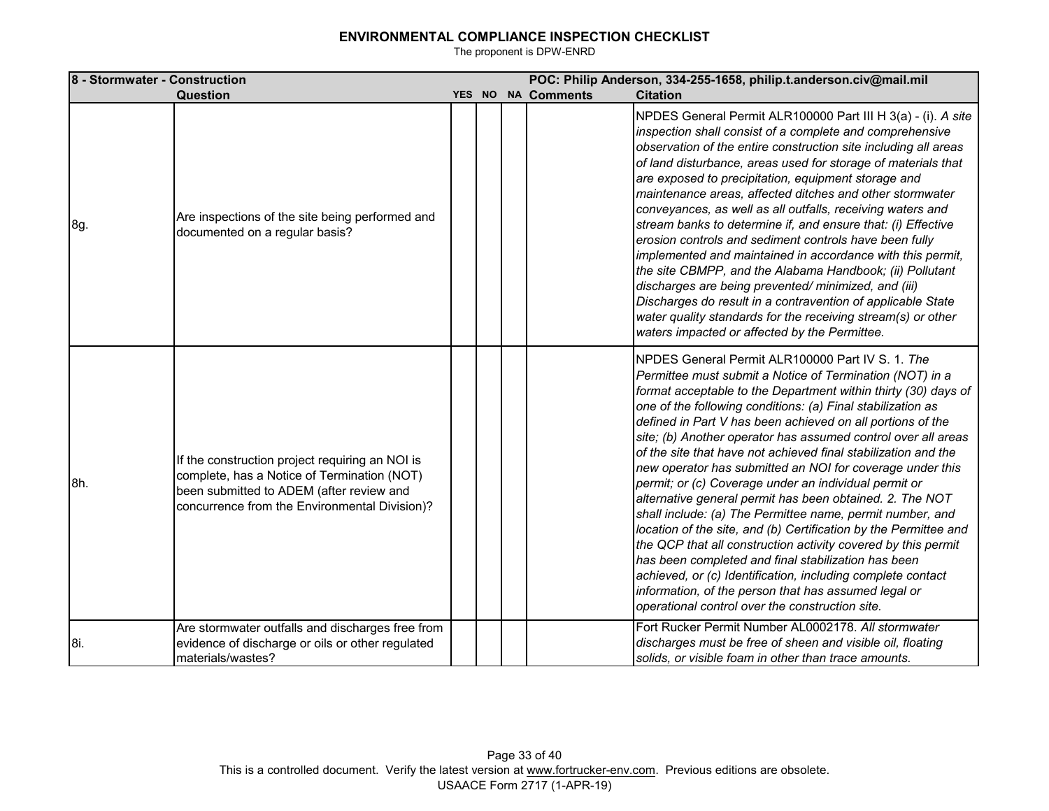| 8 - Stormwater - Construction |                                                                                                                                                                                             |        |                    | POC: Philip Anderson, 334-255-1658, philip.t.anderson.civ@mail.mil                                                                                                                                                                                                                                                                                                                                                                                                                                                                                                                                                                                                                                                                                                                                                                                                                                                                                                                                                                                                  |
|-------------------------------|---------------------------------------------------------------------------------------------------------------------------------------------------------------------------------------------|--------|--------------------|---------------------------------------------------------------------------------------------------------------------------------------------------------------------------------------------------------------------------------------------------------------------------------------------------------------------------------------------------------------------------------------------------------------------------------------------------------------------------------------------------------------------------------------------------------------------------------------------------------------------------------------------------------------------------------------------------------------------------------------------------------------------------------------------------------------------------------------------------------------------------------------------------------------------------------------------------------------------------------------------------------------------------------------------------------------------|
|                               | Question                                                                                                                                                                                    | YES NO | <b>NA Comments</b> | <b>Citation</b>                                                                                                                                                                                                                                                                                                                                                                                                                                                                                                                                                                                                                                                                                                                                                                                                                                                                                                                                                                                                                                                     |
| 8g.                           | Are inspections of the site being performed and<br>documented on a regular basis?                                                                                                           |        |                    | NPDES General Permit ALR100000 Part III H 3(a) - (i). A site<br>inspection shall consist of a complete and comprehensive<br>observation of the entire construction site including all areas<br>of land disturbance, areas used for storage of materials that<br>are exposed to precipitation, equipment storage and<br>maintenance areas, affected ditches and other stormwater<br>conveyances, as well as all outfalls, receiving waters and<br>stream banks to determine if, and ensure that: (i) Effective<br>erosion controls and sediment controls have been fully<br>implemented and maintained in accordance with this permit,<br>the site CBMPP, and the Alabama Handbook; (ii) Pollutant<br>discharges are being prevented/minimized, and (iii)<br>Discharges do result in a contravention of applicable State<br>water quality standards for the receiving stream(s) or other<br>waters impacted or affected by the Permittee.                                                                                                                            |
| 8h.                           | If the construction project requiring an NOI is<br>complete, has a Notice of Termination (NOT)<br>been submitted to ADEM (after review and<br>concurrence from the Environmental Division)? |        |                    | NPDES General Permit ALR100000 Part IV S. 1. The<br>Permittee must submit a Notice of Termination (NOT) in a<br>format acceptable to the Department within thirty (30) days of<br>one of the following conditions: (a) Final stabilization as<br>defined in Part V has been achieved on all portions of the<br>site; (b) Another operator has assumed control over all areas<br>of the site that have not achieved final stabilization and the<br>new operator has submitted an NOI for coverage under this<br>permit; or (c) Coverage under an individual permit or<br>alternative general permit has been obtained. 2. The NOT<br>shall include: (a) The Permittee name, permit number, and<br>location of the site, and (b) Certification by the Permittee and<br>the QCP that all construction activity covered by this permit<br>has been completed and final stabilization has been<br>achieved, or (c) Identification, including complete contact<br>information, of the person that has assumed legal or<br>operational control over the construction site. |
| 8i.                           | Are stormwater outfalls and discharges free from<br>evidence of discharge or oils or other regulated<br>materials/wastes?                                                                   |        |                    | Fort Rucker Permit Number AL0002178. All stormwater<br>discharges must be free of sheen and visible oil, floating<br>solids, or visible foam in other than trace amounts.                                                                                                                                                                                                                                                                                                                                                                                                                                                                                                                                                                                                                                                                                                                                                                                                                                                                                           |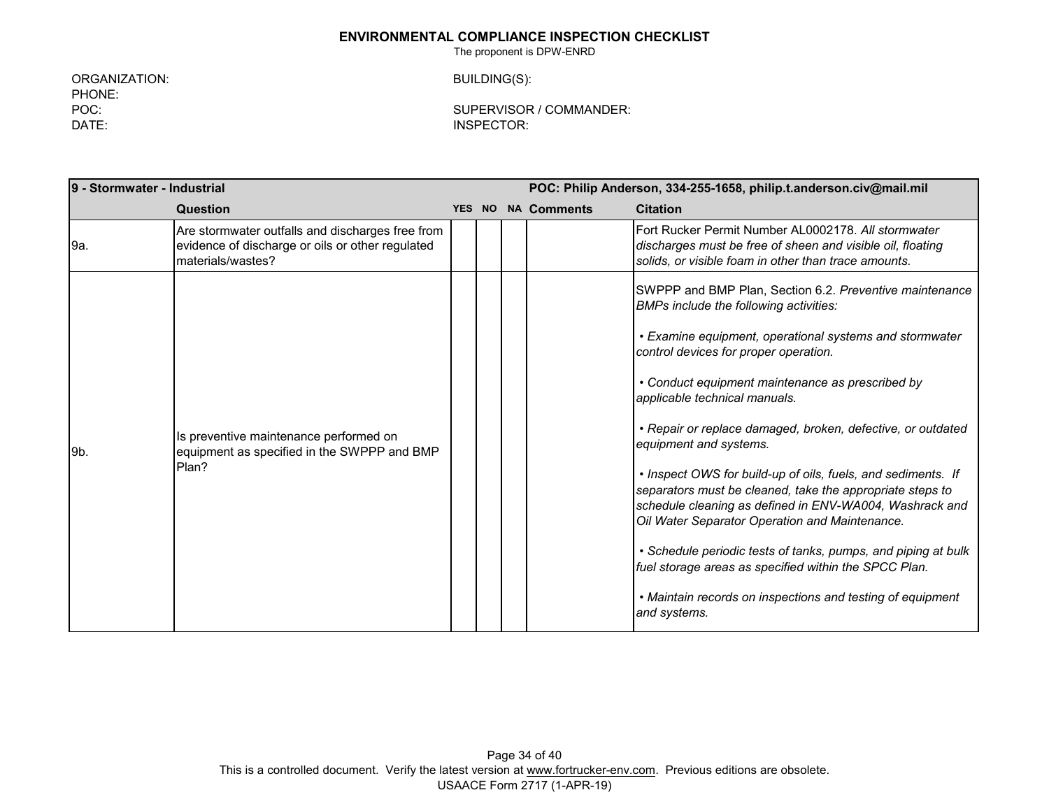The proponent is DPW-ENRD

ORGANIZATION: BUILDING(S): PHONE:<br>POC: DATE: INSPECTOR:

SUPERVISOR / COMMANDER:

| 9 - Stormwater - Industrial |                                                                                                                           | POC: Philip Anderson, 334-255-1658, philip.t.anderson.civ@mail.mil |  |                    |                                                                                                                                                                                                                                                                                                                                                                                                                                                                                                                                                                                                                                                                                                                                                                                                                                       |
|-----------------------------|---------------------------------------------------------------------------------------------------------------------------|--------------------------------------------------------------------|--|--------------------|---------------------------------------------------------------------------------------------------------------------------------------------------------------------------------------------------------------------------------------------------------------------------------------------------------------------------------------------------------------------------------------------------------------------------------------------------------------------------------------------------------------------------------------------------------------------------------------------------------------------------------------------------------------------------------------------------------------------------------------------------------------------------------------------------------------------------------------|
|                             | Question                                                                                                                  | YES NO                                                             |  | <b>NA Comments</b> | <b>Citation</b>                                                                                                                                                                                                                                                                                                                                                                                                                                                                                                                                                                                                                                                                                                                                                                                                                       |
| 9a.                         | Are stormwater outfalls and discharges free from<br>evidence of discharge or oils or other regulated<br>materials/wastes? |                                                                    |  |                    | Fort Rucker Permit Number AL0002178. All stormwater<br>discharges must be free of sheen and visible oil, floating<br>solids, or visible foam in other than trace amounts.                                                                                                                                                                                                                                                                                                                                                                                                                                                                                                                                                                                                                                                             |
| 9b.                         | Is preventive maintenance performed on<br>equipment as specified in the SWPPP and BMP<br>Plan?                            |                                                                    |  |                    | SWPPP and BMP Plan, Section 6.2. Preventive maintenance<br>BMPs include the following activities:<br>• Examine equipment, operational systems and stormwater<br>control devices for proper operation.<br>• Conduct equipment maintenance as prescribed by<br>applicable technical manuals.<br>• Repair or replace damaged, broken, defective, or outdated<br>equipment and systems.<br>• Inspect OWS for build-up of oils, fuels, and sediments. If<br>separators must be cleaned, take the appropriate steps to<br>schedule cleaning as defined in ENV-WA004, Washrack and<br>Oil Water Separator Operation and Maintenance.<br>• Schedule periodic tests of tanks, pumps, and piping at bulk<br>fuel storage areas as specified within the SPCC Plan.<br>• Maintain records on inspections and testing of equipment<br>and systems. |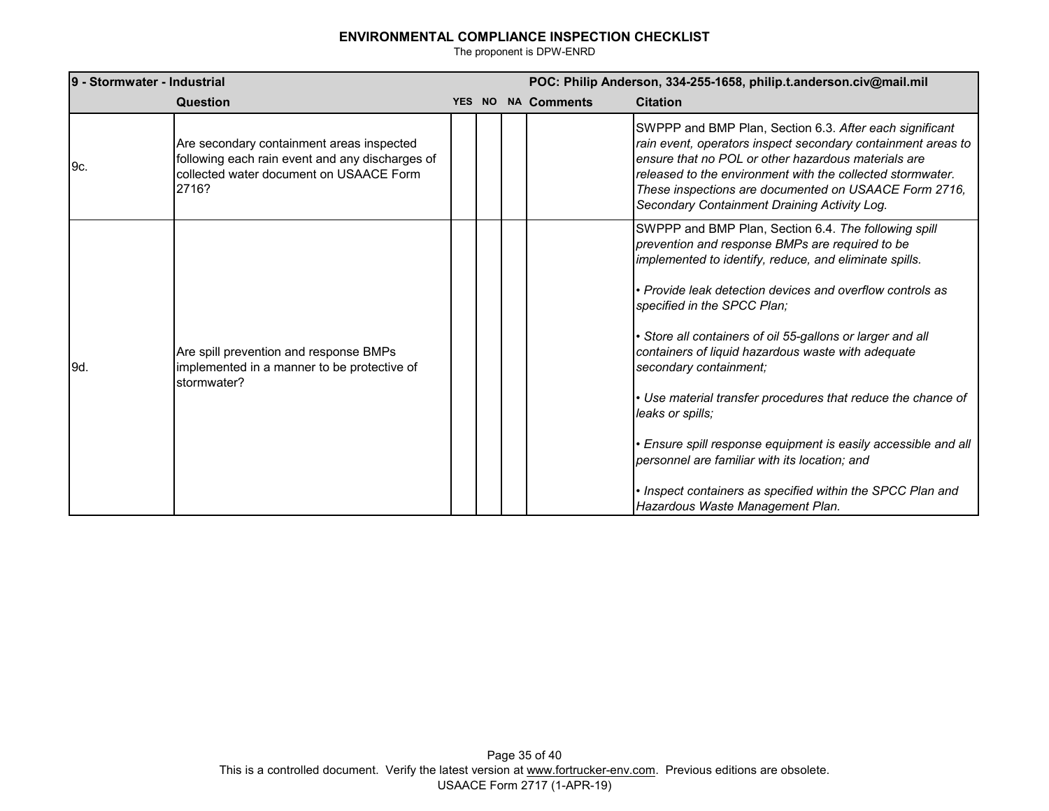| 9 - Stormwater - Industrial |                                                                                                                                                  | POC: Philip Anderson, 334-255-1658, philip.t.anderson.civ@mail.mil |  |                    |                                                                                                                                                                                                                                                                                                                                                                                                                                                                                                                                                                                                                                                                                                                    |
|-----------------------------|--------------------------------------------------------------------------------------------------------------------------------------------------|--------------------------------------------------------------------|--|--------------------|--------------------------------------------------------------------------------------------------------------------------------------------------------------------------------------------------------------------------------------------------------------------------------------------------------------------------------------------------------------------------------------------------------------------------------------------------------------------------------------------------------------------------------------------------------------------------------------------------------------------------------------------------------------------------------------------------------------------|
|                             | Question                                                                                                                                         |                                                                    |  | YES NO NA Comments | <b>Citation</b>                                                                                                                                                                                                                                                                                                                                                                                                                                                                                                                                                                                                                                                                                                    |
| 9c.                         | Are secondary containment areas inspected<br>following each rain event and any discharges of<br>collected water document on USAACE Form<br>2716? |                                                                    |  |                    | SWPPP and BMP Plan, Section 6.3. After each significant<br>rain event, operators inspect secondary containment areas to<br>ensure that no POL or other hazardous materials are<br>released to the environment with the collected stormwater.<br>These inspections are documented on USAACE Form 2716,<br>Secondary Containment Draining Activity Log.                                                                                                                                                                                                                                                                                                                                                              |
| 9d.                         | Are spill prevention and response BMPs<br>implemented in a manner to be protective of<br>stormwater?                                             |                                                                    |  |                    | SWPPP and BMP Plan, Section 6.4. The following spill<br>prevention and response BMPs are required to be<br>implemented to identify, reduce, and eliminate spills.<br>• Provide leak detection devices and overflow controls as<br>specified in the SPCC Plan;<br>• Store all containers of oil 55-gallons or larger and all<br>containers of liquid hazardous waste with adequate<br>secondary containment;<br>• Use material transfer procedures that reduce the chance of<br>leaks or spills;<br>Ensure spill response equipment is easily accessible and all<br>personnel are familiar with its location; and<br>• Inspect containers as specified within the SPCC Plan and<br>Hazardous Waste Management Plan. |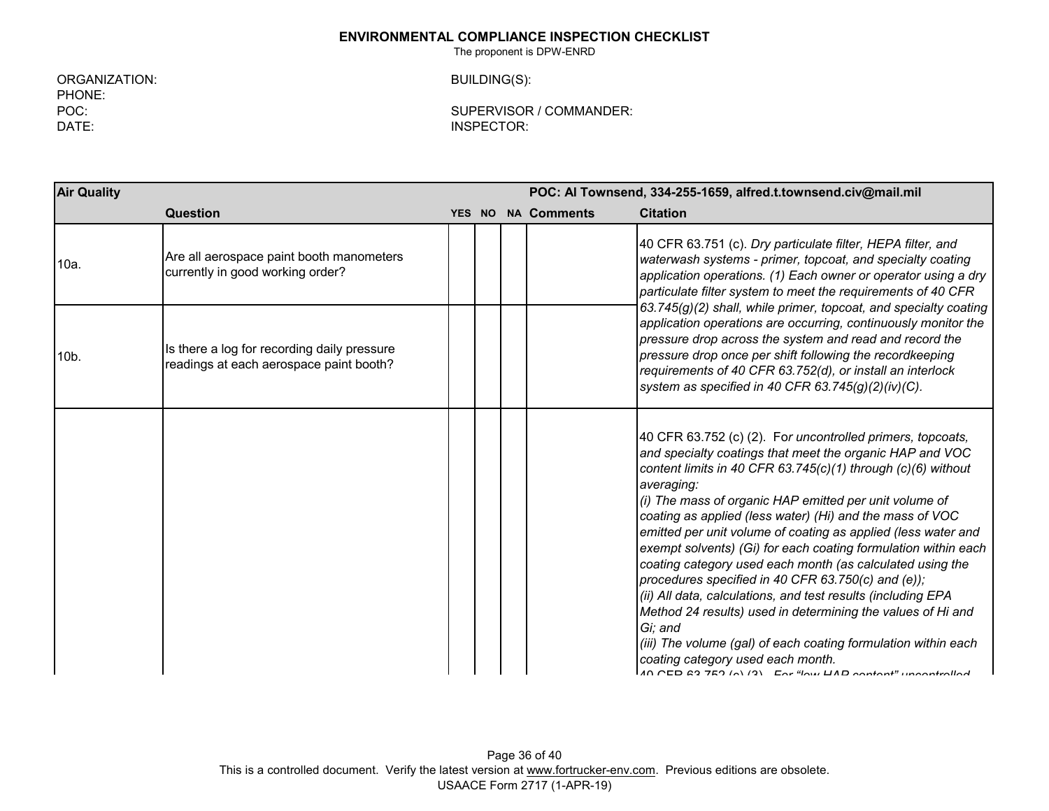The proponent is DPW-ENRD

ORGANIZATION: BUILDING(S): PHONE:<br>POC:

POC:<br>DATE: DATE: DATE: INSPECTOR:

| <b>Air Quality</b> |                                                                                        | POC: Al Townsend, 334-255-1659, alfred.t.townsend.civ@mail.mil |  |                    |                                                                                                                                                                                                                                                                                                                                                                                                                                                                                                                                                                                                                                                                                                                                                                                                                                                                                               |
|--------------------|----------------------------------------------------------------------------------------|----------------------------------------------------------------|--|--------------------|-----------------------------------------------------------------------------------------------------------------------------------------------------------------------------------------------------------------------------------------------------------------------------------------------------------------------------------------------------------------------------------------------------------------------------------------------------------------------------------------------------------------------------------------------------------------------------------------------------------------------------------------------------------------------------------------------------------------------------------------------------------------------------------------------------------------------------------------------------------------------------------------------|
|                    | <b>Question</b>                                                                        |                                                                |  | YES NO NA Comments | <b>Citation</b>                                                                                                                                                                                                                                                                                                                                                                                                                                                                                                                                                                                                                                                                                                                                                                                                                                                                               |
| 10a.               | Are all aerospace paint booth manometers<br>currently in good working order?           |                                                                |  |                    | 40 CFR 63.751 (c). Dry particulate filter, HEPA filter, and<br>waterwash systems - primer, topcoat, and specialty coating<br>application operations. (1) Each owner or operator using a dry<br>particulate filter system to meet the requirements of 40 CFR                                                                                                                                                                                                                                                                                                                                                                                                                                                                                                                                                                                                                                   |
| 10b.               | Is there a log for recording daily pressure<br>readings at each aerospace paint booth? |                                                                |  |                    | $63.745(g)(2)$ shall, while primer, topcoat, and specialty coating<br>application operations are occurring, continuously monitor the<br>pressure drop across the system and read and record the<br>pressure drop once per shift following the recordkeeping<br>requirements of 40 CFR 63.752(d), or install an interlock<br>system as specified in 40 CFR 63.745 $(g)(2)(iv)(C)$ .                                                                                                                                                                                                                                                                                                                                                                                                                                                                                                            |
|                    |                                                                                        |                                                                |  |                    | 40 CFR 63.752 (c) (2). For uncontrolled primers, topcoats,<br>and specialty coatings that meet the organic HAP and VOC<br>content limits in 40 CFR 63.745(c)(1) through (c)(6) without<br>averaging:<br>(i) The mass of organic HAP emitted per unit volume of<br>coating as applied (less water) (Hi) and the mass of VOC<br>emitted per unit volume of coating as applied (less water and<br>exempt solvents) (Gi) for each coating formulation within each<br>coating category used each month (as calculated using the<br>procedures specified in 40 CFR 63.750(c) and (e));<br>(ii) All data, calculations, and test results (including EPA<br>Method 24 results) used in determining the values of Hi and<br>Gi: and<br>(iii) The volume (gal) of each coating formulation within each<br>coating category used each month.<br>10 CED 22 750 (a) (2) Ear "low UAD contant" uncontrolled |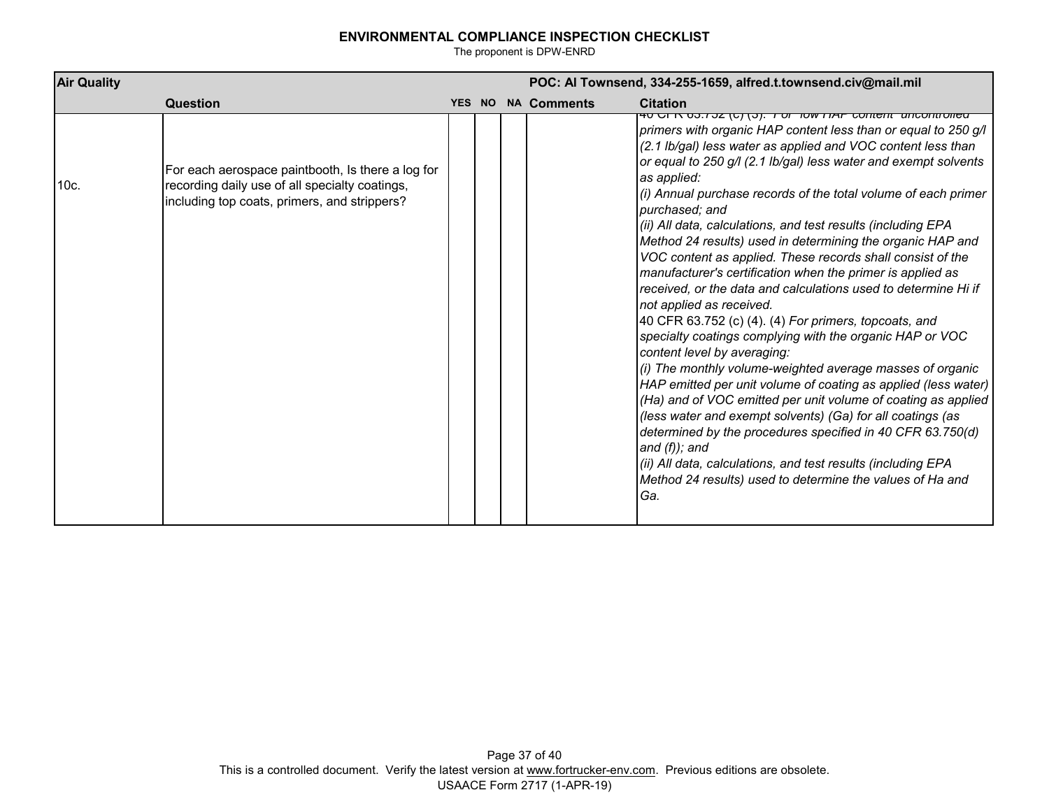| <b>Air Quality</b> |                                                                                                                                                     |        |  |                    | POC: Al Townsend, 334-255-1659, alfred.t.townsend.civ@mail.mil                                                                                                                                                                                                                                                                                                                                                                                                                                                                                                                                                                                                                                                                                                                                                                                                                                                                                                                                                                                                                                                                                                                                                                                                                                                                                                                 |
|--------------------|-----------------------------------------------------------------------------------------------------------------------------------------------------|--------|--|--------------------|--------------------------------------------------------------------------------------------------------------------------------------------------------------------------------------------------------------------------------------------------------------------------------------------------------------------------------------------------------------------------------------------------------------------------------------------------------------------------------------------------------------------------------------------------------------------------------------------------------------------------------------------------------------------------------------------------------------------------------------------------------------------------------------------------------------------------------------------------------------------------------------------------------------------------------------------------------------------------------------------------------------------------------------------------------------------------------------------------------------------------------------------------------------------------------------------------------------------------------------------------------------------------------------------------------------------------------------------------------------------------------|
|                    | <b>Question</b>                                                                                                                                     | YES NO |  | <b>NA Comments</b> | <b>Citation</b>                                                                                                                                                                                                                                                                                                                                                                                                                                                                                                                                                                                                                                                                                                                                                                                                                                                                                                                                                                                                                                                                                                                                                                                                                                                                                                                                                                |
| 10c.               | For each aerospace paintbooth, Is there a log for<br>recording daily use of all specialty coatings,<br>including top coats, primers, and strippers? |        |  |                    | <del>40 טרא סט.בער נטן נטן. רטו וואז וואר כטוונפוונ עווכטוונטוופט</del><br>primers with organic HAP content less than or equal to 250 g/l<br>(2.1 lb/gal) less water as applied and VOC content less than<br>or equal to 250 g/l (2.1 lb/gal) less water and exempt solvents<br>as applied:<br>(i) Annual purchase records of the total volume of each primer<br>purchased; and<br>(ii) All data, calculations, and test results (including EPA<br>Method 24 results) used in determining the organic HAP and<br>VOC content as applied. These records shall consist of the<br>manufacturer's certification when the primer is applied as<br>received, or the data and calculations used to determine Hi if<br>not applied as received.<br>40 CFR 63.752 (c) (4). (4) For primers, topcoats, and<br>specialty coatings complying with the organic HAP or VOC<br>content level by averaging:<br>(i) The monthly volume-weighted average masses of organic<br>HAP emitted per unit volume of coating as applied (less water)<br>(Ha) and of VOC emitted per unit volume of coating as applied<br>(less water and exempt solvents) (Ga) for all coatings (as<br>determined by the procedures specified in 40 CFR 63.750(d)<br>and $(f)$ ; and<br>(ii) All data, calculations, and test results (including EPA<br>Method 24 results) used to determine the values of Ha and<br>Ga. |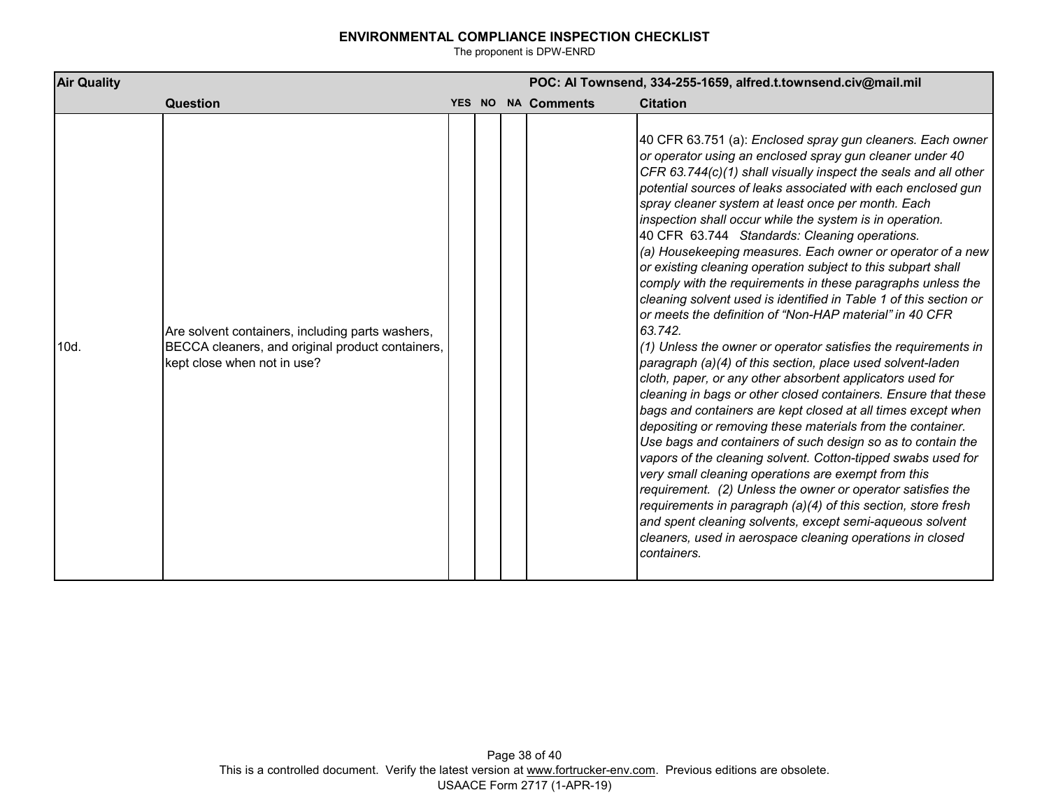| <b>Air Quality</b> |                                                                                                                                     |  | POC: Al Townsend, 334-255-1659, alfred.t.townsend.civ@mail.mil |                    |                                                                                                                                                                                                                                                                                                                                                                                                                                                                                                                                                                                                                                                                                                                                                                                                                                                                                                                                                                                                                                                                                                                                                                                                                                                                                                                                                                                                                                                                                                                                                                                                                                   |  |  |  |
|--------------------|-------------------------------------------------------------------------------------------------------------------------------------|--|----------------------------------------------------------------|--------------------|-----------------------------------------------------------------------------------------------------------------------------------------------------------------------------------------------------------------------------------------------------------------------------------------------------------------------------------------------------------------------------------------------------------------------------------------------------------------------------------------------------------------------------------------------------------------------------------------------------------------------------------------------------------------------------------------------------------------------------------------------------------------------------------------------------------------------------------------------------------------------------------------------------------------------------------------------------------------------------------------------------------------------------------------------------------------------------------------------------------------------------------------------------------------------------------------------------------------------------------------------------------------------------------------------------------------------------------------------------------------------------------------------------------------------------------------------------------------------------------------------------------------------------------------------------------------------------------------------------------------------------------|--|--|--|
|                    | Question                                                                                                                            |  |                                                                | YES NO NA Comments | <b>Citation</b>                                                                                                                                                                                                                                                                                                                                                                                                                                                                                                                                                                                                                                                                                                                                                                                                                                                                                                                                                                                                                                                                                                                                                                                                                                                                                                                                                                                                                                                                                                                                                                                                                   |  |  |  |
| 10d.               | Are solvent containers, including parts washers,<br>BECCA cleaners, and original product containers,<br>kept close when not in use? |  |                                                                |                    | 40 CFR 63.751 (a): Enclosed spray gun cleaners. Each owner<br>or operator using an enclosed spray gun cleaner under 40<br>CFR 63.744(c)(1) shall visually inspect the seals and all other<br>potential sources of leaks associated with each enclosed gun<br>spray cleaner system at least once per month. Each<br>inspection shall occur while the system is in operation.<br>40 CFR 63.744 Standards: Cleaning operations.<br>(a) Housekeeping measures. Each owner or operator of a new<br>or existing cleaning operation subject to this subpart shall<br>comply with the requirements in these paragraphs unless the<br>cleaning solvent used is identified in Table 1 of this section or<br>or meets the definition of "Non-HAP material" in 40 CFR<br>63.742.<br>$(1)$ Unless the owner or operator satisfies the requirements in<br>paragraph (a)(4) of this section, place used solvent-laden<br>cloth, paper, or any other absorbent applicators used for<br>cleaning in bags or other closed containers. Ensure that these<br>bags and containers are kept closed at all times except when<br>depositing or removing these materials from the container.<br>Use bags and containers of such design so as to contain the<br>vapors of the cleaning solvent. Cotton-tipped swabs used for<br>very small cleaning operations are exempt from this<br>requirement. (2) Unless the owner or operator satisfies the<br>requirements in paragraph (a)(4) of this section, store fresh<br>and spent cleaning solvents, except semi-aqueous solvent<br>cleaners, used in aerospace cleaning operations in closed<br>containers. |  |  |  |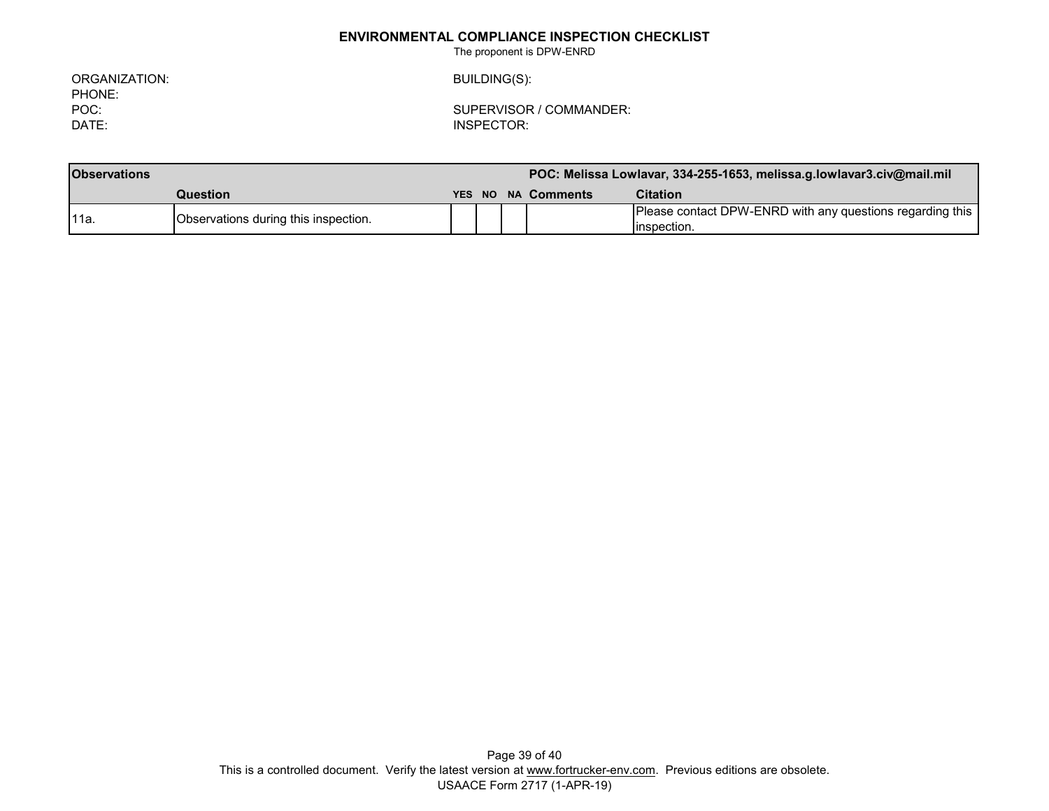The proponent is DPW-ENRD

ORGANIZATION: BUILDING(S): PHONE:<br>POC:

POC: SUPERVISOR / COMMANDER:

INSPECTOR:

| <b>Observations</b> |                                      | POC: Melissa Lowlavar, 334-255-1653, melissa.g.lowlavar3.civ@mail.mil |  |                    |                                                                           |
|---------------------|--------------------------------------|-----------------------------------------------------------------------|--|--------------------|---------------------------------------------------------------------------|
|                     | <b>Question</b>                      |                                                                       |  | YES NO NA Comments | <b>Citation</b>                                                           |
| '11a.               | Observations during this inspection. |                                                                       |  |                    | Please contact DPW-ENRD with any questions regarding this<br>linspection. |